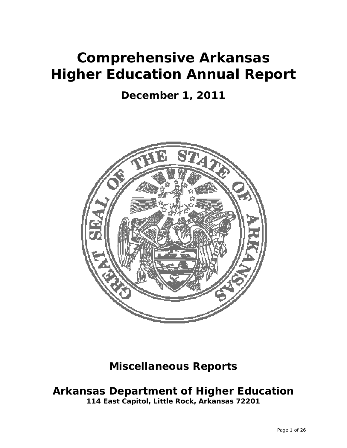# **Comprehensive Arkansas Higher Education Annual Report**

# **December 1, 2011**



# **Miscellaneous Reports**

# **Arkansas Department of Higher Education**

**114 East Capitol, Little Rock, Arkansas 72201**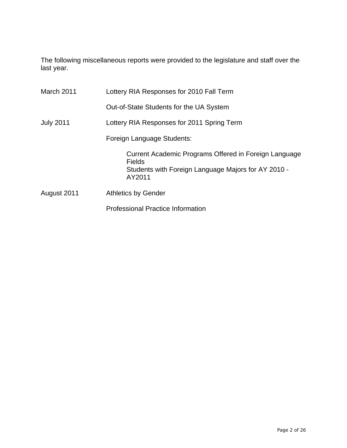The following miscellaneous reports were provided to the legislature and staff over the last year.

| March 2011       | Lottery RIA Responses for 2010 Fall Term                                                                                                |
|------------------|-----------------------------------------------------------------------------------------------------------------------------------------|
|                  | Out-of-State Students for the UA System                                                                                                 |
| <b>July 2011</b> | Lottery RIA Responses for 2011 Spring Term                                                                                              |
|                  | Foreign Language Students:                                                                                                              |
|                  | Current Academic Programs Offered in Foreign Language<br><b>Fields</b><br>Students with Foreign Language Majors for AY 2010 -<br>AY2011 |
| August 2011      | <b>Athletics by Gender</b>                                                                                                              |
|                  | <b>Professional Practice Information</b>                                                                                                |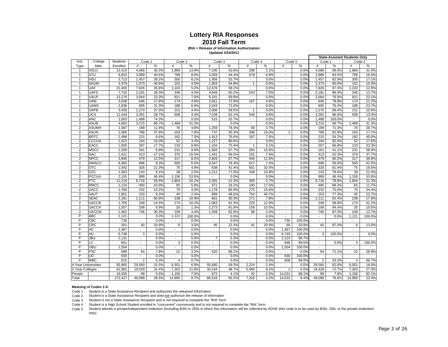#### **Lottery RIA Responses 2010 Fall Term**

#### **(RIA = Release of Information Authorization**

**Updated 3/24/2011**

|                     |              |                |                          |                |                          |              |                          |                |                             |               |                          |               |                          |                | <b>State-Assisted Students Only</b> |                |
|---------------------|--------------|----------------|--------------------------|----------------|--------------------------|--------------|--------------------------|----------------|-----------------------------|---------------|--------------------------|---------------|--------------------------|----------------|-------------------------------------|----------------|
| Inst.               | College      | Students       | Code 1                   |                |                          | Code 2       | Code 3                   |                | Code 4                      |               | Code 5                   |               | Code 1                   |                | Code 2                              |                |
| Type                | Abbr.        | Enrolled       | #                        | %              | $\#$                     | %            | #                        | %              | $\#$                        | %             | $\#$                     | %             | #                        | ℅              | $\#$                                | %              |
| $\mathbf{1}$        | <b>ASUJ</b>  | 13,415         | 4,068                    | 30.3%          | 1,869                    | 13.9%        | 7,190                    | 53.6%          | 288                         | 2.1%          | $\blacksquare$           | 0.0%          | 4,068                    | 68.5%          | 1,869                               | 31.5%          |
| $\mathbf{1}$        | <b>ATU</b>   | 9,815          | 3,989                    | 40.6%          | 789                      | 8.0%         | 4,359                    | 44.4%          | 678                         | 6.9%          | $\overline{\phantom{a}}$ | 0.0%          | 3,989                    | 83.5%          | 789                                 | 16.5%          |
| $\mathbf{1}$        | <b>HSU</b>   | 3,713          | 1,457                    | 39.2%          | 300                      | 8.1%         | 1,956                    | 52.7%          | $\blacksquare$              | 0.0%          | $\blacksquare$           | 0.0%          | 1.457                    | 82.9%          | 300                                 | 17.1%          |
| $\mathbf{1}$        | <b>SAUM</b>  | 3,379          | 1,373                    | 40.6%          | 152                      | 4.5%         | 1,853                    | 54.8%          | $\mathbf{1}$                | 0.0%          | $\overline{\phantom{a}}$ | 0.0%          | 1,373                    | 90.0%          | 152                                 | 10.0%          |
| $\mathbf{1}$        | UAF          | 21,405         | 7,626                    | 35.6%          | 1,103                    | 5.2%         | 12,676                   | 59.2%          | $\sim$                      | 0.0%          | $\blacksquare$           | 0.0%          | 7,626                    | 87.4%          | 1,103                               | 12.6%          |
| $\mathbf{1}$        | <b>UAFS</b>  | 7,716          | 2,181                    | 28.3%          | 346                      | 4.5%         | 4,646                    | 60.2%          | 543                         | 7.0%          | $\blacksquare$           | 0.0%          | 2,181                    | 86.3%          | 346                                 | 13.7%          |
| $\mathbf{1}$        | <b>UALR</b>  | 13,176         | 3,064                    | 23.3%          | 921                      | 7.0%         | 9,191                    | 69.8%          | $\blacksquare$              | 0.0%          | $\blacksquare$           | 0.0%          | 3,064                    | 76.9%          | 921                                 | 23.1%          |
| $\mathbf{1}$        | <b>UAM</b>   | 3,638          | 646                      | 17.8%          | 174                      | 4.8%         | 2,651                    | 72.9%          | 167                         | 4.6%          | $\overline{\phantom{a}}$ | 0.0%          | 646                      | 78.8%          | 174                                 | 21.2%          |
| $\overline{1}$      | <b>UAMS</b>  | 2,836          | 605                      | 21.3%          | 188                      | 6.6%         | 2,043                    | 72.0%          | $\blacksquare$              | 0.0%          | $\overline{\phantom{a}}$ | 0.0%          | 605                      | 76.3%          | 188                                 | 23.7%          |
| $\mathbf{1}$        | <b>UAPB</b>  | 3,428          | 1,270                    | 37.0%          | 151                      | 4.4%         | 2,006                    | 58.5%          | $\mathbf{1}$                | 0.0%          | $\overline{\phantom{a}}$ | 0.0%          | 1,270                    | 89.4%          | 151                                 | 10.6%          |
| $\mathbf{1}$        | UCA          | 11,444         | 3,281                    | 28.7%          | 508                      | 4.4%         | 7,109                    | 62.1%          | 546                         | 4.8%          | $\overline{\phantom{a}}$ | 0.0%          | 3,281                    | 86.6%          | 508                                 | 13.4%          |
| $\overline{2}$      | <b>ANC</b>   | 2,003          | 1,488                    | 74.3%          |                          | 0.0%         | 515                      | 25.7%          | $\blacksquare$              | 0.0%          | $\overline{\phantom{a}}$ | 0.0%          | 1,488                    | 100.0%         | $\overline{\phantom{a}}$            | 0.0%           |
| $\overline{c}$      | <b>ASUB</b>  | 4,683          | 3,215                    | 68.7%          | 1,468                    | 31.3%        | $\overline{\phantom{a}}$ | 0.0%           | $\blacksquare$              | 0.0%          | $\overline{\phantom{a}}$ | 0.0%          | 3,215                    | 68.7%          | 1,468                               | 31.3%          |
| $\overline{2}$      | <b>ASUMH</b> |                |                          |                |                          |              | 1,259                    |                | 59                          |               | $\blacksquare$           |               |                          |                |                                     | 28.7%          |
| $\overline{2}$      | <b>ASUN</b>  | 1,587<br>2,085 | 189<br>788               | 11.9%<br>37.8% | 76<br>163                | 4.8%<br>7.8% | 737                      | 79.3%<br>35.3% | 396                         | 3.7%<br>19.0% | $\mathbf{1}$             | 0.0%<br>0.0%  | 189<br>788               | 71.3%<br>82.9% | 76<br>163                           | 17.1%          |
|                     | <b>BRTC</b>  |                |                          |                |                          |              |                          |                |                             |               |                          |               |                          |                |                                     | 45.8%          |
| $\overline{2}$      |              | 2,498          | 215                      | 8.6%           | 182                      | 7.3%         | 1,913                    | 76.6%          | 187                         | 7.5%          | $\overline{\phantom{a}}$ | 0.0%          | 215                      | 54.2%          | 182                                 |                |
| $\overline{2}$      | <b>CCCUA</b> | 1,523          | 244                      | 16.0%          | 52                       | 3.4%         | 1,227                    | 80.6%          | $\blacksquare$              | 0.0%          | $\overline{\phantom{a}}$ | 0.0%          | 244                      | 82.4%          | 52                                  | 17.6%          |
| $\overline{2}$      | <b>EACC</b>  | 1,505          | 267                      | 17.7%          | 133                      | 8.8%         | 1,104                    | 73.4%          | $\mathbf{1}$                | 0.1%          | $\blacksquare$           | 0.0%          | 267                      | 66.8%          | 133                                 | 33.3%          |
| $\overline{2}$      | <b>MSCC</b>  | 2,339          | 161                      | 6.9%           | 231                      | 9.9%         | 1,583                    | 67.7%          | 364                         | 15.6%         | $\blacksquare$           | 0.0%          | 161                      | 41.1%          | 231                                 | 58.9%          |
| $\overline{2}$      | <b>NAC</b>   | 2,421          | 413                      | 17.1%          | 376                      | 15.5%        | 1,441                    | 59.5%          | 191                         | 7.9%          | $\overline{\phantom{a}}$ | 0.0%          | 413                      | 52.3%          | 376                                 | 47.7%          |
| $\overline{2}$      | <b>NPCC</b>  | 3,845          | 479                      | 12.5%          | 317                      | 8.2%         | 2,603                    | 67.7%          | 446                         | 11.6%         | $\overline{\phantom{a}}$ | 0.0%          | 479                      | 60.2%          | 317                                 | 39.8%          |
| $\overline{2}$      | <b>NWACC</b> | 8,365          | 696                      | 8.3%           | 505                      | 6.0%         | 6,547                    | 78.3%          | 617                         | 7.4%          | $\overline{\phantom{a}}$ | 0.0%          | 696                      | 58.0%          | 505                                 | 42.0%          |
| $\overline{2}$      | <b>OTC</b>   | 1,542          | 328                      | 21.3%          | 75                       | 4.9%         | 638                      | 41.4%          | 501                         | 32.5%         | $\blacksquare$           | 0.0%          | 328                      | 81.4%          | 75                                  | 18.6%          |
| $\overline{2}$      | <b>OZC</b>   | 1,563          | 143                      | 9.1%           | 39                       | 2.5%         | 1,212                    | 77.5%          | 169                         | 10.8%         | $\blacksquare$           | 0.0%          | 143                      | 78.6%          | 39                                  | 21.4%          |
| $\overline{2}$      | <b>PCCUA</b> | 2,155          | 999                      | 46.4%          | 1,156                    | 53.6%        | $\overline{\phantom{a}}$ | 0.0%           | $\mathcal{L}^{\mathcal{L}}$ | 0.0%          | $\blacksquare$           | 0.0%          | 999                      | 46.4%          | 1,156                               | 53.6%          |
| $\overline{2}$      | PTC          | 11,216         | 6,716                    | 59.9%          | 1,804                    | 16.1%        | 2,391                    | 21.3%          | 305                         | 2.7%          | $\overline{\phantom{a}}$ | 0.0%          | 6,716                    | 78.8%          | 1.804                               | 21.2%          |
| $\overline{2}$      | <b>RMCC</b>  | 1,116          | 490                      | 43.9%          | 65                       | 5.8%         | 371                      | 33.2%          | 190                         | 17.0%         | $\overline{a}$           | 0.0%          | 490                      | 88.3%          | 65                                  | 11.7%          |
| $\overline{2}$      | <b>SACC</b>  | 1,760          | 232                      | 13.2%          | 75                       | 4.3%         | 1,178                    | 66.9%          | 275                         | 15.6%         | $\blacksquare$           | 0.0%          | 232                      | 75.6%          | 75                                  | 24.4%          |
| $\overline{2}$      | <b>SAUT</b>  | 1,851          | 153                      | 8.3%           | 45                       | 2.4%         | 899                      | 48.6%          | 754                         | 40.7%         | $\blacksquare$           | 0.0%          | 153                      | 77.3%          | 45                                  | 22.7%          |
| $\overline{2}$      | <b>SEAC</b>  | 2,181          | 1,111                    | 50.9%          | 238                      | 10.9%        | 661                      | 30.3%          | 171                         | 7.8%          | $\blacksquare$           | 0.0%          | 1,111                    | 82.4%          | 238                                 | 17.6%          |
| $\overline{2}$      | <b>UACCB</b> | 1,705          | 248                      | 14.5%          | 174                      | 10.2%        | 1,063                    | 62.3%          | 220                         | 12.9%         | $\blacksquare$           | 0.0%          | 248                      | 58.8%          | 174                                 | 41.2%          |
| $\overline{2}$      | <b>UACCH</b> | 1,557          | 108                      | 6.9%           | 20                       | 1.3%         | 1,273                    | 81.8%          | 156                         | 10.0%         | $\blacksquare$           | 0.0%          | 108                      | 84.4%          | 20                                  | 15.6%          |
| $\overline{2}$      | <b>UACCM</b> | 2,462          | 746                      | 30.3%          | 109                      | 4.4%         | 1,549                    | 62.9%          | 58                          | 2.4%          | $\overline{\phantom{a}}$ | 0.0%          | 746                      | 87.3%          | 109                                 | 12.7%          |
| P                   | <b>ABC</b>   | 1,121          | $\blacksquare$           | 0.0%           | 1.121                    | 100.0%       | $\overline{\phantom{a}}$ | 0.0%           | $\overline{\phantom{a}}$    | 0.0%          | $\overline{\phantom{a}}$ | 0.0%          | $\overline{\phantom{a}}$ | 0.0%           | 1,121                               | 100.0%         |
| P                   | CBC          | 736            | $\overline{\phantom{a}}$ | 0.0%           | $\overline{\phantom{a}}$ | 0.0%         | $\blacksquare$           | 0.0%           | $\overline{a}$              | 0.0%          | 736                      | 100.0%        | $\blacksquare$           |                | $\blacksquare$                      |                |
| P                   | CRC          | 201            | 40                       | 19.9%          | 6                        | 3.0%         | 45                       | 22.4%          | 42                          | 20.9%         | 68                       | 33.8%         | 40                       | 87.0%          | 6                                   | 13.0%          |
| P                   | <b>HC</b>    | 1,467          | $\overline{a}$           | 0.0%           | $\overline{\phantom{a}}$ | 0.0%         | $\overline{\phantom{a}}$ | 0.0%           | $\overline{a}$              | 0.0%          | 1,467                    | 100.0%        | $\overline{a}$           |                | $\overline{a}$                      |                |
| P                   | HU           | 6,748          | 3                        | 0.0%           | $\overline{\phantom{a}}$ | 0.0%         | $\overline{\phantom{a}}$ | 0.0%           | $\overline{\phantom{a}}$    | 0.0%          | 6,745                    | 100.0%        | 3                        | 100.0%         | $\overline{\phantom{a}}$            | 0.0%           |
| P                   | <b>JBU</b>   | 2,131          | $\overline{\phantom{a}}$ | 0.0%           | $\overline{\phantom{a}}$ | 0.0%         | $\overline{7}$           | 0.3%           | $\overline{\phantom{a}}$    | 0.0%          | 2,124                    | 99.7%         | $\overline{\phantom{a}}$ |                | $\overline{\phantom{a}}$            |                |
| P                   | LC           | 651            | $\overline{\phantom{a}}$ | 0.0%           | 3                        | 0.5%         | $\overline{\phantom{a}}$ | 0.0%           | $\overline{\phantom{a}}$    | 0.0%          | 648                      | 99.5%         |                          | 0.0%           | 3                                   | 100.0%         |
| P                   | OBU          | 1,504          | $\overline{a}$           | 0.0%           |                          | 0.0%         |                          | 0.0%           | $\overline{a}$              | 0.0%          | 1,504                    | 100.0%        |                          |                |                                     |                |
| P                   | <b>PSC</b>   | 696            | 54                       | 7.8%           | 22                       | 3.2%         | 620                      | 89.1%          | $\overline{\phantom{a}}$    | 0.0%          |                          | 0.0%          | 54                       | 71.1%          | 22                                  | 28.9%          |
| P                   | <b>UO</b>    | 630            |                          | 0.0%           |                          | 0.0%         |                          | 0.0%           | $\overline{a}$              | 0.0%          | 630                      | 100.0%        |                          |                |                                     |                |
| P                   | <b>WBC</b>   |                |                          |                |                          |              |                          |                |                             |               |                          |               |                          |                |                                     |                |
|                     |              | 615            | $\overline{2}$           | 0.3%           | $\overline{4}$           | 0.7%<br>6.9% |                          | 0.0%<br>59.3%  |                             | 0.0%          | 609                      | 99.0%<br>0.0% | $\overline{2}$           | 33.3%<br>82.0% | $\overline{4}$                      | 66.7%<br>18.0% |
| 4-Year Universities |              | 93,965         | 29,560                   | 31.5%          | 6,501                    |              | 55,680                   |                | 2,224                       | 2.4%          |                          |               | 29,560                   |                | 6,501                               |                |
| 2-Year Colleges     |              | 61,962         | 19,429                   | 31.4%          | 7,303                    | 11.8%        | 30,164                   | 48.7%          | 5,060                       | 8.2%          | $\mathbf{1}$             | 0.0%          | 19,429                   | 72.7%          | 7,303                               | 27.3%          |
| Private             |              | 16,500         | 99                       | 0.6%           | 1,156                    | 7.0%         | 672                      | 4.1%           | 42                          | 0.3%          | 14,531                   | 88.1%         | 99                       | 7.9%           | 1,156                               | 92.1%          |
| Total               |              | 172,427        | 49,088                   | 28.5%          | 14,960                   | 8.7%         | 86,516                   | 50.2%          | 7,326                       | 4.2%          | 14,532                   | 8.4%          | 49,088                   | 76.6%          | 14,960                              | 23.4%          |

#### **Meaning of Codes 1-5:**

Code 1 Student is a State Assistance Recipient and authorizes the releaseof information

Code 2 Student is a State Assistance Recipient and does not authorize the release of information

Code 3 Student is not a State Assistance Recipient and is not required to complete the "RIA" form

Code 4 Student is a High School Student enrolled in "concurrent" coursesonly and is not required to complete the "RIA" form

Code 5 Student attends a private/independent institution (including BSN or JSN) in which this information will be collected by ADHE (this code is to be used by BSN, JSN, or the private institutions

only).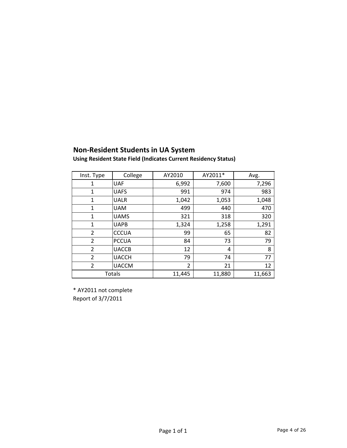## **Non‐Resident Students in UA System**

|  |  | Using Resident State Field (Indicates Current Residency Status) |
|--|--|-----------------------------------------------------------------|
|--|--|-----------------------------------------------------------------|

| Inst. Type     | College      | AY2010 | AY2011* | Avg.   |
|----------------|--------------|--------|---------|--------|
| 1              | <b>UAF</b>   | 6,992  | 7,600   | 7,296  |
| 1              | <b>UAFS</b>  | 991    | 974     | 983    |
| 1              | <b>UALR</b>  | 1,042  | 1,053   | 1,048  |
| 1              | <b>UAM</b>   | 499    | 440     | 470    |
| $\mathbf{1}$   | <b>UAMS</b>  | 321    | 318     | 320    |
| $\mathbf{1}$   | <b>UAPB</b>  | 1,324  | 1,258   | 1,291  |
| $\overline{2}$ | <b>CCCUA</b> | 99     | 65      | 82     |
| $\overline{2}$ | <b>PCCUA</b> | 84     | 73      | 79     |
| $\overline{2}$ | <b>UACCB</b> | 12     | 4       | 8      |
| $\overline{2}$ | <b>UACCH</b> | 79     | 74      | 77     |
| $\overline{2}$ | <b>UACCM</b> | 2      | 21      | 12     |
|                | Totals       | 11,445 | 11,880  | 11,663 |

\* AY2011 not complete Report of 3/7/2011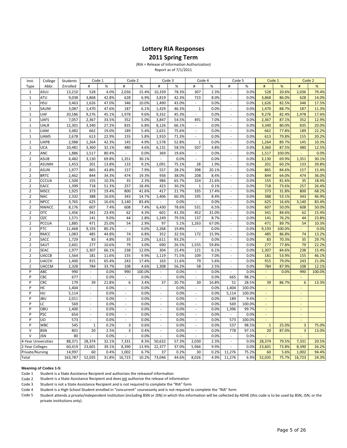#### **Lottery RIA Responses**

#### **2011 Spring Term**

(RIA = Release of Information Authorization) Report as of 7/1/2011

| Inst.               | College                    | Students   | Code 1                      |               |                          | Code 2         |                                   | Code 3        |                                                      | Code 4       |                          | Code 5       |                          | Code 1        |                          | Code 2          |
|---------------------|----------------------------|------------|-----------------------------|---------------|--------------------------|----------------|-----------------------------------|---------------|------------------------------------------------------|--------------|--------------------------|--------------|--------------------------|---------------|--------------------------|-----------------|
| Type                | Abbr.                      | Enrolled   | #                           | $\%$          | #                        | %              | #                                 | $\%$          | #                                                    | $\%$         | #                        | %            | #                        | %             | #                        | $\%$            |
| $\mathbf{1}$        | ASUJ                       | 13,210     | 528                         | 4.0%          | 2,036                    | 15.4%          | 10,339                            | 78.3%         | 307                                                  | 2.3%         | L.                       | 0.0%         | 528                      | 20.6%         | 2,036                    | 79.4%           |
| $\mathbf 1$         | <b>ATU</b>                 | 9,038      | 3,868                       | 42.8%         | 628                      | 6.9%           | 3,819                             | 42.3%         | 723                                                  | 8.0%         | L.                       | 0.0%         | 3,868                    | 86.0%         | 628                      | 14.0%           |
| $\mathbf 1$         | <b>HSU</b>                 | 3,463      | 1,626                       | 47.0%         | 346                      | 10.0%          | 1,490                             | 43.0%         | $\overline{\phantom{a}}$                             | 0.0%         | ÷,                       | 0.0%         | 1,626                    | 82.5%         | 346                      | 17.5%           |
| $\mathbf{1}$        | SAUM                       | 3,087      | 1,470                       | 47.6%         | 187                      | 6.1%           | 1,429                             | 46.3%         | $\mathbf 1$                                          | 0.0%         | ÷,                       | 0.0%         | 1,470                    | 88.7%         | 187                      | 11.3%           |
| $\mathbf 1$         | <b>UAF</b>                 | 20,586     | 9,276                       | 45.1%         | 1,978                    | 9.6%           | 9,332                             | 45.3%         | $\mathcal{L}_{\mathcal{A}}$                          | 0.0%         | L.                       | 0.0%         | 9,276                    | 82.4%         | 1,978                    | 17.6%           |
| $\mathbf 1$         | <b>UAFS</b>                | 7,057      | 2,367                       | 33.5%         | 352                      | 5.0%           | 3,847                             | 54.5%         | 491                                                  | 7.0%         | ÷,                       | 0.0%         | 2,367                    | 87.1%         | 352                      | 12.9%           |
| $\mathbf 1$         | <b>UALR</b>                | 12,301     | 3,340                       | 27.2%         | 835                      | 6.8%           | 8,126                             | 66.1%         | $\mathcal{L}_{\mathcal{A}}$                          | 0.0%         | $\mathbb{Z}^2$           | 0.0%         | 3,340                    | 80.0%         | 835                      | 20.0%           |
| $\mathbf{1}$        | <b>UAM</b>                 | 3,482      | 662                         | 19.0%         | 189                      | 5.4%           | 2,631                             | 75.6%         | $\overline{\phantom{a}}$                             | 0.0%         | $\overline{\phantom{a}}$ | 0.0%         | 662                      | 77.8%         | 189                      | 22.2%           |
| $\mathbf 1$         | <b>UAMS</b>                | 2,678      | 613                         | 22.9%         | 155                      | 5.8%           | 1,910                             | 71.3%         | $\mathcal{L}_{\mathcal{A}}$                          | 0.0%         | $\overline{\phantom{a}}$ | 0.0%         | 613                      | 79.8%         | 155                      | 20.2%           |
| $\mathbf 1$         | <b>UAPB</b>                | 2,988      | 1,264                       | 42.3%         | 145                      | 4.9%           | 1,578                             | 52.8%         | $\,1\,$                                              | 0.0%         | ä,                       | 0.0%         | 1,264                    | 89.7%         | 145                      | 10.3%           |
| $\mathbf 1$         | <b>UCA</b>                 | 10,481     | 3,360                       | 32.1%         | 480                      | 4.6%           | 6,131                             | 58.5%         | 507                                                  | 4.8%         | $\frac{1}{2}$            | 0.0%         | 3,360                    | 87.5%         | 480                      | 12.5%           |
| $\overline{2}$      | ANC                        | 1,886      | 1,517                       | 80.4%         | $\sim$                   | 0.0%           | 369                               | 19.6%         | $\overline{\phantom{a}}$                             | 0.0%         | ä,                       | 0.0%         | 1,517                    | 100.0%        | $\sim$                   | 0.0%            |
| $\overline{2}$      | <b>ASUB</b>                | 4,482      | 3,130                       | 69.8%         | 1,351                    | 30.1%          | $\overline{\phantom{a}}$          | 0.0%          | $\overline{\phantom{a}}$                             | 0.0%         | $\overline{\phantom{m}}$ | 0.0%         | 3,130                    | 69.9%         | 1,351                    | 30.1%           |
| $\overline{2}$      | <b>ASUMH</b>               | 1,453      | 201                         | 13.8%         | 133                      | 9.2%           | 1,091                             | 75.1%         | 28                                                   | 1.9%         | ä,                       | 0.0%         | 201                      | 60.2%         | 133                      | 39.8%           |
| $\mathbf{2}$        | <b>ASUN</b>                | 1,977      | 865                         | 43.8%         | 157                      | 7.9%           | 557                               | 28.2%         | 398                                                  | 20.1%        | ä,                       | 0.0%         | 865                      | 84.6%         | 157                      | 15.4%           |
| $\overline{2}$      | <b>BRTC</b>                | 2,462      | 844                         | 34.3%         | 474                      | 19.3%          | 936                               | 38.0%         | 208                                                  | 8.4%         |                          | 0.0%         | 844                      | 64.0%         | 474                      | 36.0%           |
| $\overline{2}$      | <b>CCCUA</b>               | 1,500      | 155                         | 10.3%         | 35                       | 2.3%           | 986                               | 65.7%         | 324                                                  | 21.6%        | ÷,                       | 0.0%         | 155                      | 81.6%         | 35                       | 18.4%           |
| $\overline{2}$      | EACC                       | 1,399      | 718                         | 51.3%         | 257                      | 18.4%          | 423                               | 30.2%         | $\mathbf 1$                                          | 0.1%         | $\overline{\phantom{a}}$ | 0.0%         | 718                      | 73.6%         | 257                      | 26.4%           |
| $\mathbf 2$         | <b>MSCC</b>                | 1,925      | 373                         | 19.4%         | 800                      | 41.6%          | 417                               | 21.7%         | 335                                                  | 17.4%        | ÷,                       | 0.0%         | 373                      | 31.8%         | 800                      | 68.2%           |
| $\overline{2}$      | <b>NAC</b>                 | 2,332      | 388                         | 16.6%         | 343                      | 14.7%          | 1,406                             | 60.3%         | 195                                                  | 8.4%         | $\Box$                   | 0.0%         | 388                      | 53.1%         | 343                      | 46.9%           |
| $\mathbf 2$         | <b>NPCC</b>                | 3,765      | 625                         | 16.6%         | 3,140                    | 83.4%          | $\overline{\phantom{a}}$          | 0.0%          | $\overline{\phantom{a}}$                             | 0.0%         | ÷,                       | 0.0%         | 625                      | 16.6%         | 3,140                    | 83.4%           |
| $\overline{2}$      | <b>NWACC</b>               | 8,176      | 607                         | 7.4%          | 608                      | 7.4%           | 6,430                             | 78.6%         | 531                                                  | 6.5%         | $\overline{\phantom{m}}$ | 0.0%         | 607                      | 50.0%         | 608                      | 50.0%           |
| $\mathbf 2$         | OTC                        | 1,456      | 341                         | 23.4%         | 62                       | 4.3%           | 601                               | 41.3%         | 452                                                  | 31.0%        | ÷,                       | 0.0%         | 341                      | 84.6%         | 62                       | 15.4%           |
| $\overline{2}$      | <b>OZC</b>                 | 1,571      | 141                         | 9.0%          | 44                       | 2.8%           | 1,249                             | 79.5%         | 137                                                  | 8.7%         | L.                       | 0.0%         | 141                      | 76.2%         | 44                       | 23.8%           |
| $\mathbf 2$         | <b>PCCUA</b>               | 1,885      | 471                         | 25.0%         | 54                       | 2.9%           | 97                                | 5.1%          | 1,263                                                | 67.0%        | $\overline{\phantom{a}}$ | 0.0%         | 471                      | 89.7%         | 54                       | 10.3%           |
| $\overline{2}$      | PTC                        | 11,468     | 9,193                       | 80.2%         | $\overline{\phantom{a}}$ | 0.0%           | 2,268                             | 19.8%         | $\overline{\phantom{a}}$                             | 0.0%         | $\overline{\phantom{m}}$ | 0.0%         | 9,193                    | 100.0%        | ÷,                       | 0.0%            |
| $\mathbf{2}$        | RMCC                       | 1,083      | 485                         | 44.8%         | 74                       | 6.8%           | 352                               | 32.5%         | 172                                                  | 15.9%        | $\overline{a}$           | 0.0%         | 485                      | 86.8%         | 74                       | 13.2%           |
| $\overline{2}$      | SACC                       | 1,729      | 83                          | 4.8%          | 35                       | 2.0%           | 1,611                             | 93.2%         | $\overline{\phantom{a}}$                             | 0.0%         |                          | 0.0%         | 83                       | 70.3%         | 35                       | 29.7%           |
| $\overline{2}$      | SAUT                       | 2,601      | 277                         | 10.6%         | 79                       | 3.0%           | 690                               | 26.5%         | 1,555                                                | 59.8%        |                          | 0.0%         | 277                      | 77.8%         | 79                       | 22.2%           |
| $\overline{2}$      | <b>SEAC</b>                | 1,977      | 1,307                       | 66.1%         | 238                      | 12.0%          | 304                               | 15.4%         | 121                                                  | 6.1%         | $\overline{a}$           | 0.0%         | 1,307                    | 84.6%         | 238                      | 15.4%           |
| $\mathbf 2$         | <b>UACCB</b>               | 1,564      | 181                         | 11.6%         | 155                      | 9.9%           | 1,119                             | 71.5%         | 109                                                  | 7.0%         | L.                       | 0.0%         | 181                      | 53.9%         | 155                      | 46.1%           |
| $\overline{2}$      | <b>UACCH</b>               | 1,400      | 915                         | 65.4%         | 243                      | 17.4%          | 163                               | 11.6%         | 79                                                   | 5.6%         | ÷,                       | 0.0%         | 915                      | 79.0%         | 243                      | 21.0%           |
| $\mathbf 2$<br>P    | <b>UACCM</b><br><b>ABC</b> | 2,328      | 784<br>$\omega$             | 33.7%<br>0.0% | 108<br>990               | 4.6%<br>100.0% | 1,308<br>$\overline{\phantom{a}}$ | 56.2%<br>0.0% | 58                                                   | 2.5%<br>0.0% | ä,<br>ä,                 | 0.0%<br>0.0% | 784<br>$\omega$          | 87.9%<br>0.0% | 108<br>990               | 12.1%<br>100.0% |
| P                   | CBC                        | 990<br>677 | $\bar{\phantom{a}}$         | 0.0%          | $\overline{\phantom{a}}$ | 0.0%           | $\overline{\phantom{a}}$          | 0.0%          | $\overline{\phantom{a}}$<br>$\overline{\phantom{a}}$ | 0.0%         | 665                      | 98.2%        | ÷.                       |               | ä,                       |                 |
| P                   | CRC                        | 179        | 39                          | 21.8%         | 6                        | 3.4%           | 37                                | 20.7%         | 30                                                   | 16.8%        | 51                       | 28.5%        | 39                       | 86.7%         | $6\overline{6}$          | 13.3%           |
| ${\sf P}$           | HC                         | 1,404      | $\mathcal{L}^{\mathcal{A}}$ | 0.0%          | $\overline{\phantom{a}}$ | 0.0%           | $\mathbb{Z}^2$                    | 0.0%          | $\mathcal{L}_{\mathcal{A}}$                          | 0.0%         | 1,404                    | 100.0%       | ÷.                       |               | $\omega$                 |                 |
| P                   | HU                         | 5,114      | $\bar{\phantom{a}}$         | 0.0%          | $\overline{\phantom{a}}$ | 0.0%           | $\overline{\phantom{a}}$          | 0.0%          | $\overline{\phantom{a}}$                             | 0.0%         | 5,114                    | 100.0%       | $\overline{\phantom{a}}$ |               |                          |                 |
| ${\sf P}$           | <b>JBU</b>                 | 2,011      | $\omega$                    | 0.0%          | $\mathbb{Z}^2$           | 0.0%           | $\omega$                          | 0.0%          | ä,                                                   | 0.0%         | 189                      | 9.4%         | $\omega$                 |               | ÷,                       |                 |
| P                   | LC                         | 569        | $\overline{\phantom{a}}$    | 0.0%          | $\overline{\phantom{a}}$ | 0.0%           | $\overline{\phantom{a}}$          | 0.0%          | ÷,                                                   | 0.0%         | 569                      | 100.0%       | $\overline{\phantom{a}}$ |               | $\overline{\phantom{a}}$ |                 |
| P                   | OBU                        | 1,400      | $\sim$                      | 0.0%          | $\blacksquare$           | 0.0%           | $\overline{\phantom{a}}$          | 0.0%          | ÷,                                                   | 0.0%         | 1,396                    | 99.7%        | $\omega$                 |               | $\blacksquare$           |                 |
| P                   | <b>PSC</b>                 | 654        | $\overline{\phantom{a}}$    | 0.0%          | $\overline{\phantom{a}}$ | 0.0%           | $\overline{\phantom{a}}$          | 0.0%          | ä,                                                   | 0.0%         |                          | 0.0%         | $\blacksquare$           |               |                          |                 |
| ${\sf P}$           | UO                         | 573        | $\mathcal{L}$               | 0.0%          | $\omega$                 | 0.0%           | $\overline{\phantom{a}}$          | 0.0%          | L.                                                   | 0.0%         | 573                      | 100.0%       | $\omega$                 |               | L.                       |                 |
| P                   | <b>WBC</b>                 | 545        | $\mathbf 1$                 | 0.2%          | 3                        | 0.6%           | $\blacksquare$                    | 0.0%          | $\mathcal{L}_{\mathcal{A}}$                          | 0.0%         | 537                      | 98.5%        | $\mathbf 1$              | 25.0%         | $\overline{3}$           | 75.0%           |
| $\mathsf{V}$        | <b>BSN</b>                 | 801        | 20                          | 2.5%          | 3                        | 0.4%           | ÷,                                | 0.0%          | $\overline{\phantom{a}}$                             | 0.0%         | 778                      | 97.1%        | 20                       | 87.0%         | $\overline{\mathbf{3}}$  | 13.0%           |
| $\vee$              | <b>JSN</b>                 | 80         | $\overline{\phantom{a}}$    | 0.0%          | $\overline{\phantom{a}}$ | 0.0%           | $\overline{a}$                    | 0.0%          | $\overline{\phantom{a}}$                             | 0.0%         | $\overline{\phantom{a}}$ | 0.0%         | ä,                       |               | $\sim$                   |                 |
| 4-Year Universities |                            | 88,371     | 28,374                      | 32.1%         | 7,331                    | 8.3%           | 50,632                            | 57.3%         | 2,030                                                | 2.3%         | ÷,                       | 0.0%         | 28,374                   | 79.5%         | 7,331                    | 20.5%           |
| 2-Year Colleges     |                            | 60,419     | 23,601                      | 39.1%         | 8,390                    | 13.9%          | 22,377                            | 37.0%         | 5,966                                                | 9.9%         |                          | 0.0%         | 23,601                   | 73.8%         | 8,390                    | 26.2%           |
| Private/Nursing     |                            | 14,997     | 60                          | 0.4%          | 1,002                    | 6.7%           | 37                                | 0.2%          | 30                                                   | 0.2%         | 11,276                   | 75.2%        | 60                       | 5.6%          | 1,002                    | 94.4%           |
| Total               |                            | 163,787    | 52,035                      | 31.8%         | 16,723                   | 10.2%          | 73,046                            | 44.6%         | 8,026                                                | 4.9%         | 11,276                   | 6.9%         | 52,035                   | 75.7%         | 16,723                   | 24.3%           |

#### **Meaning of Codes 1-5:**

Code 1 Student is a State Assistance Recipient and authorizes the releaseof information

Code 2 Student is a State Assistance Recipient and does not authorize the release of information

Code 3 Student is not a State Assistance Recipient and is not required to complete the "RIA" form

Code 4 Student is a High School Student enrolled in "concurrent" coursesonly and is not required to complete the "RIA" form

Code 5 Student attends a private/independent institution (including BSN or JSN) in which this information will be collected by ADHE (this code is to be used by BSN, JSN, or the private institutions only).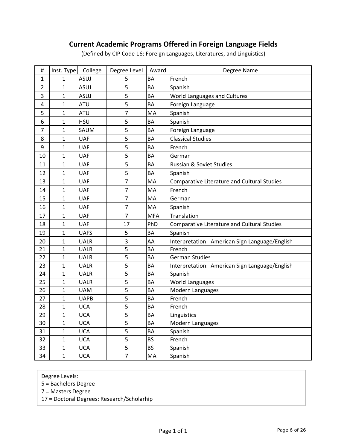### **Current Academic Programs Offered in Foreign Language Fields**

(Defined by CIP Code 16: Foreign Languages, Literatures, and Linguistics)

| $\#$           | Inst. Type   | College     | Degree Level   | Award      | Degree Name                                        |
|----------------|--------------|-------------|----------------|------------|----------------------------------------------------|
| $\mathbf{1}$   | 1            | ASUJ        | 5              | BA         | French                                             |
| $\overline{2}$ | $\mathbf{1}$ | ASUJ        | 5              | BA         | Spanish                                            |
| 3              | 1            | <b>ASUJ</b> | 5              | <b>BA</b>  | World Languages and Cultures                       |
| 4              | $\mathbf{1}$ | <b>ATU</b>  | 5              | BA         | Foreign Language                                   |
| 5              | $\mathbf{1}$ | <b>ATU</b>  | 7              | MA         | Spanish                                            |
| 6              | $\mathbf{1}$ | <b>HSU</b>  | 5              | <b>BA</b>  | Spanish                                            |
| $\overline{7}$ | $\mathbf{1}$ | SAUM        | 5              | BA         | Foreign Language                                   |
| 8              | $\mathbf{1}$ | <b>UAF</b>  | 5              | BA         | <b>Classical Studies</b>                           |
| 9              | $\mathbf 1$  | <b>UAF</b>  | 5              | <b>BA</b>  | French                                             |
| 10             | $\mathbf{1}$ | <b>UAF</b>  | 5              | BA         | German                                             |
| 11             | $\mathbf{1}$ | <b>UAF</b>  | 5              | BA         | Russian & Soviet Studies                           |
| 12             | $\mathbf{1}$ | <b>UAF</b>  | 5              | <b>BA</b>  | Spanish                                            |
| 13             | $\mathbf{1}$ | <b>UAF</b>  | $\overline{7}$ | MA         | <b>Comparative Literature and Cultural Studies</b> |
| 14             | $\mathbf{1}$ | <b>UAF</b>  | 7              | MA         | French                                             |
| 15             | $\mathbf 1$  | <b>UAF</b>  | 7              | MA         | German                                             |
| 16             | $\mathbf{1}$ | <b>UAF</b>  | 7              | MA         | Spanish                                            |
| 17             | $\mathbf{1}$ | <b>UAF</b>  | 7              | <b>MFA</b> | Translation                                        |
| 18             | $\mathbf{1}$ | <b>UAF</b>  | 17             | PhD        | Comparative Literature and Cultural Studies        |
| 19             | $\mathbf{1}$ | <b>UAFS</b> | 5              | BA         | Spanish                                            |
| 20             | $\mathbf{1}$ | <b>UALR</b> | 3              | AA         | Interpretation: American Sign Language/English     |
| 21             | $\mathbf{1}$ | <b>UALR</b> | 5              | BA         | French                                             |
| 22             | $\mathbf{1}$ | <b>UALR</b> | 5              | BA         | <b>German Studies</b>                              |
| 23             | $\mathbf{1}$ | <b>UALR</b> | 5              | BA         | Interpretation: American Sign Language/English     |
| 24             | $\mathbf{1}$ | <b>UALR</b> | 5              | BA         | Spanish                                            |
| 25             | $\mathbf{1}$ | <b>UALR</b> | 5              | BA         | <b>World Languages</b>                             |
| 26             | $\mathbf{1}$ | <b>UAM</b>  | 5              | BA         | Modern Languages                                   |
| 27             | $\mathbf{1}$ | <b>UAPB</b> | 5              | <b>BA</b>  | French                                             |
| 28             | $\mathbf{1}$ | <b>UCA</b>  | 5              | ВA         | French                                             |
| 29             | $\mathbf{1}$ | <b>UCA</b>  | 5              | <b>BA</b>  | Linguistics                                        |
| 30             | 1            | <b>UCA</b>  | 5              | BA         | Modern Languages                                   |
| 31             | $\mathbf{1}$ | <b>UCA</b>  | 5              | BA         | Spanish                                            |
| 32             | $\mathbf{1}$ | <b>UCA</b>  | 5              | <b>BS</b>  | French                                             |
| 33             | $\mathbf 1$  | <b>UCA</b>  | 5              | <b>BS</b>  | Spanish                                            |
| 34             | $\mathbf 1$  | <b>UCA</b>  | $\overline{7}$ | MA         | Spanish                                            |

Degree Levels:

5 = Bachelors Degree

7 = Masters Degree

17 = Doctoral Degrees: Research/Scholarhip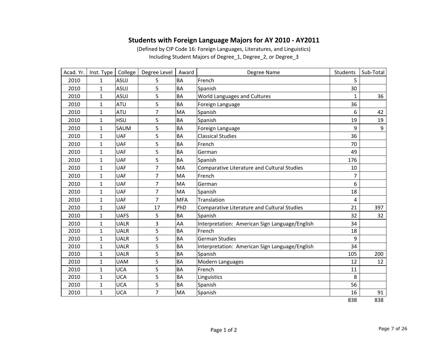#### **Students with Foreign Language Majors for AY 2010 ‐ AY2011**

(Defined by CIP Code 16: Foreign Languages, Literatures, and Linguistics) Including Student Majors of Degree\_1, Degree\_2, or Degree\_3

| Acad. Yr. | Inst. Type   | College     | Degree Level | Award      | Degree Name                                        | <b>Students</b> | Sub-Total |
|-----------|--------------|-------------|--------------|------------|----------------------------------------------------|-----------------|-----------|
| 2010      | $\mathbf{1}$ | ASUJ        | 5            | <b>BA</b>  | French                                             | 5               |           |
| 2010      | $\mathbf{1}$ | <b>ASUJ</b> | 5            | <b>BA</b>  | Spanish                                            | 30              |           |
| 2010      | $\mathbf{1}$ | ASUJ        | 5            | <b>BA</b>  | World Languages and Cultures                       | $\mathbf{1}$    | 36        |
| 2010      | $\mathbf{1}$ | <b>ATU</b>  | 5            | <b>BA</b>  | Foreign Language                                   | 36              |           |
| 2010      | $\mathbf{1}$ | <b>ATU</b>  | 7            | MA         | Spanish                                            | 6               | 42        |
| 2010      | $\mathbf{1}$ | <b>HSU</b>  | 5            | <b>BA</b>  | Spanish                                            | 19              | 19        |
| 2010      | 1            | SAUM        | 5            | <b>BA</b>  | Foreign Language                                   | 9               | 9         |
| 2010      | $\mathbf{1}$ | <b>UAF</b>  | 5            | <b>BA</b>  | <b>Classical Studies</b>                           | 36              |           |
| 2010      | $\mathbf{1}$ | <b>UAF</b>  | 5            | <b>BA</b>  | French                                             | 70              |           |
| 2010      | $\mathbf{1}$ | <b>UAF</b>  | 5            | <b>BA</b>  | German                                             | 49              |           |
| 2010      | $\mathbf{1}$ | <b>UAF</b>  | 5            | BA         | Spanish                                            | 176             |           |
| 2010      | $\mathbf{1}$ | <b>UAF</b>  | 7            | MA         | <b>Comparative Literature and Cultural Studies</b> | 10              |           |
| 2010      | $\mathbf{1}$ | <b>UAF</b>  | 7            | MA         | French                                             | 7               |           |
| 2010      | $\mathbf{1}$ | <b>UAF</b>  | 7            | MA         | German                                             | 6               |           |
| 2010      | $\mathbf{1}$ | <b>UAF</b>  | 7            | MA         | Spanish                                            | 18              |           |
| 2010      | $\mathbf{1}$ | <b>UAF</b>  | 7            | <b>MFA</b> | Translation                                        | 4               |           |
| 2010      | $\mathbf{1}$ | <b>UAF</b>  | 17           | PhD        | Comparative Literature and Cultural Studies        | 21              | 397       |
| 2010      | $\mathbf{1}$ | <b>UAFS</b> | 5            | <b>BA</b>  | Spanish                                            | 32              | 32        |
| 2010      | $\mathbf{1}$ | <b>UALR</b> | 3            | AA         | Interpretation: American Sign Language/English     | 34              |           |
| 2010      | $\mathbf{1}$ | <b>UALR</b> | 5            | <b>BA</b>  | French                                             | 18              |           |
| 2010      | $\mathbf{1}$ | <b>UALR</b> | 5            | <b>BA</b>  | <b>German Studies</b>                              | 9               |           |
| 2010      | $\mathbf{1}$ | <b>UALR</b> | 5            | <b>BA</b>  | Interpretation: American Sign Language/English     | 34              |           |
| 2010      | $\mathbf{1}$ | <b>UALR</b> | 5            | <b>BA</b>  | Spanish                                            | 105             | 200       |
| 2010      | $\mathbf{1}$ | <b>UAM</b>  | 5            | <b>BA</b>  | Modern Languages                                   | 12              | 12        |
| 2010      | $\mathbf{1}$ | <b>UCA</b>  | 5            | <b>BA</b>  | French                                             | 11              |           |
| 2010      | $\mathbf{1}$ | <b>UCA</b>  | 5            | <b>BA</b>  | Linguistics                                        | 8               |           |
| 2010      | $\mathbf{1}$ | <b>UCA</b>  | 5            | <b>BA</b>  | Spanish                                            | 56              |           |
| 2010      | $\mathbf{1}$ | <b>UCA</b>  | 7            | MA         | Spanish                                            | 16              | 91        |
|           |              |             |              |            |                                                    | 838             | 838       |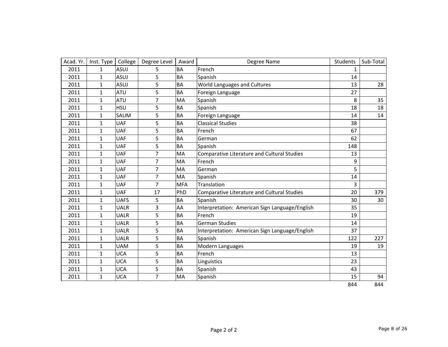| Acad. Yr. | Inst. Type   | College     | Degree Level   | Award      | Degree Name                                    | Students     | Sub-Total |
|-----------|--------------|-------------|----------------|------------|------------------------------------------------|--------------|-----------|
| 2011      | $\mathbf{1}$ | <b>ASUJ</b> | 5              | <b>BA</b>  | French                                         | $\mathbf{1}$ |           |
| 2011      | $\mathbf{1}$ | <b>ASUJ</b> | 5              | <b>BA</b>  | Spanish                                        | 14           |           |
| 2011      | $\mathbf{1}$ | ASUJ        | 5              | <b>BA</b>  | World Languages and Cultures                   | 13           | 28        |
| 2011      | 1            | <b>ATU</b>  | 5              | BA         | Foreign Language                               | 27           |           |
| 2011      | $\mathbf{1}$ | <b>ATU</b>  | $\overline{7}$ | MA         | Spanish                                        | 8            | 35        |
| 2011      | $\mathbf{1}$ | <b>HSU</b>  | 5              | <b>BA</b>  | Spanish                                        | 18           | 18        |
| 2011      | $\mathbf{1}$ | SAUM        | 5              | <b>BA</b>  | Foreign Language                               | 14           | 14        |
| 2011      | $\mathbf{1}$ | <b>UAF</b>  | 5              | <b>BA</b>  | <b>Classical Studies</b>                       | 38           |           |
| 2011      | $\mathbf{1}$ | <b>UAF</b>  | 5              | <b>BA</b>  | French                                         | 67           |           |
| 2011      | $\mathbf{1}$ | <b>UAF</b>  | 5              | <b>BA</b>  | German                                         | 62           |           |
| 2011      | $\mathbf{1}$ | <b>UAF</b>  | 5              | <b>BA</b>  | Spanish                                        | 148          |           |
| 2011      | $\mathbf{1}$ | <b>UAF</b>  | $\overline{7}$ | MA         | Comparative Literature and Cultural Studies    | 13           |           |
| 2011      | $\mathbf{1}$ | <b>UAF</b>  | $\overline{7}$ | MA         | French                                         | 9            |           |
| 2011      | $\mathbf{1}$ | <b>UAF</b>  | $\overline{7}$ | MA         | German                                         | 5            |           |
| 2011      | $\mathbf{1}$ | <b>UAF</b>  | $\overline{7}$ | MA         | Spanish                                        | 14           |           |
| 2011      | $\mathbf{1}$ | <b>UAF</b>  | $\overline{7}$ | <b>MFA</b> | Translation                                    | 3            |           |
| 2011      | $\mathbf{1}$ | <b>UAF</b>  | 17             | PhD        | Comparative Literature and Cultural Studies    | 20           | 379       |
| 2011      | $\mathbf{1}$ | <b>UAFS</b> | 5              | <b>BA</b>  | Spanish                                        | 30           | 30        |
| 2011      | $\mathbf{1}$ | <b>UALR</b> | 3              | AA         | Interpretation: American Sign Language/English | 35           |           |
| 2011      | $\mathbf{1}$ | <b>UALR</b> | 5              | BA         | French                                         | 19           |           |
| 2011      | $\mathbf{1}$ | <b>UALR</b> | 5              | <b>BA</b>  | <b>German Studies</b>                          | 14           |           |
| 2011      | $\mathbf{1}$ | <b>UALR</b> | 5              | <b>BA</b>  | Interpretation: American Sign Language/English | 37           |           |
| 2011      | $\mathbf{1}$ | <b>UALR</b> | 5              | <b>BA</b>  | Spanish                                        | 122          | 227       |
| 2011      | $\mathbf{1}$ | <b>UAM</b>  | 5              | <b>BA</b>  | Modern Languages                               | 19           | 19        |
| 2011      | $\mathbf{1}$ | <b>UCA</b>  | 5              | <b>BA</b>  | French                                         | 13           |           |
| 2011      | $\mathbf{1}$ | <b>UCA</b>  | 5              | <b>BA</b>  | Linguistics                                    | 23           |           |
| 2011      | $\mathbf{1}$ | <b>UCA</b>  | 5              | <b>BA</b>  | Spanish                                        | 43           |           |
| 2011      | $\mathbf{1}$ | <b>UCA</b>  | $\overline{7}$ | MA         | Spanish                                        | 15           | 94        |
|           |              |             |                |            |                                                | 844          | 844       |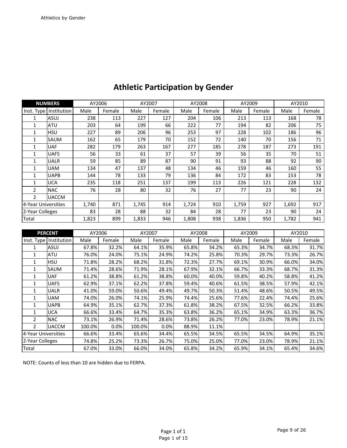|                     | <b>NUMBERS</b>         |       | AY2006 | AY2007 |        |       | AY2008 |       | AY2009 | AY2010 |        |
|---------------------|------------------------|-------|--------|--------|--------|-------|--------|-------|--------|--------|--------|
|                     | Inst. Type Institution | Male  | Female | Male   | Female | Male  | Female | Male  | Female | Male   | Female |
| 1                   | <b>ASUJ</b>            | 238   | 113    | 227    | 127    | 204   | 106    | 213   | 113    | 168    | 78     |
| 1                   | <b>ATU</b>             | 203   | 64     | 199    | 66     | 222   | 77     | 194   | 82     | 206    | 75     |
| $\mathbf{1}$        | <b>HSU</b>             | 227   | 89     | 206    | 96     | 253   | 97     | 228   | 102    | 186    | 96     |
| 1                   | SAUM                   | 162   | 65     | 179    | 70     | 152   | 72     | 140   | 70     | 156    | 71     |
| $\mathbf{1}$        | <b>UAF</b>             | 282   | 179    | 263    | 167    | 277   | 185    | 278   | 187    | 273    | 191    |
| 1                   | <b>UAFS</b>            | 56    | 33     | 61     | 37     | 57    | 39     | 56    | 35     | 70     | 51     |
| 1                   | UALR                   | 59    | 85     | 89     | 87     | 90    | 91     | 93    | 88     | 92     | 90     |
| 1                   | <b>UAM</b>             | 134   | 47     | 137    | 48     | 134   | 46     | 159   | 46     | 160    | 55     |
| 1                   | <b>UAPB</b>            | 144   | 78     | 133    | 79     | 136   | 84     | 172   | 83     | 153    | 78     |
| $\mathbf{1}$        | <b>UCA</b>             | 235   | 118    | 251    | 137    | 199   | 113    | 226   | 121    | 228    | 132    |
| $\overline{2}$      | <b>NAC</b>             | 76    | 28     | 80     | 32     | 76    | 27     | 77    | 23     | 90     | 24     |
| $\mathcal{P}$       | <b>UACCM</b>           |       |        |        |        |       |        |       |        |        |        |
| 4-Year Universities |                        | 1,740 | 871    | 1,745  | 914    | 1,724 | 910    | 1,759 | 927    | 1,692  | 917    |
| 2-Year Colleges     |                        | 83    | 28     | 88     | 32     | 84    | 28     | 77    | 23     | 90     | 24     |
| Total               |                        | 1,823 | 899    | 1,833  | 946    | 1,808 | 938    | 1,836 | 950    | 1,782  | 941    |

## **Athletic Participation by Gender**

|                     | <b>PERCENT</b>           | AY2006 |        | AY2007 |        | AY2008 |        | AY2009 |        | AY2010 |        |
|---------------------|--------------------------|--------|--------|--------|--------|--------|--------|--------|--------|--------|--------|
|                     | Inst. Type   Institution | Male   | Female | Male   | Female | Male   | Female | Male   | Female | Male   | Female |
|                     | <b>ASUJ</b>              | 67.8%  | 32.2%  | 64.1%  | 35.9%  | 65.8%  | 34.2%  | 65.3%  | 34.7%  | 68.3%  | 31.7%  |
| 1                   | ATU                      | 76.0%  | 24.0%  | 75.1%  | 24.9%  | 74.2%  | 25.8%  | 70.3%  | 29.7%  | 73.3%  | 26.7%  |
| 1                   | <b>HSU</b>               | 71.8%  | 28.2%  | 68.2%  | 31.8%  | 72.3%  | 27.7%  | 69.1%  | 30.9%  | 66.0%  | 34.0%  |
| 1                   | <b>SAUM</b>              | 71.4%  | 28.6%  | 71.9%  | 28.1%  | 67.9%  | 32.1%  | 66.7%  | 33.3%  | 68.7%  | 31.3%  |
| 1                   | <b>UAF</b>               | 61.2%  | 38.8%  | 61.2%  | 38.8%  | 60.0%  | 40.0%  | 59.8%  | 40.2%  | 58.8%  | 41.2%  |
| 1                   | <b>UAFS</b>              | 62.9%  | 37.1%  | 62.2%  | 37.8%  | 59.4%  | 40.6%  | 61.5%  | 38.5%  | 57.9%  | 42.1%  |
| 1                   | <b>UALR</b>              | 41.0%  | 59.0%  | 50.6%  | 49.4%  | 49.7%  | 50.3%  | 51.4%  | 48.6%  | 50.5%  | 49.5%  |
| 1                   | UAM                      | 74.0%  | 26.0%  | 74.1%  | 25.9%  | 74.4%  | 25.6%  | 77.6%  | 22.4%  | 74.4%  | 25.6%  |
| 1                   | <b>UAPB</b>              | 64.9%  | 35.1%  | 62.7%  | 37.3%  | 61.8%  | 38.2%  | 67.5%  | 32.5%  | 66.2%  | 33.8%  |
|                     | UCA                      | 66.6%  | 33.4%  | 64.7%  | 35.3%  | 63.8%  | 36.2%  | 65.1%  | 34.9%  | 63.3%  | 36.7%  |
| $\overline{2}$      | <b>NAC</b>               | 73.1%  | 26.9%  | 71.4%  | 28.6%  | 73.8%  | 26.2%  | 77.0%  | 23.0%  | 78.9%  | 21.1%  |
| $\mathcal{P}$       | <b>UACCM</b>             | 100.0% | 0.0%   | 100.0% | 0.0%   | 88.9%  | 11.1%  |        |        |        |        |
| 4-Year Universities |                          | 66.6%  | 33.4%  | 65.6%  | 34.4%  | 65.5%  | 34.5%  | 65.5%  | 34.5%  | 64.9%  | 35.1%  |
| 2-Year Colleges     |                          | 74.8%  | 25.2%  | 73.3%  | 26.7%  | 75.0%  | 25.0%  | 77.0%  | 23.0%  | 78.9%  | 21.1%  |
| Total               |                          | 67.0%  | 33.0%  | 66.0%  | 34.0%  | 65.8%  | 34.2%  | 65.9%  | 34.1%  | 65.4%  | 34.6%  |

NOTE: Counts of less than 10 are hidden due to FERPA.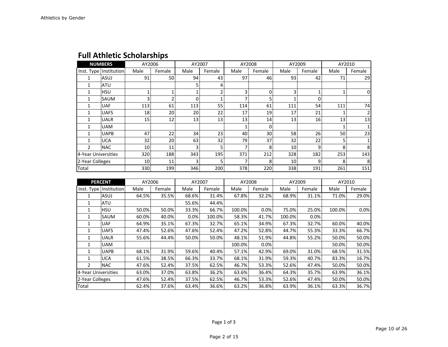|                     | <b>NUMBERS</b>         | AY2006 |                | AY2007   |        | AY2008 |        | AY2009 |        | AY2010 |        |
|---------------------|------------------------|--------|----------------|----------|--------|--------|--------|--------|--------|--------|--------|
|                     | Inst. Type Institution | Male   | Female         | Male     | Female | Male   | Female | Male   | Female | Male   | Female |
| 1                   | ASUJ                   | 91     | 50             | 94       | 43     | 97     | 46     | 93     | 42     | 71     | 29     |
|                     | <b>ATU</b>             |        |                | 5        | 4      |        |        |        |        |        |        |
|                     | <b>HSU</b>             |        | 1              |          |        | 3      | 0      | 3      | 1      |        | 0      |
|                     | SAUM                   | 3      | $\overline{2}$ | $\Omega$ |        |        |        |        | 0      |        |        |
|                     | <b>UAF</b>             | 113    | 61             | 113      | 55     | 114    | 61     | 111    | 54     | 111    | 74     |
|                     | <b>UAFS</b>            | 18     | 20             | 20       | 22     | 17     | 19     | 17     | 21     |        | 2      |
|                     | <b>UALR</b>            | 15     | 12             | 13       | 13     | 13     | 14     | 13     | 16     | 13     | 13     |
|                     | <b>UAM</b>             |        |                |          |        |        | 0      |        |        |        | 1      |
|                     | <b>UAPB</b>            | 47     | 22             | 34       | 23     | 40     | 30     | 58     | 26     | 50     | 23     |
|                     | <b>UCA</b>             | 32     | 20             | 63       | 32     | 79     | 37     | 32     | 22     | 5      |        |
| 2                   | <b>NAC</b>             | 10     | 11             | 3        |        | 7      | 8      | 10     | 9      | 8      | 8      |
| 4-Year Universities |                        | 320    | 188            | 343      | 195    | 371    | 212    | 328    | 182    | 253    | 143    |
| 2-Year Colleges     |                        | 10     | 11             | 3        |        |        | 8      | 10     | 9      | 8      | 8      |
| Total               |                        | 330    | 199            | 346      | 200    | 378    | 220    | 338    | 191    | 261    | 151    |

### **Full Athletic Scholarships**

|                     | <b>PERCENT</b>         | AY2006 |        | AY2007 |        |        | AY2008 | AY2009 |        | AY2010 |        |
|---------------------|------------------------|--------|--------|--------|--------|--------|--------|--------|--------|--------|--------|
|                     | Inst. Type Institution | Male   | Female | Male   | Female | Male   | Female | Male   | Female | Male   | Female |
| 1                   | <b>ASUJ</b>            | 64.5%  | 35.5%  | 68.6%  | 31.4%  | 67.8%  | 32.2%  | 68.9%  | 31.1%  | 71.0%  | 29.0%  |
| 1                   | ATU                    |        |        | 55.6%  | 44.4%  |        |        |        |        |        |        |
| 1                   | HSU                    | 50.0%  | 50.0%  | 33.3%  | 66.7%  | 100.0% | 0.0%   | 75.0%  | 25.0%  | 100.0% | 0.0%   |
| 1                   | SAUM                   | 60.0%  | 40.0%  | 0.0%   | 100.0% | 58.3%  | 41.7%  | 100.0% | 0.0%   |        |        |
| 1                   | <b>UAF</b>             | 64.9%  | 35.1%  | 67.3%  | 32.7%  | 65.1%  | 34.9%  | 67.3%  | 32.7%  | 60.0%  | 40.0%  |
| 1                   | <b>UAFS</b>            | 47.4%  | 52.6%  | 47.6%  | 52.4%  | 47.2%  | 52.8%  | 44.7%  | 55.3%  | 33.3%  | 66.7%  |
| 1                   | <b>UALR</b>            | 55.6%  | 44.4%  | 50.0%  | 50.0%  | 48.1%  | 51.9%  | 44.8%  | 55.2%  | 50.0%  | 50.0%  |
| 1                   | <b>UAM</b>             |        |        |        |        | 100.0% | 0.0%   |        |        | 50.0%  | 50.0%  |
| 1                   | <b>UAPB</b>            | 68.1%  | 31.9%  | 59.6%  | 40.4%  | 57.1%  | 42.9%  | 69.0%  | 31.0%  | 68.5%  | 31.5%  |
| 1                   | <b>UCA</b>             | 61.5%  | 38.5%  | 66.3%  | 33.7%  | 68.1%  | 31.9%  | 59.3%  | 40.7%  | 83.3%  | 16.7%  |
| $\overline{2}$      | <b>NAC</b>             | 47.6%  | 52.4%  | 37.5%  | 62.5%  | 46.7%  | 53.3%  | 52.6%  | 47.4%  | 50.0%  | 50.0%  |
| 4-Year Universities |                        | 63.0%  | 37.0%  | 63.8%  | 36.2%  | 63.6%  | 36.4%  | 64.3%  | 35.7%  | 63.9%  | 36.1%  |
| 2-Year Colleges     |                        | 47.6%  | 52.4%  | 37.5%  | 62.5%  | 46.7%  | 53.3%  | 52.6%  | 47.4%  | 50.0%  | 50.0%  |
| Total               |                        | 62.4%  | 37.6%  | 63.4%  | 36.6%  | 63.2%  | 36.8%  | 63.9%  | 36.1%  | 63.3%  | 36.7%  |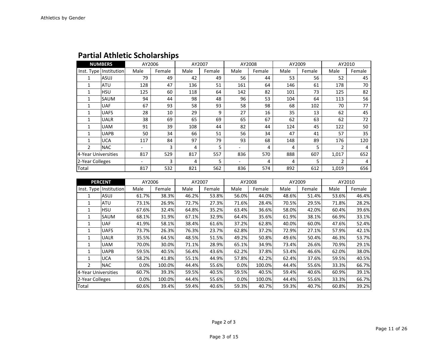|                     | <b>NUMBERS</b>         | AY2006                   |        | AY2007 |        |      | AY2008 |      | AY2009 | AY2010 |        |
|---------------------|------------------------|--------------------------|--------|--------|--------|------|--------|------|--------|--------|--------|
|                     | Inst. Type Institution | Male                     | Female | Male   | Female | Male | Female | Male | Female | Male   | Female |
| 1                   | ASUJ                   | 79                       | 49     | 42     | 49     | 56   | 44     | 53   | 56     | 52     | 45     |
|                     | ATU                    | 128                      | 47     | 136    | 51     | 161  | 64     | 146  | 61     | 178    | 70     |
| 1                   | HSU                    | 125                      | 60     | 118    | 64     | 142  | 82     | 101  | 73     | 125    | 82     |
| 1                   | SAUM                   | 94                       | 44     | 98     | 48     | 96   | 53     | 104  | 64     | 113    | 56     |
|                     | <b>UAF</b>             | 67                       | 93     | 58     | 93     | 58   | 98     | 68   | 102    | 70     | 77     |
| 1                   | <b>UAFS</b>            | 28                       | 10     | 29     | 9      | 27   | 16     | 35   | 13     | 62     | 45     |
| 1                   | <b>UALR</b>            | 38                       | 69     | 65     | 69     | 65   | 67     | 62   | 63     | 62     | 72     |
|                     | <b>UAM</b>             | 91                       | 39     | 108    | 44     | 82   | 44     | 124  | 45     | 122    | 50     |
|                     | <b>UAPB</b>            | 50                       | 34     | 66     | 51     | 56   | 34     | 47   | 41     | 57     | 35     |
| 1                   | <b>UCA</b>             | 117                      | 84     | 97     | 79     | 93   | 68     | 148  | 89     | 176    | 120    |
| $\mathfrak{p}$      | <b>NAC</b>             | $\overline{\phantom{0}}$ | 3      | 4      | 5      |      | 4      | 4    | 5      | 2      | 4      |
| 4-Year Universities |                        | 817                      | 529    | 817    | 557    | 836  | 570    | 888  | 607    | 1,017  | 652    |
| 2-Year Colleges     |                        | $\overline{\phantom{0}}$ | 3      | 4      | 5      | -    | 4      | 4    | 5      | 2      | 4      |
| Total               |                        | 817                      | 532    | 821    | 562    | 836  | 574    | 892  | 612    | 1,019  | 656    |

#### **Partial Athletic Scholarships**

|                     | <b>PERCENT</b>         | AY2006 |        | AY2007 |        | AY2008 |        | AY2009 |        | AY2010 |        |
|---------------------|------------------------|--------|--------|--------|--------|--------|--------|--------|--------|--------|--------|
|                     | Inst. Type Institution | Male   | Female | Male   | Female | Male   | Female | Male   | Female | Male   | Female |
| 1                   | ASUJ                   | 61.7%  | 38.3%  | 46.2%  | 53.8%  | 56.0%  | 44.0%  | 48.6%  | 51.4%  | 53.6%  | 46.4%  |
| 1                   | ATU                    | 73.1%  | 26.9%  | 72.7%  | 27.3%  | 71.6%  | 28.4%  | 70.5%  | 29.5%  | 71.8%  | 28.2%  |
| 1                   | <b>HSU</b>             | 67.6%  | 32.4%  | 64.8%  | 35.2%  | 63.4%  | 36.6%  | 58.0%  | 42.0%  | 60.4%  | 39.6%  |
| 1                   | SAUM                   | 68.1%  | 31.9%  | 67.1%  | 32.9%  | 64.4%  | 35.6%  | 61.9%  | 38.1%  | 66.9%  | 33.1%  |
| 1                   | <b>UAF</b>             | 41.9%  | 58.1%  | 38.4%  | 61.6%  | 37.2%  | 62.8%  | 40.0%  | 60.0%  | 47.6%  | 52.4%  |
| 1                   | <b>UAFS</b>            | 73.7%  | 26.3%  | 76.3%  | 23.7%  | 62.8%  | 37.2%  | 72.9%  | 27.1%  | 57.9%  | 42.1%  |
| 1                   | UALR                   | 35.5%  | 64.5%  | 48.5%  | 51.5%  | 49.2%  | 50.8%  | 49.6%  | 50.4%  | 46.3%  | 53.7%  |
|                     | UAM                    | 70.0%  | 30.0%  | 71.1%  | 28.9%  | 65.1%  | 34.9%  | 73.4%  | 26.6%  | 70.9%  | 29.1%  |
| 1                   | <b>UAPB</b>            | 59.5%  | 40.5%  | 56.4%  | 43.6%  | 62.2%  | 37.8%  | 53.4%  | 46.6%  | 62.0%  | 38.0%  |
| 1                   | <b>UCA</b>             | 58.2%  | 41.8%  | 55.1%  | 44.9%  | 57.8%  | 42.2%  | 62.4%  | 37.6%  | 59.5%  | 40.5%  |
| $\mathcal{P}$       | <b>NAC</b>             | 0.0%   | 100.0% | 44.4%  | 55.6%  | 0.0%   | 100.0% | 44.4%  | 55.6%  | 33.3%  | 66.7%  |
| 4-Year Universities |                        | 60.7%  | 39.3%  | 59.5%  | 40.5%  | 59.5%  | 40.5%  | 59.4%  | 40.6%  | 60.9%  | 39.1%  |
| 2-Year Colleges     |                        | 0.0%   | 100.0% | 44.4%  | 55.6%  | 0.0%   | 100.0% | 44.4%  | 55.6%  | 33.3%  | 66.7%  |
| Total               |                        | 60.6%  | 39.4%  | 59.4%  | 40.6%  | 59.3%  | 40.7%  | 59.3%  | 40.7%  | 60.8%  | 39.2%  |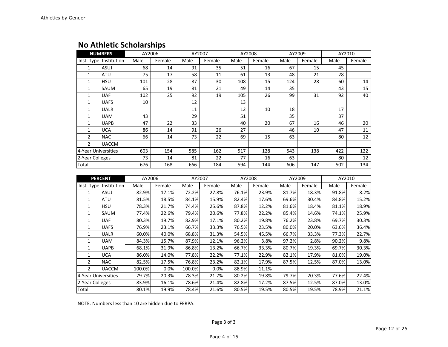### **No Athletic Scholarships**

|                     | <b>NUMBERS</b>         | AY2006 |        | AY2007 |        |      | AY2008 | AY2009 |        | AY2010 |        |
|---------------------|------------------------|--------|--------|--------|--------|------|--------|--------|--------|--------|--------|
|                     | Inst. Type Institution | Male   | Female | Male   | Female | Male | Female | Male   | Female | Male   | Female |
| 1                   | ASUJ                   | 68     | 14     | 91     | 35     | 51   | 16     | 67     | 15     | 45     |        |
| 1                   | ATU                    | 75     | 17     | 58     | 11     | 61   | 13     | 48     | 21     | 28     |        |
| $\mathbf{1}$        | <b>HSU</b>             | 101    | 28     | 87     | 30     | 108  | 15     | 124    | 28     | 60     | 14     |
| 1                   | SAUM                   | 65     | 19     | 81     | 21     | 49   | 14     | 35     |        | 43     | 15     |
| 1                   | UAF                    | 102    | 25     | 92     | 19     | 105  | 26     | 99     | 31     | 92     | 40     |
| 1                   | <b>UAFS</b>            | 10     |        | 12     |        | 13   |        |        |        |        |        |
| 1                   | <b>UALR</b>            |        |        | 11     |        | 12   | 10     | 18     |        | 17     |        |
| 1                   | <b>UAM</b>             | 43     |        | 29     |        | 51   |        | 35     |        | 37     |        |
| 1                   | <b>UAPB</b>            | 47     | 22     | 33     |        | 40   | 20     | 67     | 16     | 46     | 20     |
| 1                   | <b>UCA</b>             | 86     | 14     | 91     | 26     | 27   |        | 46     | 10     | 47     | 11     |
| $\overline{2}$      | <b>NAC</b>             | 66     | 14     | 73     | 22     | 69   | 15     | 63     |        | 80     | 12     |
| $\overline{2}$      | <b>UACCM</b>           |        |        |        |        |      |        |        |        |        |        |
| 4-Year Universities |                        | 603    | 154    | 585    | 162    | 517  | 128    | 543    | 138    | 422    | 122    |
| 2-Year Colleges     |                        | 73     | 14     | 81     | 22     | 77   | 16     | 63     |        | 80     | 12     |
| Total               |                        | 676    | 168    | 666    | 184    | 594  | 144    | 606    | 147    | 502    | 134    |
|                     | <b>PFRCFNT</b>         | AY2006 |        | AY2007 |        |      | AY2008 | AY2009 |        | AY2010 |        |

|                     | <b>PERCENT</b>         | AY2006 |        | AY2007 |        | AY2008 |        | AY2009 |        | AY2010 |        |
|---------------------|------------------------|--------|--------|--------|--------|--------|--------|--------|--------|--------|--------|
|                     | Inst. Type Institution | Male   | Female | Male   | Female | Male   | Female | Male   | Female | Male   | Female |
| 1                   | ASUJ                   | 82.9%  | 17.1%  | 72.2%  | 27.8%  | 76.1%  | 23.9%  | 81.7%  | 18.3%  | 91.8%  | 8.2%   |
| 1                   | ATU                    | 81.5%  | 18.5%  | 84.1%  | 15.9%  | 82.4%  | 17.6%  | 69.6%  | 30.4%  | 84.8%  | 15.2%  |
| 1                   | HSU                    | 78.3%  | 21.7%  | 74.4%  | 25.6%  | 87.8%  | 12.2%  | 81.6%  | 18.4%  | 81.1%  | 18.9%  |
| 1                   | SAUM                   | 77.4%  | 22.6%  | 79.4%  | 20.6%  | 77.8%  | 22.2%  | 85.4%  | 14.6%  | 74.1%  | 25.9%  |
|                     | <b>UAF</b>             | 80.3%  | 19.7%  | 82.9%  | 17.1%  | 80.2%  | 19.8%  | 76.2%  | 23.8%  | 69.7%  | 30.3%  |
| 1                   | <b>UAFS</b>            | 76.9%  | 23.1%  | 66.7%  | 33.3%  | 76.5%  | 23.5%  | 80.0%  | 20.0%  | 63.6%  | 36.4%  |
| 1                   | UALR                   | 60.0%  | 40.0%  | 68.8%  | 31.3%  | 54.5%  | 45.5%  | 66.7%  | 33.3%  | 77.3%  | 22.7%  |
| 1                   | UAM                    | 84.3%  | 15.7%  | 87.9%  | 12.1%  | 96.2%  | 3.8%   | 97.2%  | 2.8%   | 90.2%  | 9.8%   |
| 1                   | <b>UAPB</b>            | 68.1%  | 31.9%  | 86.8%  | 13.2%  | 66.7%  | 33.3%  | 80.7%  | 19.3%  | 69.7%  | 30.3%  |
| 1                   | <b>UCA</b>             | 86.0%  | 14.0%  | 77.8%  | 22.2%  | 77.1%  | 22.9%  | 82.1%  | 17.9%  | 81.0%  | 19.0%  |
| 2                   | <b>NAC</b>             | 82.5%  | 17.5%  | 76.8%  | 23.2%  | 82.1%  | 17.9%  | 87.5%  | 12.5%  | 87.0%  | 13.0%  |
| 2                   | <b>UACCM</b>           | 100.0% | 0.0%   | 100.0% | 0.0%   | 88.9%  | 11.1%  |        |        |        |        |
| 4-Year Universities |                        | 79.7%  | 20.3%  | 78.3%  | 21.7%  | 80.2%  | 19.8%  | 79.7%  | 20.3%  | 77.6%  | 22.4%  |
| 2-Year Colleges     |                        | 83.9%  | 16.1%  | 78.6%  | 21.4%  | 82.8%  | 17.2%  | 87.5%  | 12.5%  | 87.0%  | 13.0%  |
| Total               |                        | 80.1%  | 19.9%  | 78.4%  | 21.6%  | 80.5%  | 19.5%  | 80.5%  | 19.5%  | 78.9%  | 21.1%  |

NOTE: Numbers less than 10 are hidden due to FERPA.

Page 3 of 3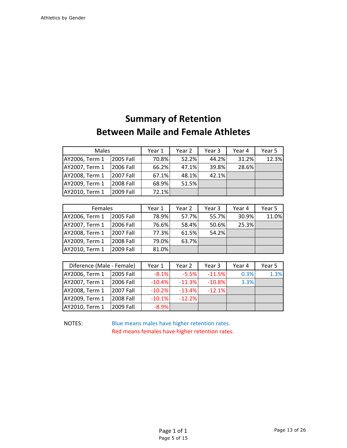# **Summary of Retention Between Maile and Female Athletes**

| Males          |           | Year 1 | Year 2 | Year 3 | Year 4 | Year 5 |
|----------------|-----------|--------|--------|--------|--------|--------|
| AY2006, Term 1 | 2005 Fall | 70.8%  | 52.2%  | 44.2%  | 31.2%  | 12.3%  |
| AY2007, Term 1 | 2006 Fall | 66.2%  | 47.1%  | 39.8%  | 28.6%  |        |
| AY2008, Term 1 | 2007 Fall | 67.1%  | 48.1%  | 42.1%  |        |        |
| AY2009, Term 1 | 2008 Fall | 68.9%  | 51.5%  |        |        |        |
| AY2010, Term 1 | 2009 Fall | 72.1%  |        |        |        |        |

| Females        |           | Year 1 | Year 2 | Year 3 | Year 4 | Year 5 |
|----------------|-----------|--------|--------|--------|--------|--------|
| AY2006, Term 1 | 2005 Fall | 78.9%  | 57.7%  | 55.7%  | 30.9%  | 11.0%  |
| AY2007, Term 1 | 2006 Fall | 76.6%  | 58.4%  | 50.6%  | 25.3%  |        |
| AY2008, Term 1 | 2007 Fall | 77.3%  | 61.5%  | 54.2%  |        |        |
| AY2009, Term 1 | 2008 Fall | 79.0%  | 63.7%  |        |        |        |
| AY2010, Term 1 | 2009 Fall | 81.0%  |        |        |        |        |

| Diference (Male - Female) |           | Year 1   | Year 2   | Year 3    | Year 4 | Year 5 |
|---------------------------|-----------|----------|----------|-----------|--------|--------|
| AY2006, Term 1            | 2005 Fall | $-8.1%$  | $-5.5%$  | $-11.5%$  | 0.3%   | 1.3%   |
| AY2007, Term 1            | 2006 Fall | $-10.4%$ | $-11.3%$ | $-10.8\%$ | 3.3%   |        |
| AY2008, Term 1            | 2007 Fall | $-10.2%$ | $-13.4%$ | $-12.1%$  |        |        |
| AY2009, Term 1            | 2008 Fall | $-10.1%$ | $-12.2%$ |           |        |        |
| AY2010, Term 1            | 2009 Fall | $-8.9%$  |          |           |        |        |

NOTES: Blue means males have higher retention rates. Red means females have higher retention rates.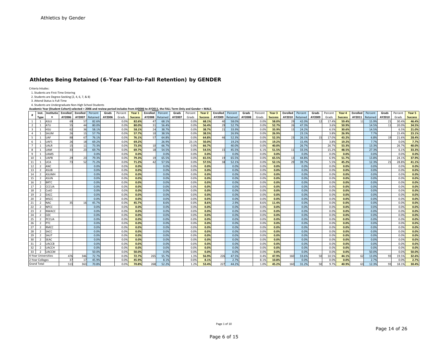#### **Athletes Being Retained (6-Year Fall-to-Fall Retention) by GENDER**

Criteria Inludes:

1. Students are First‐Time Entering

2. Students are Degree‐Seeking (2, 4, 6, 7, & 8)

3. Attend Status is Full‐Time

4. Students are Undergraduate Non‐High School Students

Academic Year (Student Cohort) selected = 2006 and review period includes from AY<u>2006</u> to AY<u>2011</u>, the FALL Term Only and Gender = MALE.

|                | Inst.               | Institutio   | Enrolled | Enrolled       | Percent  | Grads  | Percent | Year 1         | Enrolled | Percent  | Grads  | Percent | Year 2         | <b>Enrolled</b> Percent |          | Grads  | Percent | Year 3         | <b>Enrolled</b> | Percent  | Grads  | Percent | Year 4         | Enrolled | Percent  | Grads          | Percent | Year 5         |
|----------------|---------------------|--------------|----------|----------------|----------|--------|---------|----------------|----------|----------|--------|---------|----------------|-------------------------|----------|--------|---------|----------------|-----------------|----------|--------|---------|----------------|----------|----------|----------------|---------|----------------|
|                | Type                |              | AY2006   | AY2007         | Retained | AY2006 | Grads   | <b>Success</b> | AY2008   | Retained | AY2007 | Grads   | <b>Success</b> | AY2009                  | Retained | AY2008 | Grads   | <b>Success</b> | AY2010          | Retained | AY2009 | Grads   | <b>Success</b> | AY2011   | Retained | AY2010         | Grads   | <b>Success</b> |
| $\mathbf{1}$   |                     | <b>ASUJ</b>  |          |                | 82.6%    |        | 0.0%    | 82.6%          |          | 68.1%    |        | 0.0%    | 68.1%          |                         | 58.0%    |        | 0.0%    | 58.0%          | 29              | 42.0%    |        | 17.4%   | 59.4%          |          | 15.9%    | 21             | 30.4%   | 46.4%          |
| $\overline{2}$ |                     | <b>ATU</b>   | 55       |                | 80.0%    |        | 0.0%    | 80.0%          |          | 56.4%    |        | 0.0%    | 56.4%          | 29                      | 52.79    |        | 0.0%    | 52.7%          | 26              | 47.3%    |        | 3.6%    | 50.9%          |          | 14.5%    | 11             | 20.0%   | 34.5%          |
| $\overline{3}$ |                     | HSU          | 62       | $\overline{3}$ | 58.1%    |        | 0.0%    | 58.1%          |          | 38.7%    |        | 0.0%    | 38.7%          |                         | 33.9%    |        | 0.0%    | 33.9%          | 15              | 24.2%    |        | 6.5%    | 30.6%          |          | 14.5%    |                | 6.5%    | 21.0%          |
| $\overline{a}$ |                     | SAUM         | 26       | 1 <sup>1</sup> | 57.7%    |        | 0.0%    | 57.7%          |          | 38.5%    |        | 0.0%    | 38.5%          |                         | 26.9%    |        | 0.0%    | 26.9%          |                 | 23.1%    |        | 3.8%    | 26.9%          |          | 7.7%     |                | 15.4%   | 23.1%          |
| $5^{\circ}$    |                     | JAF          | 88       | 6              | 76.1%    |        | 0.0%    | 76.1%          |          | 64.8%    |        | 0.09    | 64.8%          |                         | 52.3%    |        | 0.0%    | 52.3%          | 23              | 26.1%    |        | 17.0%   | 43.2%          |          | 6.8%     | 1 <sub>Q</sub> | 21.6%   | 28.4%          |
| 6              |                     | UAFS         | 26       |                | 69.2%    |        | 0.0%    | 69.2%          |          | 26.9%    |        | 23.19   | 50.0%          |                         | 19.2%    |        | 0.0%    | 19.2%          |                 | 15.4%    |        | 3.8%    | 19.2%          |          | 7.7%     |                | 0.0%    | 7.7%           |
| $7^{\circ}$    |                     | JALR         |          |                | 73.3%    |        | 0.0%    | 73.3%          |          | 66.7%    |        | 0.0%    | 66.7%          |                         | 40.0%    |        | 0.0%    | 40.0%          |                 | 26.7%    |        | 26.7%   | 53.3%          |          | 13.3%    |                | 26.7%   | 40.0%          |
| 8              |                     | <b>JAM</b>   | 33       | 2 <sup>5</sup> | 69.7%    |        | 0.0%    | 69.7%          |          | 54.5%    |        | 0.09    | 54.5%          |                         | 45.5%    |        | 6.1%    | 51.5%          | 11              | 33.3%    |        | 15.2%   | 48.5%          |          | 27.3%    |                | 6.1%    | 33.3%          |
| 9              |                     | <b>UAMS</b>  |          |                | 0.0%     |        | 0.0%    | 0.0%           |          | 0.0%     |        | 0.0%    | 0.0%           |                         | 0.0%     |        | 0.0%    | 0.0%           |                 | 0.0%     |        | 0.0%    | 0.0%           |          | 0.0%     |                | 0.0%    | 0.0%           |
| 10             |                     | <b>IAPB</b>  | 29       | 2 <sup>5</sup> | 79.3%    |        | 0.0%    | 79.3%          |          | 65.5%    |        | 0.0%    | 65.5%          |                         | 65.5%    |        | 0.0%    | 65.5%          | 13              | 44.8%    |        | 6.9%    | 51.7%          |          | 13.8%    |                | 24.19   | 37.9%          |
| 11             |                     | UCA          |          |                | 71.2%    |        | 0.0%    | 71.2%          |          | 57.5%    |        | 0.09    | 57.5%          |                         | 52.1%    |        | 0.0%    | 52.1%          | 29              | 39.7%    |        | 5.5%    | 45.2%          |          | 12.3%    | 21             | 28.89   | 41.1%          |
| 12             |                     | ANC          |          |                | 0.0%     |        | 0.0%    | 0.0%           |          | 0.0%     |        | 0.0%    | 0.0%           |                         | 0.0%     |        | 0.0%    | 0.0%           |                 | 0.0%     |        | 0.0%    | 0.0%           |          | 0.0%     |                | 0.0%    | 0.0%           |
| 13             |                     | ASUB         |          |                | 0.0%     |        | 0.0%    | 0.0%           |          | 0.0%     |        | 0.09    | 0.0%           |                         | 0.0%     |        | 0.0%    | 0.0%           |                 | 0.0%     |        | 0.0%    | 0.0%           |          | 0.0%     |                | 0.0%    | 0.0%           |
| 14             |                     | ASUMH        |          |                | 0.0%     |        | 0.0%    | 0.0%           |          | 0.0%     |        | 0.0%    | 0.0%           |                         | 0.0%     |        | 0.0%    | 0.0%           |                 | 0.0%     |        | 0.0%    | 0.0%           |          | 0.0%     |                | 0.0%    | 0.0%           |
| 15             |                     | ۱SUN         |          |                | 0.0%     |        | 0.0%    | 0.0%           |          | 0.0%     |        | 0.09    | 0.0%           |                         | 0.0%     |        | 0.0%    | 0.0%           |                 | 0.0%     |        | 0.0%    | 0.0%           |          | 0.0%     |                | 0.0%    | 0.0%           |
| 16             |                     | <b>RTC</b>   |          |                | 0.0%     |        | 0.0%    | 0.0%           |          | 0.0%     |        | 0.09    | 0.0%           |                         | 0.0%     |        | 0.0%    | 0.0%           |                 | 0.0%     |        | 0.0%    | 0.0%           |          | 0.0%     |                | 0.0%    | 0.0%           |
| 17             |                     | CCUA         |          |                | 0.0%     |        | 0.0%    | 0.0%           |          | 0.0%     |        | 0.09    | 0.0%           |                         | 0.0%     |        | 0.0%    | 0.0%           |                 | 0.0%     |        | 0.0%    | 0.0%           |          | 0.0%     |                | 0.0%    | 0.0%           |
| 18             |                     | CotO         |          |                | 0.0%     |        | 0.0%    | 0.0%           |          | 0.0%     |        | 0.0%    | 0.0%           |                         | 0.0%     |        | 0.0%    | 0.0%           |                 | 0.0%     |        | 0.0%    | 0.0%           |          | 0.0%     |                | 0.0%    | 0.0%           |
| 19             |                     | EACC         |          |                | 0.0%     |        | 0.0%    | 0.0%           |          | 0.0%     |        | 0.09    | 0.0%           |                         | 0.0%     |        | 0.0%    | 0.0%           |                 | 0.0%     |        | 0.0%    | 0.0%           |          | 0.0%     |                | 0.0%    | 0.0%           |
| 20             |                     | <b>ASCC</b>  |          |                | 0.0%     |        | 0.0%    | 0.0%           |          | 0.0%     |        | 0.09    | 0.0%           |                         | 0.0%     |        | 0.0%    | 0.0%           |                 | 0.0%     |        | 0.0%    | 0.0%           |          | 0.0%     |                | 0.0%    | 0.0%           |
| 21             |                     | JAC          |          |                | 45.7%    |        | 0.0%    | 45.7%          |          | 8.6%     |        | 0.09    | 8.6%           |                         | 2.9%     |        | 8.6%    | 11.4%          |                 | 0.0%     |        | 0.0%    | 0.0%           |          | 0.0%     |                | 0.0%    | 0.0%           |
| 22             |                     | VPCC         |          |                | 0.0%     |        | 0.0%    | 0.0%           |          | 0.0%     |        | 0.09    | 0.0%           |                         | 0.0%     |        | 0.0%    | 0.0%           |                 | 0.0%     |        | 0.0%    | 0.0%           |          | 0.0%     |                | 0.0%    | 0.0%           |
| 23             |                     | <b>IWACC</b> |          |                | 0.0%     |        | 0.0%    | 0.0%           |          | 0.0%     |        | 0.09    | 0.0%           |                         | 0.0%     |        | 0.0%    | 0.0%           |                 | 0.0%     |        | 0.0%    | 0.0%           |          | 0.0%     |                | 0.0%    | 0.0%           |
| 24             |                     | <b>DZC</b>   |          |                | 0.0%     |        | 0.0%    | 0.0%           |          | 0.0%     |        | 0.09    | 0.0%           |                         | 0.0%     |        | 0.0%    | 0.0%           |                 | 0.0%     |        | 0.0%    | 0.0%           |          | 0.0%     |                | 0.0%    | 0.0%           |
| 25             |                     | PCCUA        |          |                | 0.0%     |        | 0.0%    | 0.0%           |          | 0.0%     |        | 0.0%    | 0.0%           |                         | 0.0%     |        | 0.0%    | 0.0%           |                 | 0.0%     |        | 0.0%    | 0.0%           |          | 0.0%     |                | 0.0%    | 0.0%           |
| 26             | $\mathbf{r}$        |              |          |                | 0.0%     |        | 0.0%    | 0.0%           |          | 0.0%     |        | 0.09    | 0.0%           |                         | 0.0%     |        | 0.0%    | 0.0%           |                 | 0.0%     |        | 0.0%    | 0.0%           |          | 0.0%     |                | 0.0%    | 0.0%           |
| 27             |                     | RMCC         |          |                | 0.0%     |        | 0.0%    | 0.0%           |          | 0.0%     |        | 0.09    | 0.0%           |                         | 0.0%     |        | 0.0%    | 0.0%           |                 | 0.0%     |        | 0.0%    | 0.0%           |          | 0.0%     |                | 0.0%    | 0.0%           |
| 28             |                     | SACC         |          |                | 0.0%     |        | 0.0%    | 0.0%           |          | 0.0%     |        | 0.0%    | 0.0%           |                         | 0.0%     |        | 0.0%    | 0.0%           |                 | 0.0%     |        | 0.0%    | 0.0%           |          | 0.0%     |                | 0.0%    | 0.0%           |
| 29             |                     | SAUT         |          |                | 0.0%     |        | 0.0%    | 0.0%           |          | 0.0%     |        | 0.0%    | 0.0%           |                         | 0.0%     |        | 0.0%    | 0.0%           |                 | 0.0%     |        | 0.0%    | 0.0%           |          | 0.0%     |                | 0.0%    | 0.0%           |
| 30             | $\mathcal{D}$       | SEAC         |          |                | 0.0%     |        | 0.0%    | 0.0%           |          | 0.0%     |        | 0.09    | 0.0%           |                         | 0.0%     |        | 0.0%    | 0.0%           |                 | 0.0%     |        | 0.0%    | 0.0%           |          | 0.0%     |                | 0.0%    | 0.0%           |
| 31             |                     | <b>JACCB</b> |          |                | 0.0%     |        | 0.0%    | 0.0%           |          | 0.0%     |        | 0.09    | 0.0%           |                         | 0.0%     |        | 0.0%    | 0.0%           |                 | 0.0%     |        | 0.0%    | 0.0%           |          | 0.0%     |                | 0.0%    | 0.0%           |
| 32             | $\mathcal{D}$       | JACCH        |          |                | 0.0%     |        | 0.0%    | 0.0%           |          | 0.0%     |        | 0.09    | 0.0%           |                         | 0.0%     |        | 0.0%    | 0.0%           |                 | 0.0%     |        | 0.0%    | 0.0%           |          | 0.0%     |                | 0.0%    | 0.0%           |
| 33             |                     | <b>ACCM</b>  |          |                | 50.0%    |        | 0.0%    | 50.0%          |          | 0.0%     |        | 0.09    | 0.0%           |                         | 0.0%     |        | 0.0%    | 0.0%           |                 | 0.0%     |        | 0.0%    | 0.0%           |          | 50.0%    |                | 0.0%    | 50.0%          |
|                | 1-Year Universities |              | 476      | 346            | 72.7%    |        | 0.0%    | 72.7%          | 265      | 55.7%    |        | 1.39    | 56.9%          | 226                     | 47.5%    |        | 0.4%    | 47.9%          | 160             | 33.6%    |        | 10.5%   | 44.1%          |          | 13.0%    |                | 19.5%   | 32.6%          |
|                | '-Year Colleges     |              |          |                | 45.9%    |        | 0.0%    | 45.9%          |          | 8.1%     |        | 0.09    | 8.1%           |                         | 2.7%     |        | 8.19    | 10.8%          |                 | 0.0%     |        | 0.0%    | 0.0%           |          | 2.7%     |                | 0.0%    | 2.7%           |
|                | <b>Grand Total</b>  |              | 513      | 363            | 70.8%    |        | 0.0%    | 70.8%          | 268      | 52.2%    |        | 1.2%    | 53.4%          | 227                     | 44.2%    |        | 1.0%    | 45.2%          | 160             | 31.2%    |        | 9.7%    | 40.9%          |          | 12.3%    | 93             | 18.1%   | 30.4%          |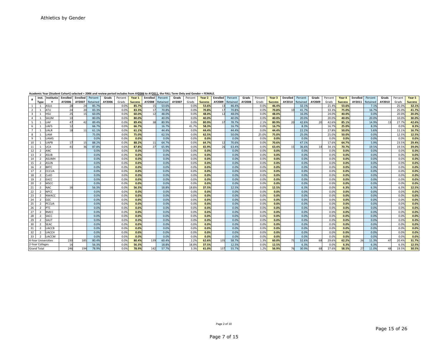|                |                          |              |          |                 |          |        | Academic Year (Student Cohort) selected = 2006 and review period includes from AY2006 to AY2011, the FALL Term Only and Gender = FEMALE. |                |          |          |        |         |                |                 |          |        |         |                |                 |          |        |         |                |          |          |        |         |                |
|----------------|--------------------------|--------------|----------|-----------------|----------|--------|------------------------------------------------------------------------------------------------------------------------------------------|----------------|----------|----------|--------|---------|----------------|-----------------|----------|--------|---------|----------------|-----------------|----------|--------|---------|----------------|----------|----------|--------|---------|----------------|
|                | Inst.                    | Institutio   | Enrolled | <b>Enrolled</b> | Percent  | Grads  | Percent                                                                                                                                  | Year 1         | Enrolled | Percent  | Grads  | Percent | Year 2         | <b>Enrolled</b> | Percent  | Grads  | Percent | Year 3         | <b>Enrolled</b> | Percent  | Grads  | Percent | Year 4         | Enrolled | Percent  | Grads  | Percent | Year 5         |
|                | Type                     | n            | AY2006   | AY2007          | Retained | AY2006 | Grads                                                                                                                                    | <b>Success</b> | AY2008   | Retained | AY2007 | Grads   | <b>Success</b> | AY2009          | Retained | AY2008 | Grads   | <b>Success</b> | AY2010          | Retained | AY2009 | Grads   | <b>Success</b> | AY2011   | Retained | AY2010 | Grads   | <b>Success</b> |
| $\overline{1}$ | $\mathbf{1}$             | ASUJ         | 28       |                 | 85.7%    |        | 0.0%                                                                                                                                     | 85.7%          |          | 53.6%    |        | 0.0%    | 53.6%          |                 | 46.4%    |        | 0.09    | 46.4%          |                 | 32.1%    |        | 21.49   | 53.6%          |          | 7.1%     |        | 25.09   | 32.1%          |
| $\overline{2}$ |                          | ATU          | 24       |                 | 83.3%    |        | 0.0%                                                                                                                                     | 83.3%          |          | 70.8%    |        | 0.09    | 70.8%          |                 | 70.8%    |        | 0.09    | 70.8%          |                 | 41.7%    |        | 33.39   | 75.0%          |          | 16.7%    |        | 25.09   | 41.7%          |
| $\overline{3}$ |                          | HSU          | 25       |                 | 60.0%    |        | 0.0%                                                                                                                                     | 60.0%          |          | 48.0%    |        | 0.0%    | 48.0%          |                 | 48.0%    |        | 0.0%    | 48.0%          |                 | 16.0%    |        | 24.0%   | 40.0%          |          | 0.0%     |        | 20.09   | 20.0%          |
| $\overline{4}$ |                          | SAUM         | 10       |                 | 80.0%    |        | 0.0%                                                                                                                                     | 80.0%          |          | 40.0%    |        | 0.09    | 40.0%          |                 | 40.0%    |        | 0.0%    | 40.0%          |                 | 20.0%    |        | 20.0%   | 40.0%          |          | 20.0%    |        | 10.09   | 30.0%          |
| - 5            |                          | <b>UAF</b>   | 47       |                 | 89.4%    |        | 0.0%                                                                                                                                     | 89.4%          |          | 80.9%    |        | 0.09    | 80.9%          |                 | 78.7%    |        | 2.1%    | 80.9%          | 20              | 42.6%    | 20     | 42.6%   | 85.1%          |          | 14.9%    | 13     | 27.79   | 42.6%          |
| 6              |                          | UAFS         | 12       |                 | 66.7%    |        | 0.0%                                                                                                                                     | 66.7%          |          | 16.7%    |        | 41.7%   | 58.3%          |                 | 16.7%    |        | 0.09    | 16.7%          |                 | 8.3%     |        | 16.7%   | 25.0%          |          | 8.3%     |        | 0.09    | 8.3%           |
| $\overline{7}$ |                          | <b>UALR</b>  | 18       |                 | 61.1%    |        | 0.0%                                                                                                                                     | 61.1%          |          | 44.4%    |        | 0.09    | 44.4%          |                 | 44.4%    |        | 0.09    | 44.4%          |                 | 22.2%    |        | 27.8%   | 50.0%          |          | 5.6%     |        | 11.19   | 16.7%          |
| 8              | $\mathbf{1}$             | <b>UAM</b>   |          |                 | 75.0%    |        | 0.0%                                                                                                                                     | 75.0%          |          | 62.5%    |        | 0.0%    | 62.5%          |                 | 50.0%    |        | 25.0%   | 75.0%          |                 | 25.0%    |        | 25.0%   | 50.0%          |          | 0.0%     |        | 12.59   | 12.5%          |
| -9             |                          | <b>UAMS</b>  |          |                 | 0.0%     |        | 0.0%                                                                                                                                     | 0.0%           |          | 0.0%     |        | 0.0%    | 0.0%           |                 | 0.0%     |        | 0.0%    | 0.0%           |                 | 0.0%     |        | 0.0%    | 0.0%           |          | 0.0%     |        | 0.0%    | 0.0%           |
| 10             |                          | JAPB         | 17       |                 | 88.2%    |        | 0.0%                                                                                                                                     | 88.2%          |          | 64.7%    |        | 0.0%    | 64.7%          |                 | 70.6%    |        | 0.0%    | 70.6%          |                 | 47.1%    |        | 17.6%   | 64.7%          |          | 5.9%     |        | 23.59   | 29.4%          |
| 11             |                          | <b>JCA</b>   | 41       |                 | 87.8%    |        | 0.0%                                                                                                                                     | 87.8%          |          | 65.9%    |        | 0.09    | 65.9%          |                 | 63.4%    |        | 0.09    | 63.4%          | 15              | 36.6%    |        | 34.19   | 70.7%          |          | 19.5%    |        | 19.59   | 39.0%          |
| 12             |                          | <b>ANC</b>   |          |                 | 0.0%     |        | 0.0%                                                                                                                                     | 0.0%           |          | 0.0%     |        | 0.0%    | 0.0%           |                 | 0.0%     |        | 0.0%    | 0.0%           |                 | 0.0%     |        | 0.0%    | 0.0%           |          | 0.0%     |        | 0.09    | 0.0%           |
| 13             | $\overline{\phantom{a}}$ | ASUB         |          |                 | 0.0%     |        | 0.0%                                                                                                                                     | 0.0%           |          | 0.0%     |        | 0.0%    | 0.0%           |                 | 0.0%     |        | 0.0%    | 0.0%           |                 | 0.0%     |        | 0.0%    | 0.0%           |          | 0.0%     |        | 0.0%    | 0.0%           |
| 14             |                          | <b>ASUMH</b> |          |                 | 0.0%     |        | 0.0%                                                                                                                                     | 0.0%           |          | 0.0%     |        | 0.0%    | 0.0%           |                 | 0.0%     |        | 0.0%    | 0.0%           |                 | 0.0%     |        | 0.0%    | 0.0%           |          | 0.0%     |        | 0.09    | 0.0%           |
| 15             | $\overline{\phantom{a}}$ | ASUN         |          |                 | 0.0%     |        | 0.0%                                                                                                                                     | 0.0%           |          | 0.0%     |        | 0.0%    | 0.0%           |                 | 0.0%     |        | 0.0%    | 0.0%           |                 | 0.0%     |        | 0.0%    | 0.0%           |          | 0.0%     |        | 0.09    | 0.0%           |
| 16             | $\mathcal{D}$            | <b>BRTC</b>  |          |                 | 0.0%     |        | 0.0%                                                                                                                                     | 0.0%           |          | 0.0%     |        | 0.0%    | 0.0%           |                 | 0.0%     |        | 0.0%    | 0.0%           |                 | 0.0%     |        | 0.0%    | 0.0%           |          | 0.0%     |        | 0.09    | 0.0%           |
| 17             | $\overline{2}$           | CCCUA        |          |                 | 0.0%     |        | 0.0%                                                                                                                                     | 0.0%           |          | 0.0%     |        | 0.0%    | 0.0%           |                 | 0.0%     |        | 0.0%    | 0.0%           |                 | 0.0%     |        | 0.0%    | 0.0%           |          | 0.0%     |        | 0.0%    | 0.0%           |
| 18             | $\overline{2}$           | CotO         |          |                 | 0.0%     |        | 0.0%                                                                                                                                     | 0.0%           |          | 0.0%     |        | 0.0%    | 0.0%           |                 | 0.0%     |        | 0.0%    | 0.0%           |                 | 0.0%     |        | 0.0%    | 0.0%           |          | 0.0%     |        | 0.09    | 0.0%           |
| 19             | 2                        | EACC         |          |                 | 0.0%     |        | 0.0%                                                                                                                                     | 0.0%           |          | 0.0%     |        | 0.0%    | 0.0%           |                 | 0.0%     |        | 0.0%    | 0.0%           |                 | 0.0%     |        | 0.0%    | 0.0%           |          | 0.0%     |        | 0.09    | 0.0%           |
| 20             | $\overline{z}$           | MSCC         |          |                 | 0.0%     |        | 0.0%                                                                                                                                     | 0.0%           |          | 0.0%     |        | 0.09    | 0.0%           |                 | 0.0%     |        | 0.0%    | 0.0%           |                 | 0.0%     |        | 0.0%    | 0.0%           |          | 0.0%     |        | 0.0%    | 0.0%           |
| 21             | $\overline{z}$           | <b>NAC</b>   | 16       |                 | 56.3%    |        | 0.0%                                                                                                                                     | 56.3%          |          | 18.8%    |        | 18.89   | 37.5%          |                 | 12.5%    |        | 0.09    | 12.5%          |                 | 6.3%     |        | 0.0%    | 6.3%           |          | 6.3%     |        | 6.39    | 12.5%          |
| 22             | $\overline{z}$           | <b>NPCC</b>  |          |                 | 0.0%     |        | 0.0%                                                                                                                                     | 0.0%           |          | 0.0%     |        | 0.09    | 0.0%           |                 | 0.0%     |        | 0.09    | 0.0%           |                 | 0.0%     |        | 0.0%    | 0.0%           |          | 0.0%     |        | 0.09    | 0.0%           |
| 23             | $\overline{2}$           | <b>NWACC</b> |          |                 | 0.0%     |        | 0.0%                                                                                                                                     | 0.0%           |          | 0.0%     |        | 0.0%    | 0.0%           |                 | 0.0%     |        | 0.0%    | 0.0%           |                 | 0.0%     |        | 0.0%    | 0.0%           |          | 0.0%     |        | 0.09    | 0.0%           |
| 24             | $\overline{2}$           | <b>OZC</b>   |          |                 | 0.0%     |        | 0.0%                                                                                                                                     | 0.0%           |          | 0.0%     |        | 0.0%    | 0.0%           |                 | 0.0%     |        | 0.0%    | 0.0%           |                 | 0.0%     |        | 0.0%    | 0.0%           |          | 0.0%     |        | 0.09    | 0.0%           |
| 25             | $\overline{2}$           | PCCUA        |          |                 | 0.0%     |        | 0.0%                                                                                                                                     | 0.0%           |          | 0.0%     |        | 0.0%    | 0.0%           |                 | 0.0%     |        | 0.0%    | 0.0%           |                 | 0.0%     |        | 0.0%    | 0.0%           |          | 0.0%     |        | 0.09    | 0.0%           |
| 26             | $\overline{2}$           | <b>PTC</b>   |          |                 | 0.0%     |        | 0.0%                                                                                                                                     | 0.0%           |          | 0.0%     |        | 0.0%    | 0.0%           |                 | 0.0%     |        | 0.0%    | 0.0%           |                 | 0.0%     |        | 0.0%    | 0.0%           |          | 0.0%     |        | 0.09    | 0.0%           |
| 27             | $\overline{2}$           | <b>RMCC</b>  |          |                 | 0.0%     |        | 0.0%                                                                                                                                     | 0.0%           |          | 0.0%     |        | 0.0%    | 0.0%           |                 | 0.0%     |        | 0.0%    | 0.0%           |                 | 0.0%     |        | 0.0%    | 0.0%           |          | 0.0%     |        | 0.0%    | 0.0%           |
| 28             | $\overline{2}$           | SACC         |          |                 | 0.0%     |        | 0.0%                                                                                                                                     | 0.0%           |          | 0.0%     |        | 0.0%    | 0.0%           |                 | 0.0%     |        | 0.0%    | 0.0%           |                 | 0.0%     |        | 0.0%    | 0.0%           |          | 0.0%     |        | 0.09    | 0.0%           |
| 29             | $\overline{2}$           | SAUT         |          |                 | 0.0%     |        | 0.0%                                                                                                                                     | 0.0%           |          | 0.0%     |        | 0.0%    | 0.0%           |                 | 0.0%     |        | 0.0%    | 0.0%           |                 | 0.0%     |        | 0.0%    | 0.0%           |          | 0.0%     |        | 0.09    | 0.0%           |
| 30             | $\overline{\phantom{0}}$ | <b>SEAC</b>  |          |                 | 0.0%     |        | 0.0%                                                                                                                                     | 0.0%           |          | 0.0%     |        | 0.0%    | 0.0%           |                 | 0.0%     |        | 0.0%    | 0.0%           |                 | 0.0%     |        | 0.0%    | 0.0%           |          | 0.0%     |        | 0.0%    | 0.0%           |
| 31             |                          | <b>JACCB</b> |          |                 | 0.0%     |        | 0.0%                                                                                                                                     | 0.0%           |          | 0.0%     |        | 0.0%    | 0.0%           |                 | 0.0%     |        | 0.0%    | 0.0%           |                 | 0.0%     |        | 0.0%    | 0.0%           |          | 0.0%     |        | 0.0%    | 0.0%           |
| 32             | $\mathbf{\cdot}$         | <b>UACCH</b> |          |                 | 0.0%     |        | 0.0%                                                                                                                                     | 0.0%           |          | 0.0%     |        | 0.0%    | 0.0%           |                 | 0.0%     |        | 0.0%    | 0.0%           |                 | 0.0%     |        | 0.0%    | 0.0%           |          | 0.0%     |        | 0.09    | 0.0%           |
| 33             | $\overline{z}$           | UACCM        |          |                 | 0.0%     |        | 0.0%                                                                                                                                     | 0.0%           |          | 0.0%     |        | 0.0%    | 0.0%           |                 | 0.0%     |        | 0.0%    | 0.0%           |                 | 0.0%     |        | 0.0%    | 0.0%           |          | 0.0%     |        | 0.09    | 0.0%           |
|                | 4-Year Universities      |              | 230      | 18              | 80.4%    |        | 0.0%                                                                                                                                     | 80.4%          | 139      | 60.4%    |        | 2.2%    | 62.6%          | 135             | 58.7%    |        | 1.3%    | 60.0%          | 75              | 32.6%    |        | 29.6%   | 62.2%          |          | 11.3%    |        | 20.49   | 31.7%          |
|                | 2-Year Colleges          |              | 16       |                 | 56.3%    |        | 0.0%                                                                                                                                     | 56.3%          |          | 18.8%    |        | 18.89   | 37.5%          |                 | 12.5%    |        | 0.0%    | 12.5%          |                 | 6.3%     |        | 0.0%    | 6.3%           |          | 6.3%     |        | 6.39    | 12.5%          |
|                | <b>Grand Total</b>       |              | 246      | 194             | 78.9%    |        | 0.0%                                                                                                                                     | 78.9%          | 142      | 57.7%    |        | 3.3%    | 61.0%          | 137             | 55.7%    |        | 1.2%    | 56.9%          | 76              | 30.9%    |        | 27.6%   | 58.5%          |          | 11.0%    | 48     | 19.5%   | 30.5%          |

**Academic**c Year (Student Cohort) selected = 2006 and review period includes from AY<u>2006</u> to AY<u>2011</u>, the FALL Term Only and Gender = FEMALE.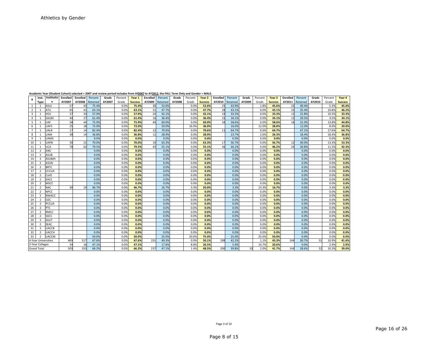|    | ,,,,,,,,,,,,,,,,,,         |                            |          | ,,,,,,,,, | ---------               |        |              | .              | $\cdots$ |                         | .      |              | .              |          |               |        |              |                |          |               |        |               |                |
|----|----------------------------|----------------------------|----------|-----------|-------------------------|--------|--------------|----------------|----------|-------------------------|--------|--------------|----------------|----------|---------------|--------|--------------|----------------|----------|---------------|--------|---------------|----------------|
| #  | Inst.                      | Institutio                 | Enrolled |           | <b>Enrolled</b> Percent | Grads  | Percent      | Year 1         |          | <b>Enrolled</b> Percent | Grads  | Percent      | Year 2         | Enrolled | Percent       | Grads  | Percent      | Year 3         | Enrolled | Percent       | Grads  | Percent       | Year 4         |
|    | Type                       | n                          | AY2007   | AY2008    | Retained                | AY2007 | Grads        | <b>Success</b> | AY2009   | Retained                | AY2008 | Grads        | <b>Success</b> | AY2010   | Retained      | AY2009 | Grads        | <b>Success</b> | AY2011   | Retained      | AY2010 | Grads         | <b>Success</b> |
|    |                            | ASUJ                       | 57       | 43        | 75.4%                   |        | 0.09         | 75.4%          | 30       | 52.6%                   |        | 0.0%         | 52.6%          | 25       | 43.9%         |        | 1.8%         | 45.6%          | 23       | 40.4%         |        | 5.3%          | 45.6%          |
|    | $\overline{2}$             | ATU                        | 65       | 41        | 63.1%                   |        | 0.0%         | 63.1%          | 31       | 47.7%                   |        | 0.0%         | 47.7%          | 28       | 43.1%         |        | 0.0%         | 43.1%          | 23       | 35.4%         |        | 10.89         | 46.2%          |
|    | $\overline{3}$             | HSU                        | 57       | 33        | 57.9%                   |        | 0.0%         | 57.9%          | 24       | 42.1%                   |        | 0.0%         | 42.1%          | 19       | 33.3%         |        | 0.0%         | 33.3%          | 13       | 22.8%         |        | 10.5%         | 33.3%          |
|    | $\overline{4}$             | SAUM                       | 44       | 27        | 61.4%                   |        | 0.0%         | 61.4%          | 16       | 36.4%                   |        | 0.0%         | 36.4%          | 15       | 34.1%         |        | 0.0%         | 34.1%          | 13       | 29.5%         |        | 4.5%          | 34.1%          |
|    | 5<br>$\mathbf{1}$          | UAF                        | 58       | 44        | 75.9%                   |        | 0.0%         | 75.9%          | 40       | 69.0%                   |        | 0.0%         | 69.0%          | 34       | 58.6%         |        | 0.0%         | 58.6%          | 18       | 31.0%         |        | 13.89         | 44.8%          |
|    | 6                          | UAFS                       | 25       | 18        | 72.0%                   |        | 0.0%         | 72.0%          |          | 20.0%                   |        | 16.0%        | 36.0%          |          | 16.0%         |        | 12.0%        | 28.0%          |          | 12.0%         |        | 8.0%          | 20.0%          |
|    | $7^{\circ}$                | UALR                       | 17       | 14        | 82.4%                   |        | 0.0%         | 82.4%          | 12       | 70.6%                   |        | 0.0%<br>0.0% | 70.6%          | 11       | 64.7%         |        | 0.0%<br>2.6% | 64.7%          |          | 47.1%         |        | 17.69         | 64.7%          |
|    | 8<br>-1                    | UAM                        | 38       | 14        | 36.8%                   |        | 0.0%<br>0.0% | 36.8%          | 11       | 28.9%                   |        | 0.0%         | 28.9%          |          | 23.7%         |        | 0.0%         | 26.3%<br>0.0%  |          | 18.4%         |        | 18.49         | 36.8%          |
|    | 9<br>10                    | <b>UAMS</b><br><b>UAPB</b> | 30       | 21        | 0.0%<br>70.0%           |        | 0.09         | 0.0%<br>70.0%  | 19       | 0.0%<br>63.3%           |        | 0.0%         | 0.0%<br>63.3%  | 17       | 0.0%<br>56.7% |        | 0.0%         | 56.7%          | 12       | 0.0%<br>40.0% |        | 0.0%<br>13.39 | 0.0%<br>53.3%  |
|    | -1                         |                            | 78       | 62        |                         |        |              |                | 43       |                         |        | 0.0%         | 55.1%          | 36       | 46.2%         |        | 0.0%         |                | 24       |               |        |               |                |
|    | 11<br>12<br>$\overline{2}$ | UCA<br>ANC                 |          |           | 79.5%<br>0.0%           |        | 0.0%<br>0.0% | 79.5%<br>0.0%  |          | 55.1%<br>0.0%           |        | 0.0%         | 0.0%           |          | 0.0%          |        | 0.0%         | 46.2%<br>0.0%  |          | 30.8%<br>0.0% |        | 11.59<br>0.0% | 42.3%<br>0.0%  |
|    | 13<br>$\overline{2}$       | ASUB                       |          |           | 0.0%                    |        | 0.0%         | 0.0%           |          | 0.0%                    |        | 0.0%         | 0.0%           |          | 0.0%          |        | 0.0%         | 0.0%           |          | 0.0%          |        | 0.0%          | 0.0%           |
|    | 14<br>$\overline{2}$       | <b>ASUMH</b>               |          |           | 0.0%                    |        | 0.0%         | 0.0%           |          | 0.0%                    |        | 0.0%         | 0.0%           |          | 0.0%          |        | 0.0%         | 0.0%           |          | 0.0%          |        | 0.0%          | 0.0%           |
| 15 | 2                          | <b>ASUN</b>                |          |           | 0.0%                    |        | 0.0%         | 0.0%           |          | 0.0%                    |        | 0.0%         | 0.0%           |          | 0.0%          |        | 0.0%         | 0.0%           |          | 0.0%          |        | 0.0%          | 0.0%           |
|    | $\overline{2}$<br>16       | <b>BRTC</b>                |          |           | 0.0%                    |        | 0.0%         | 0.0%           |          | 0.0%                    |        | 0.0%         | 0.0%           |          | 0.0%          |        | 0.0%         | 0.0%           |          | 0.0%          |        | 0.0%          | 0.0%           |
|    | 17<br>$\overline{2}$       | CCCUA                      |          |           | 0.0%                    |        | 0.0%         | 0.0%           |          | 0.0%                    |        | 0.0%         | 0.0%           |          | 0.0%          |        | 0.0%         | 0.0%           |          | 0.0%          |        | 0.0%          | 0.0%           |
|    | 18<br>$\overline{2}$       | CotO                       |          |           | 0.0%                    |        | 0.0%         | 0.0%           |          | 0.0%                    |        | 0.0%         | 0.0%           |          | 0.0%          |        | 0.0%         | 0.0%           |          | 0.0%          |        | 0.0%          | 0.0%           |
| 19 | $\overline{2}$             | EACC                       |          |           | 0.0%                    |        | 0.0%         | 0.0%           |          | 0.0%                    |        | 0.0%         | 0.0%           |          | 0.0%          |        | 0.0%         | 0.0%           |          | 0.0%          |        | 0.0%          | 0.0%           |
| 20 | $\overline{2}$             | MSCC                       |          |           | 0.0%                    |        | 0.0%         | 0.0%           |          | 0.0%                    |        | 0.0%         | 0.0%           |          | 0.0%          |        | 0.0%         | 0.0%           |          | 0.0%          |        | 0.0%          | 0.0%           |
|    | 21<br>$\overline{2}$       | <b>NAC</b>                 | 30       | 14        | 46.7%                   |        | 0.0%         | 46.7%          |          | 16.7%                   |        | 3.3%         | 20.0%          |          | 3.3%          |        | 13.3%        | 16.7%          |          | 0.0%          |        | 3.3%          | 3.3%           |
|    | 22<br>$\overline{2}$       | NPCC                       |          |           | 0.0%                    |        | 0.0%         | 0.0%           |          | 0.0%                    |        | 0.0%         | 0.0%           |          | 0.0%          |        | 0.0%         | 0.0%           |          | 0.0%          |        | 0.0%          | 0.0%           |
| 23 | $\overline{2}$             | NWACC                      |          |           | 0.0%                    |        | 0.0%         | 0.0%           |          | 0.0%                    |        | 0.0%         | 0.0%           |          | 0.0%          |        | 0.0%         | 0.0%           |          | 0.0%          |        | 0.0%          | 0.0%           |
| 24 | $\overline{2}$             | OZC                        |          |           | 0.0%                    |        | 0.0%         | 0.0%           |          | 0.0%                    |        | 0.0%         | 0.0%           |          | 0.0%          |        | 0.0%         | 0.0%           |          | 0.0%          |        | 0.0%          | 0.0%           |
| 25 | $\overline{2}$             | PCCUA                      |          |           | 0.0%                    |        | 0.0%         | 0.0%           |          | 0.0%                    |        | 0.0%         | 0.0%           |          | 0.0%          |        | 0.0%         | 0.0%           |          | 0.0%          |        | 0.0%          | 0.0%           |
|    | 26<br>$\overline{2}$       | PTC                        |          |           | 0.0%                    |        | 0.0%         | 0.0%           |          | 0.0%                    |        | 0.0%         | 0.0%           |          | 0.0%          |        | 0.0%         | 0.0%           |          | 0.0%          |        | 0.0%          | 0.0%           |
| 27 | $\overline{2}$             | RMCC                       |          |           | 0.0%                    |        | 0.0%         | 0.0%           |          | 0.0%                    |        | 0.0%         | 0.0%           |          | 0.0%          |        | 0.0%         | 0.0%           |          | 0.0%          |        | 0.0%          | 0.0%           |
|    | 28<br>$\overline{2}$       | SACC                       |          |           | 0.0%                    |        | 0.0%         | 0.0%           |          | 0.0%                    |        | 0.0%         | 0.0%           |          | 0.0%          |        | 0.0%         | 0.0%           |          | 0.0%          |        | 0.0%          | 0.0%           |
|    | 29<br>$\overline{2}$       | SAUT                       |          |           | 0.0%                    |        | 0.0%         | 0.0%           |          | 0.0%                    |        | 0.0%         | 0.0%           |          | 0.0%          |        | 0.0%         | 0.0%           |          | 0.0%          |        | 0.0%          | 0.0%           |
|    | 30<br>$\overline{2}$       | SEAC                       |          |           | 0.0%                    |        | 0.0%         | 0.0%           |          | 0.0%                    |        | 0.0%         | 0.0%           |          | 0.0%          |        | 0.0%         | 0.0%           |          | 0.0%          |        | 0.0%          | 0.0%           |
|    | 31<br>$\overline{2}$       | <b>UACCB</b>               |          |           | 0.0%                    |        | 0.0%         | 0.0%           |          | 0.0%                    |        | 0.0%         | 0.0%           |          | 0.0%          |        | 0.0%         | 0.0%           |          | 0.0%          |        | 0.0%          | 0.0%           |
|    | 32<br>$\overline{2}$       | UACCH                      |          |           | 0.0%                    |        | 0.0%         | 0.0%           |          | 0.0%                    |        | 0.0%         | 0.0%           |          | 0.0%          |        | 0.0%         | 0.0%           |          | 0.0%          |        | 0.0%          | 0.0%           |
|    | 33<br>$\overline{2}$       | <b>UACCM</b>               |          |           | 50.0%                   |        | 0.0%         | 50.0%          |          | 25.0%                   |        | 50.0%        | 75.0%          |          | 25.0%         |        | 25.0%        | 50.0%          |          | 0.0%          |        | 0.0%          | 0.0%           |
|    | 4-Year Universities        |                            | 469      | 317       | 67.6%                   |        | 0.0%         | 67.6%          | 231      | 49.3%                   |        | 0.9%         | 50.1%          | 198      | 42.2%         |        | 1.1%         | 43.3%          | 144      | 30.7%         | 51     | 10.99         | 41.6%          |
|    | 2-Year Colleges            |                            | 34       | 16        | 47.1%                   |        | 0.0%         | 47.1%          |          | 17.6%                   |        | 8.8%         | 26.5%          |          | 5.9%          |        | 14.7%        | 20.6%          |          | 0.0%          |        | 2.9%          | 2.9%           |
|    | <b>Grand Total</b>         |                            | 503      | 333       | 66.2%                   |        | 0.0%         | 66.2%          | 237      | 47.1%                   |        | 1.4%         | 48.5%          | 200      | 39.8%         | 10     | 2.0%         | 41.7%          | 144      | 28.6%         | 52     | 10.3%         | 39.0%          |

Academic Year (Student Cohort) selected = 2007 and review period includes from AY<u>2007</u> to AY<u>2012</u>, the FALL Term Only and Gender = MALE.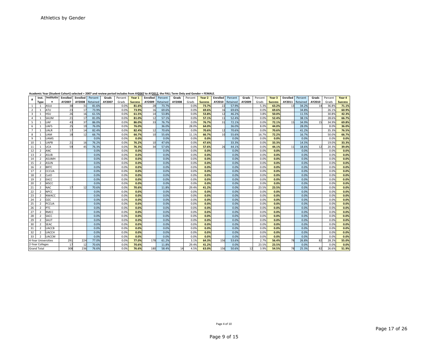|                |                     | <u>ALQUEINE TEGI IJUUCHI CUNULI SEIELLEU – ZUU/ ANU IEVIEW DENUU INIUUCS NUMI ATZUU/ LU ATZUIZ. LIIE FALL TEHI UNIV ANU UENUEI – FLIVIALL</u> |                     |        |                         |        |         |                |        |                         |        |         |                |                 |          |        |         |                |          |          |        |         |                |
|----------------|---------------------|-----------------------------------------------------------------------------------------------------------------------------------------------|---------------------|--------|-------------------------|--------|---------|----------------|--------|-------------------------|--------|---------|----------------|-----------------|----------|--------|---------|----------------|----------|----------|--------|---------|----------------|
|                | Inst.               |                                                                                                                                               | Institutio Enrolled |        | <b>Enrolled</b> Percent | Grads  | Percent | Year 1         |        | <b>Enrolled</b> Percent | Grads  | Percent | Year 2         | <b>Enrolled</b> | Percent  | Grads  | Percent | Year 3         | Enrolled | Percent  | Grads  | Percent | Year 4         |
|                | <b>Type</b>         |                                                                                                                                               | AY2007              | AY2008 | Retained                | AY2007 | Grads   | <b>Success</b> | AY2009 | Retained                | AY2008 | Grads   | <b>Success</b> | AY2010          | Retained | AY2009 | Grads   | <b>Success</b> | AY2011   | Retained | AY2010 | Grads   | <b>Success</b> |
| $\mathbf{1}$   | $\mathbf{1}$        | ASUJ                                                                                                                                          | 38                  | 31     | 81.6%                   |        | 0.0%    | 81.6%          | 28     | 73.7%                   |        | 0.0%    | 73.7%          | 22              | 57.9%    |        | 5.3%    | 63.2%          | 13       | 34.2%    |        | 36.89   | 71.1%          |
| $\overline{2}$ | $\mathbf{1}$        | ATU                                                                                                                                           | 23                  | 17     | 73.9%                   |        | 0.0%    | 73.9%          | 16     | 69.6%                   |        | 0.0%    | 69.6%          | 16              | 69.6%    |        | 0.0%    | 69.6%          |          | 34.8%    |        | 26.19   | 60.9%          |
| $\overline{3}$ | -1                  | HSU                                                                                                                                           | 26                  | 16     | 61.5%                   |        | 0.0%    | 61.5%          | 14     | 53.8%                   |        | 0.0%    | 53.8%          | 12              | 46.2%    |        | 3.8%    | 50.0%          |          | 11.5%    |        | 30.89   | 42.3%          |
| $\overline{4}$ | $\mathbf{1}$        | SAUM                                                                                                                                          | 21                  | 17     | 81.0%                   |        | 0.0%    | 81.0%          | 12     | 57.1%                   |        | 0.0%    | 57.1%          | 11              | 52.4%    |        | 0.0%    | 52.4%          |          | 38.1%    |        | 28.69   | 66.7%          |
| 5              |                     | UAF                                                                                                                                           | 43                  | 37     | 86.0%                   |        | 0.0%    | 86.0%          | 33     | 76.7%                   |        | 0.0%    | 76.7%          | 31              | 72.1%    |        | 0.0%    | 72.1%          | 15       | 34.9%    | 15     | 34.99   | 69.8%          |
| 6              |                     | UAFS                                                                                                                                          | 25                  | 19     | 76.0%                   |        | 0.0%    | 76.0%          |        | 36.0%                   |        | 28.0%   | 64.0%          |                 | 36.0%    |        | 8.0%    | 44.0%          |          | 28.0%    |        | 8.0%    | 36.0%          |
| $7^{\circ}$    |                     | UALR                                                                                                                                          | 17                  | 14     | 82.4%                   |        | 0.0%    | 82.4%          | 12     | 70.6%                   |        | 0.0%    | 70.6%          | 12              | 70.6%    |        | 0.0%    | 70.6%          |          | 41.2%    |        | 35.39   | 76.5%          |
| 8              |                     | UAM                                                                                                                                           | 18                  | 12     | 66.7%                   |        | 0.0%    | 66.7%          | 10     | 55.6%                   |        | 11.1%   | 66.7%          | 10              | 55.6%    |        | 16.7%   | 72.2%          |          | 16.7%    |        | 50.09   | 66.7%          |
| 9              | $\overline{1}$      | UAMS                                                                                                                                          |                     |        | 0.0%                    |        | 0.0%    | 0.0%           |        | 0.0%                    |        | 0.0%    | 0.0%           |                 | 0.0%     |        | 0.0%    | 0.0%           |          | 0.0%     |        | 0.0%    | 0.0%           |
| 10             | -1                  | UAPB                                                                                                                                          | 21                  | 16     | 76.2%                   |        | 0.0%    | 76.2%          | 10     | 47.6%                   |        | 0.0%    | 47.6%          |                 | 33.3%    |        | 0.0%    | 33.3%          |          | 14.3%    |        | 19.0%   | 33.3%          |
| 11             | -1                  | UCA                                                                                                                                           | 59                  | 45     | 76.3%                   |        | 0.0%    | 76.3%          | 34     | 57.6%                   |        | 0.0%    | 57.6%          | 26              | 44.1%    |        | 0.0%    | 44.1%          | 11       | 18.6%    | 12     | 20.3%   | 39.0%          |
| 12             | $\overline{2}$      | ANC                                                                                                                                           |                     |        | 0.0%                    |        | 0.0%    | 0.0%           |        | 0.0%                    |        | 0.0%    | 0.0%           |                 | 0.0%     |        | 0.0%    | 0.0%           |          | 0.0%     |        | 0.0%    | 0.0%           |
| 13             | $\overline{2}$      | <b>ASUB</b>                                                                                                                                   |                     |        | 0.0%                    |        | 0.0%    | 0.0%           |        | 0.0%                    |        | 0.0%    | 0.0%           |                 | 0.0%     |        | 0.0%    | 0.0%           |          | 0.0%     |        | 0.0%    | 0.0%           |
| 14             | $\overline{2}$      | <b>ASUMH</b>                                                                                                                                  |                     |        | 0.0%                    |        | 0.0%    | 0.0%           |        | 0.0%                    |        | 0.0%    | 0.0%           |                 | 0.0%     |        | 0.0%    | 0.0%           |          | 0.0%     |        | 0.0%    | 0.0%           |
| 15             | $\overline{2}$      | ASUN                                                                                                                                          |                     |        | 0.0%                    |        | 0.0%    | 0.0%           |        | 0.0%                    |        | 0.0%    | 0.0%           |                 | 0.0%     |        | 0.0%    | 0.0%           |          | 0.0%     |        | 0.0%    | 0.0%           |
| 16             | $\overline{2}$      | <b>BRTC</b>                                                                                                                                   |                     |        | 0.0%                    |        | 0.0%    | 0.0%           |        | 0.0%                    |        | 0.0%    | 0.0%           |                 | 0.0%     |        | 0.0%    | 0.0%           |          | 0.0%     |        | 0.0%    | 0.0%           |
| 17             | $\overline{2}$      | CCCUA                                                                                                                                         |                     |        | 0.0%                    |        | 0.0%    | 0.0%           |        | 0.0%                    |        | 0.0%    | 0.0%           |                 | 0.0%     |        | 0.0%    | 0.0%           |          | 0.0%     |        | 0.0%    | 0.0%           |
| 18             | 2                   | CotO                                                                                                                                          |                     |        | 0.0%                    |        | 0.0%    | 0.0%           |        | 0.0%                    |        | 0.0%    | 0.0%           |                 | 0.0%     |        | 0.0%    | 0.0%           |          | 0.0%     |        | 0.0%    | 0.0%           |
| 19             | $\overline{2}$      | EACC                                                                                                                                          |                     |        | 0.0%                    |        | 0.0%    | 0.0%           |        | 0.0%                    |        | 0.0%    | 0.0%           |                 | 0.0%     |        | 0.0%    | 0.0%           |          | 0.0%     |        | 0.0%    | 0.0%           |
| 20             | $\overline{2}$      | <b>MSCC</b>                                                                                                                                   |                     |        | 0.0%                    |        | 0.0%    | 0.0%           |        | 0.0%                    |        | 0.0%    | 0.0%           |                 | 0.0%     |        | 0.0%    | 0.0%           |          | 0.0%     |        | 0.0%    | 0.0%           |
| 21             | 2                   | <b>NAC</b>                                                                                                                                    | 17                  | 12     | 70.6%                   |        | 0.0%    | 70.6%          |        | 11.8%                   |        | 29.4%   | 41.2%          |                 | 0.0%     |        | 23.5%   | 23.5%          |          | 0.0%     |        | 0.0%    | 0.0%           |
| 22             | 2                   | <b>NPCC</b>                                                                                                                                   |                     |        | 0.0%                    |        | 0.0%    | 0.0%           |        | 0.0%                    |        | 0.0%    | 0.0%           |                 | 0.0%     |        | 0.0%    | 0.0%           |          | 0.0%     |        | 0.0%    | 0.0%           |
| 23             | $\overline{2}$      | <b>NWACC</b>                                                                                                                                  |                     |        | 0.0%                    |        | 0.0%    | 0.0%           |        | 0.0%                    |        | 0.0%    | 0.0%           |                 | 0.0%     |        | 0.0%    | 0.0%           |          | 0.0%     |        | 0.0%    | 0.0%           |
| 24             | $\overline{2}$      | OZC                                                                                                                                           |                     |        | 0.0%                    |        | 0.0%    | 0.0%           |        | 0.0%                    |        | 0.0%    | 0.0%           |                 | 0.0%     |        | 0.0%    | 0.0%           |          | 0.0%     |        | 0.0%    | 0.0%           |
| 25             | $\overline{2}$      | PCCUA                                                                                                                                         |                     |        | 0.0%                    |        | 0.0%    | 0.0%           |        | 0.0%                    |        | 0.0%    | 0.0%           |                 | 0.0%     |        | 0.0%    | 0.0%           |          | 0.0%     |        | 0.0%    | 0.0%           |
| 26             | $\overline{2}$      | PTC                                                                                                                                           |                     |        | 0.0%                    |        | 0.0%    | 0.0%           |        | 0.0%                    |        | 0.0%    | 0.0%           |                 | 0.0%     |        | 0.0%    | 0.0%           |          | 0.0%     |        | 0.0%    | 0.0%           |
| 27             | $\overline{2}$      | <b>RMCC</b>                                                                                                                                   |                     |        | 0.0%                    |        | 0.0%    | 0.0%           |        | 0.0%                    |        | 0.0%    | 0.0%           |                 | 0.0%     |        | 0.0%    | 0.0%           |          | 0.0%     |        | 0.0%    | 0.0%           |
| 28             | $\overline{2}$      | SACC                                                                                                                                          |                     |        | 0.0%                    |        | 0.0%    | 0.0%           |        | 0.0%                    |        | 0.0%    | 0.0%           |                 | 0.0%     |        | 0.0%    | 0.0%           |          | 0.0%     |        | 0.0%    | 0.0%           |
| 29             | $\overline{2}$      | SAUT                                                                                                                                          |                     |        | 0.0%                    |        | 0.0%    | 0.0%           |        | 0.0%                    |        | 0.0%    | 0.0%           |                 | 0.0%     |        | 0.0%    | 0.0%           |          | 0.0%     |        | 0.0%    | 0.0%           |
| 30             | $\overline{2}$      | <b>SEAC</b>                                                                                                                                   |                     |        | 0.0%                    |        | 0.0%    | 0.0%           |        | 0.0%                    |        | 0.0%    | 0.0%           |                 | 0.0%     |        | 0.0%    | 0.0%           |          | 0.0%     |        | 0.0%    | 0.0%           |
| 31             | $\overline{2}$      | UACCB                                                                                                                                         |                     |        | 0.0%                    |        | 0.0%    | 0.0%           |        | 0.0%                    |        | 0.0%    | 0.0%           |                 | 0.0%     |        | 0.0%    | 0.0%           |          | 0.0%     |        | 0.0%    | 0.0%           |
| 32             | $\overline{2}$      | UACCH                                                                                                                                         |                     |        | 0.0%                    |        | 0.0%    | 0.0%           |        | 0.0%                    |        | 0.0%    | 0.0%           |                 | 0.0%     |        | 0.0%    | 0.0%           |          | 0.0%     |        | 0.0%    | 0.0%           |
| 33             | $\overline{2}$      | <b>UACCM</b>                                                                                                                                  |                     |        | 0.0%                    |        | 0.0%    | 0.0%           |        | 0.0%                    |        | 0.0%    | 0.0%           |                 | 0.0%     |        | 0.0%    | 0.0%           |          | 0.0%     |        | 0.0%    | 0.0%           |
|                | 4-Year Universities |                                                                                                                                               | 291                 | 224    | 77.0%                   |        | 0.0%    | 77.0%          | 178    | 61.2%                   |        | 3.1%    | 64.3%          | 156             | 53.6%    |        | 2.7%    | 56.4%          | 78       | 26.8%    | 82     | 28.29   | 55.0%          |
|                | 2-Year Colleges     |                                                                                                                                               | 17                  | 12     | 70.6%                   |        | 0.0%    | 70.6%          |        | 11.8%                   |        | 29.4%   | 41.2%          |                 | 0.0%     |        | 23.5%   | 23.5%          |          | 0.0%     |        | 0.0%    | 0.0%           |
|                | <b>Grand Total</b>  |                                                                                                                                               | 308                 | 236    | 76.6%                   |        | 0.0%    | 76.6%          | 180    | 58.4%                   |        | 4.5%    | 63.0%          | 156             | 50.6%    |        | 3.9%    | 54.5%          | 78       | 25.3%    | 82     | 26.6%   | 51.9%          |

Academic Year (Student Cohort) selected = 2007 and review period includes from AY<u>2007</u> to AY<u>2012</u>, the FALL Term Only and Gender = FEMALE.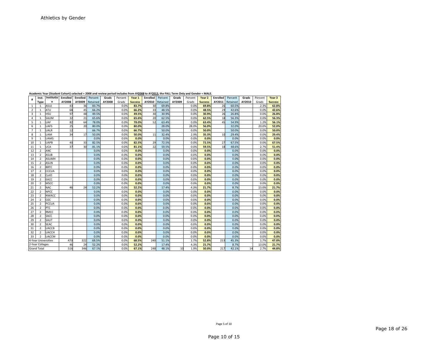|                |                     | Academic Year (Student Cohort) selected = 2008 and review period includes from AY2008 to AY2013, the FALL Term Only and Gender = MALE. |          |          |          |        |         |                |          |          |        |         |                |          |          |        |         |                |
|----------------|---------------------|----------------------------------------------------------------------------------------------------------------------------------------|----------|----------|----------|--------|---------|----------------|----------|----------|--------|---------|----------------|----------|----------|--------|---------|----------------|
| #              | Inst.               | Institutio                                                                                                                             | Enrolled | Enrolled | Percent  | Grads  | Percent | Year 1         | Enrolled | Percent  | Grads  | Percent | Year 2         | Enrolled | Percent  | Grads  | Percent | Year 3         |
|                | <b>Type</b>         | n                                                                                                                                      | AY2008   | AY2009   | Retained | AY2008 | Grads   | <b>Success</b> | AY2010   | Retained | AY2009 | Grads   | <b>Success</b> | AY2011   | Retained | AY2010 | Grads   | <b>Success</b> |
| $\mathbf{1}$   | 1                   | ASUJ                                                                                                                                   | 43       | 36       | 83.7%    |        | 0.0%    | 83.7%          | 30       | 69.8%    |        | 0.0%    | 69.8%          | 26       | 60.5%    |        | 2.3%    | 62.8%          |
| 2              | 1                   | ATU                                                                                                                                    | 68       | 45       | 66.2%    |        | 0.0%    | 66.2%          | 33       | 48.5%    |        | 0.0%    | 48.5%          | 29       | 42.6%    |        | 0.0%    | 42.6%          |
| 3              | 1                   | <b>HSU</b>                                                                                                                             | 97       | 48       | 49.5%    |        | 0.0%    | 49.5%          | 30       | 30.9%    |        | 0.0%    | 30.9%          | 26       | 26.8%    |        | 0.0%    | 26.8%          |
| 4              | $\mathbf{1}$        | SAUM                                                                                                                                   | 32       | 21       | 65.6%    |        | 0.0%    | 65.6%          | 20       | 62.5%    |        | 0.0%    | 62.5%          | 18       | 56.3%    |        | 0.0%    | 56.3%          |
| 5              | $\mathbf{1}$        | UAF                                                                                                                                    | 82       | 64       | 78.0%    |        | 0.0%    | 78.0%          | 52       | 63.4%    |        | 0.0%    | 63.4%          | 45       | 54.9%    |        | 1.2%    | 56.1%          |
| 6              |                     | <b>UAFS</b>                                                                                                                            | 25       | 20       | 80.0%    |        | 0.0%    | 80.0%          |          | 28.0%    |        | 28.0%   | 56.0%          |          | 32.0%    |        | 20.0%   | 52.0%          |
| $\overline{7}$ |                     | <b>UALR</b>                                                                                                                            | 12       |          | 66.7%    |        | 0.0%    | 66.7%          |          | 50.0%    |        | 0.0%    | 50.0%          |          | 50.0%    |        | 0.0%    | 50.0%          |
| 8              | $\mathbf{1}$        | <b>UAM</b>                                                                                                                             | 34       | 17       | 50.0%    |        | 0.0%    | 50.0%          | 11       | 32.4%    |        | 2.9%    | 35.3%          | 10       | 29.4%    |        | 0.0%    | 29.4%          |
| 9              | $\mathbf{1}$        | <b>UAMS</b>                                                                                                                            |          |          | 0.0%     |        | 0.0%    | 0.0%           |          | 0.0%     |        | 0.0%    | 0.0%           |          | 0.0%     |        | 0.0%    | 0.0%           |
| 10             | $\mathbf{1}$        | <b>UAPB</b>                                                                                                                            | 40       | 33       | 82.5%    |        | 0.0%    | 82.5%          | 29       | 72.5%    |        | 0.0%    | 72.5%          | 27       | 67.5%    |        | 0.0%    | 67.5%          |
| 11             |                     | <b>UCA</b>                                                                                                                             | 37       | 30       | 81.1%    |        | 0.0%    | 81.1%          | 22       | 59.5%    |        | 0.0%    | 59.5%          | 18       | 48.6%    |        | 2.7%    | 51.4%          |
| 12             | $\overline{2}$      | <b>ANC</b>                                                                                                                             |          |          | 0.0%     |        | 0.0%    | 0.0%           |          | 0.0%     |        | 0.0%    | 0.0%           |          | 0.0%     |        | 0.0%    | 0.0%           |
| 13             | $\overline{2}$      | <b>ASUB</b>                                                                                                                            |          |          | 0.0%     |        | 0.0%    | 0.0%           |          | 0.0%     |        | 0.0%    | 0.0%           |          | 0.0%     |        | 0.0%    | 0.0%           |
| 14             | $\overline{2}$      | <b>ASUMH</b>                                                                                                                           |          |          | 0.0%     |        | 0.0%    | 0.0%           |          | 0.0%     |        | 0.0%    | 0.0%           |          | 0.0%     |        | 0.0%    | 0.0%           |
| 15             | $\overline{2}$      | <b>ASUN</b>                                                                                                                            |          |          | 0.0%     |        | 0.0%    | 0.0%           |          | 0.0%     |        | 0.0%    | 0.0%           |          | 0.0%     |        | 0.0%    | 0.0%           |
| 16             | $\overline{2}$      | <b>BRTC</b>                                                                                                                            |          |          | 0.0%     |        | 0.0%    | 0.0%           |          | 0.0%     |        | 0.0%    | 0.0%           |          | 0.0%     |        | 0.0%    | 0.0%           |
| 17             | $\overline{2}$      | <b>CCCUA</b>                                                                                                                           |          |          | 0.0%     |        | 0.0%    | 0.0%           |          | 0.0%     |        | 0.0%    | 0.0%           |          | 0.0%     |        | 0.0%    | 0.0%           |
| 18             | $\overline{2}$      | CotO                                                                                                                                   |          |          | 0.0%     |        | 0.0%    | 0.0%           |          | 0.0%     |        | 0.0%    | 0.0%           |          | 0.0%     |        | 0.0%    | 0.0%           |
| 19             | $\overline{2}$      | EACC                                                                                                                                   |          |          | 0.0%     |        | 0.0%    | 0.0%           |          | 0.0%     |        | 0.0%    | 0.0%           |          | 0.0%     |        | 0.0%    | 0.0%           |
| 20             | $\overline{2}$      | <b>MSCC</b>                                                                                                                            |          |          | 0.0%     |        | 0.0%    | 0.0%           |          | 0.0%     |        | 0.0%    | 0.0%           |          | 0.0%     |        | 0.0%    | 0.0%           |
| 21             | $\overline{2}$      | <b>NAC</b>                                                                                                                             | 46       | 24       | 52.2%    |        | 0.0%    | 52.2%          |          | 17.4%    |        | 4.3%    | 21.7%          |          | 8.7%     |        | 13.0%   | 21.7%          |
| 22             | $\overline{2}$      | <b>NPCC</b>                                                                                                                            |          |          | 0.0%     |        | 0.0%    | 0.0%           |          | 0.0%     |        | 0.0%    | 0.0%           |          | 0.0%     |        | 0.0%    | 0.0%           |
| 23             | $\overline{2}$      | <b>NWACC</b>                                                                                                                           |          |          | 0.0%     |        | 0.0%    | 0.0%           |          | 0.0%     |        | 0.0%    | 0.0%           |          | 0.0%     |        | 0.0%    | 0.0%           |
| 24             | $\overline{2}$      | OZC                                                                                                                                    |          |          | 0.0%     |        | 0.0%    | 0.0%           |          | 0.0%     |        | 0.0%    | 0.0%           |          | 0.0%     |        | 0.0%    | 0.0%           |
| 25             | $\overline{2}$      | PCCUA                                                                                                                                  |          |          | 0.0%     |        | 0.0%    | 0.0%           |          | 0.0%     |        | 0.0%    | 0.0%           |          | 0.0%     |        | 0.0%    | 0.0%           |
| 26             | $\overline{2}$      | PTC                                                                                                                                    |          |          | 0.0%     |        | 0.0%    | 0.0%           |          | 0.0%     |        | 0.0%    | 0.0%           |          | 0.0%     |        | 0.0%    | 0.0%           |
| 27             | $\overline{2}$      | <b>RMCC</b>                                                                                                                            |          |          | 0.0%     |        | 0.0%    | 0.0%           |          | 0.0%     |        | 0.0%    | 0.0%           |          | 0.0%     |        | 0.0%    | 0.0%           |
| 28             | $\overline{2}$      | SACC                                                                                                                                   |          |          | 0.0%     |        | 0.0%    | 0.0%           |          | 0.0%     |        | 0.0%    | 0.0%           |          | 0.0%     |        | 0.0%    | 0.0%           |
| 29             | $\overline{2}$      | SAUT                                                                                                                                   |          |          | 0.0%     |        | 0.0%    | 0.0%           |          | 0.0%     |        | 0.0%    | 0.0%           |          | 0.0%     |        | 0.0%    | 0.0%           |
| 30             | $\overline{2}$      | <b>SEAC</b>                                                                                                                            |          |          | 0.0%     |        | 0.0%    | 0.0%           |          | 0.0%     |        | 0.0%    | 0.0%           |          | 0.0%     |        | 0.0%    | 0.0%           |
| 31             | $\overline{2}$      | <b>UACCB</b>                                                                                                                           |          |          | 0.0%     |        | 0.0%    | 0.0%           |          | 0.0%     |        | 0.0%    | 0.0%           |          | 0.0%     |        | 0.0%    | 0.0%           |
| 32             | $\overline{2}$      | <b>UACCH</b>                                                                                                                           |          |          | 0.0%     |        | 0.0%    | 0.0%           |          | 0.0%     |        | 0.0%    | 0.0%           |          | 0.0%     |        | 0.0%    | 0.0%           |
| 33             |                     | <b>UACCM</b>                                                                                                                           |          |          | 0.0%     |        | 0.0%    | 0.0%           |          | 0.0%     |        | 0.0%    | 0.0%           |          | 0.0%     |        | 0.0%    | 0.0%           |
|                | 4-Year Universities |                                                                                                                                        | 470      | 322      | 68.5%    |        | 0.0%    | 68.5%          | 240      | 51.1%    |        | 1.7%    | 52.8%          | 213      | 45.3%    |        | 1.7%    | 47.0%          |
|                | 2-Year Colleges     |                                                                                                                                        | 46       | 24       | 52.2%    |        | 0.0%    | 52.2%          |          | 17.4%    |        | 4.3%    | 21.7%          |          | 8.7%     |        | 13.0%   | 21.7%          |
|                | <b>Grand Total</b>  |                                                                                                                                        | 516      | 346      | 67.1%    |        | 0.0%    | 67.1%          | 248      | 48.1%    | 10     | 1.9%    | 50.0%          | 217      | 42.1%    | 14     | 2.7%    | 44.8%          |

**Academic**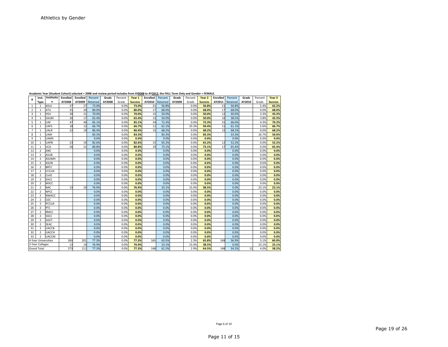|                | Inst.               | Institutio   | Academic Year (Student Conort) selected = 2008 and review period includes from AY <u>2008</u> to AY <u>2013</u> , the FALL Term Only and Gender = FEMALE.<br>Enrolled | Enrolled | Percent  | Grads  | Percent | Year 1         | <b>Enrolled</b> | Percent         | Grads  | Percent | Year 2         | Enrolled | Percent  | Grads  | Percent | Year 3         |
|----------------|---------------------|--------------|-----------------------------------------------------------------------------------------------------------------------------------------------------------------------|----------|----------|--------|---------|----------------|-----------------|-----------------|--------|---------|----------------|----------|----------|--------|---------|----------------|
| #              | Type                | n            | AY2008                                                                                                                                                                | AY2009   | Retained | AY2008 | Grads   | <b>Success</b> |                 | AY2010 Retained | AY2009 | Grads   | <b>Success</b> | AY2011   | Retained | AY2010 | Grads   | <b>Success</b> |
| $\mathbf{1}$   | 1                   | ASUJ         | 37                                                                                                                                                                    | 27       | 73.0%    |        | 0.0%    | 73.0%          | 21              | 56.8%           |        | 0.0%    | 56.8%          | 21       | 56.8%    |        | 5.4%    | 62.2%          |
| $\overline{2}$ | $\mathbf{1}$        | <b>ATU</b>   | 25                                                                                                                                                                    | 20       | 80.0%    |        | 0.0%    | 80.0%          | 17              | 68.0%           |        | 0.0%    | 68.0%          | 17       | 68.0%    |        | 0.0%    | 68.0%          |
| 3              | 1                   | <b>HSU</b>   | 30                                                                                                                                                                    | 21       | 70.0%    |        | 0.0%    | 70.0%          | 15              | 50.0%           |        | 0.0%    | 50.0%          | 12       | 40.0%    |        | 3.3%    | 43.3%          |
| 4              |                     | SAUM         | 26                                                                                                                                                                    | 17       | 65.4%    |        | 0.0%    | 65.4%          | 13              | 50.0%           |        | 0.0%    | 50.0%          | 10       | 38.5%    |        | 3.8%    | 42.3%          |
| 5              | $\mathbf{1}$        | <b>UAF</b>   | 47                                                                                                                                                                    | 40       | 85.1%    |        | 0.0%    | 85.1%          | 34              | 72.3%           |        | 0.0%    | 72.3%          | 31       | 66.0%    |        | 4.3%    | 70.2%          |
| 6              |                     | <b>UAFS</b>  | 18                                                                                                                                                                    | 12       | 66.7%    |        | 0.0%    | 66.7%          | 11              | 61.1%           |        | 33.3%   | 94.4%          | 11       | 61.1%    |        | 5.6%    | 66.7%          |
| $\overline{7}$ | 1                   | <b>UALR</b>  | 22                                                                                                                                                                    | 19       | 86.4%    |        | 0.0%    | 86.4%          | 15              | 68.2%           |        | 0.0%    | 68.2%          | 15       | 68.2%    |        | 0.0%    | 68.2%          |
| 8              | 1                   | <b>UAM</b>   |                                                                                                                                                                       |          | 83.3%    |        | 0.0%    | 83.3%          |                 | 83.3%           |        | 0.0%    | 83.3%          |          | 33.3%    |        | 16.7%   | 50.0%          |
| 9              | 1                   | <b>UAMS</b>  |                                                                                                                                                                       |          | 0.0%     |        | 0.0%    | 0.0%           |                 | 0.0%            |        | 0.0%    | 0.0%           |          | 0.0%     |        | 0.0%    | 0.0%           |
| 10             | $\mathbf{1}$        | <b>UAPB</b>  | 23                                                                                                                                                                    | 19       | 82.6%    |        | 0.0%    | 82.6%          | 15              | 65.2%           |        | 0.0%    | 65.2%          | 12       | 52.2%    |        | 0.0%    | 52.2%          |
| 11             | $\mathbf{1}$        | <b>UCA</b>   | 26                                                                                                                                                                    | 21       | 80.8%    |        | 0.0%    | 80.8%          | 19              | 73.1%           |        | 0.0%    | 73.1%          | 17       | 65.4%    |        | 0.0%    | 65.4%          |
| 12             | $\overline{2}$      | <b>ANC</b>   |                                                                                                                                                                       |          | 0.0%     |        | 0.0%    | 0.0%           |                 | 0.0%            |        | 0.0%    | 0.0%           |          | 0.0%     |        | 0.0%    | 0.0%           |
| 13             | $\overline{2}$      | <b>ASUB</b>  |                                                                                                                                                                       |          | 0.0%     |        | 0.0%    | 0.0%           |                 | 0.0%            |        | 0.0%    | 0.0%           |          | 0.0%     |        | 0.0%    | 0.0%           |
| 14             | $\overline{2}$      | <b>ASUMH</b> |                                                                                                                                                                       |          | 0.0%     |        | 0.0%    | 0.0%           |                 | 0.0%            |        | 0.0%    | 0.0%           |          | 0.0%     |        | 0.0%    | 0.0%           |
| 15             | 2                   | <b>ASUN</b>  |                                                                                                                                                                       |          | 0.0%     |        | 0.0%    | 0.0%           |                 | 0.0%            |        | 0.0%    | 0.0%           |          | 0.0%     |        | 0.0%    | 0.0%           |
| 16             | $\overline{2}$      | <b>BRTC</b>  |                                                                                                                                                                       |          | 0.0%     |        | 0.0%    | 0.0%           |                 | 0.0%            |        | 0.0%    | 0.0%           |          | 0.0%     |        | 0.0%    | 0.0%           |
| 17             | 2                   | <b>CCCUA</b> |                                                                                                                                                                       |          | 0.0%     |        | 0.0%    | 0.0%           |                 | 0.0%            |        | 0.0%    | 0.0%           |          | 0.0%     |        | 0.0%    | 0.0%           |
| 18             | $\overline{2}$      | CotO         |                                                                                                                                                                       |          | 0.0%     |        | 0.0%    | 0.0%           |                 | 0.0%            |        | 0.0%    | 0.0%           |          | 0.0%     |        | 0.0%    | 0.0%           |
| 19             | $\overline{2}$      | EACC         |                                                                                                                                                                       |          | 0.0%     |        | 0.0%    | 0.0%           |                 | 0.0%            |        | 0.0%    | 0.0%           |          | 0.0%     |        | 0.0%    | 0.0%           |
| 20             | $\overline{2}$      | <b>MSCC</b>  |                                                                                                                                                                       |          | 0.0%     |        | 0.0%    | 0.0%           |                 | 0.0%            |        | 0.0%    | 0.0%           |          | 0.0%     |        | 0.0%    | 0.0%           |
| 21             | $\overline{2}$      | <b>NAC</b>   | 13                                                                                                                                                                    | 10       | 76.9%    |        | 0.0%    | 76.9%          |                 | 23.1%           |        | 15.4%   | 38.5%          |          | 0.0%     |        | 23.1%   | 23.1%          |
| 22             | $\overline{2}$      | <b>NPCC</b>  |                                                                                                                                                                       |          | 0.0%     |        | 0.0%    | 0.0%           |                 | 0.0%            |        | 0.0%    | 0.0%           |          | 0.0%     |        | 0.0%    | 0.0%           |
| 23             | $\overline{2}$      | <b>NWACC</b> |                                                                                                                                                                       |          | 0.0%     |        | 0.0%    | 0.0%           |                 | 0.0%            |        | 0.0%    | 0.0%           |          | 0.0%     |        | 0.0%    | 0.0%           |
| 24             | $\overline{2}$      | OZC          |                                                                                                                                                                       |          | 0.0%     |        | 0.0%    | 0.0%           |                 | 0.0%            |        | 0.0%    | 0.0%           |          | 0.0%     |        | 0.0%    | 0.0%           |
| 25             | $\overline{2}$      | PCCUA        |                                                                                                                                                                       |          | 0.0%     |        | 0.0%    | 0.0%           |                 | 0.0%            |        | 0.0%    | 0.0%           |          | 0.0%     |        | 0.0%    | 0.0%           |
| 26             | $\overline{2}$      | <b>PTC</b>   |                                                                                                                                                                       |          | 0.0%     |        | 0.0%    | 0.0%           |                 | 0.0%            |        | 0.0%    | 0.0%           |          | 0.0%     |        | 0.0%    | 0.0%           |
| 27             | $\overline{2}$      | <b>RMCC</b>  |                                                                                                                                                                       |          | 0.0%     |        | 0.0%    | 0.0%           |                 | 0.0%            |        | 0.0%    | 0.0%           |          | 0.0%     |        | 0.0%    | 0.0%           |
| 28             | $\overline{2}$      | SACC         |                                                                                                                                                                       |          | 0.0%     |        | 0.0%    | 0.0%           |                 | 0.0%            |        | 0.0%    | 0.0%           |          | 0.0%     |        | 0.0%    | 0.0%           |
| 29             | $\overline{2}$      | SAUT         |                                                                                                                                                                       |          | 0.0%     |        | 0.0%    | 0.0%           |                 | 0.0%            |        | 0.0%    | 0.0%           |          | 0.0%     |        | 0.0%    | 0.0%           |
| 30             | $\overline{2}$      | <b>SEAC</b>  |                                                                                                                                                                       |          | 0.0%     |        | 0.0%    | 0.0%           |                 | 0.0%            |        | 0.0%    | 0.0%           |          | 0.0%     |        | 0.0%    | 0.0%           |
| 31             | $\overline{2}$      | <b>UACCB</b> |                                                                                                                                                                       |          | 0.0%     |        | 0.0%    | 0.0%           |                 | 0.0%            |        | 0.0%    | 0.0%           |          | 0.0%     |        | 0.0%    | 0.0%           |
| 32             | $\overline{2}$      | <b>UACCH</b> |                                                                                                                                                                       |          | 0.0%     |        | 0.0%    | 0.0%           |                 | 0.0%            |        | 0.0%    | 0.0%           |          | 0.0%     |        | 0.0%    | 0.0%           |
| 33             | $\overline{2}$      | <b>UACCM</b> |                                                                                                                                                                       |          | 0.0%     |        | 0.0%    | 0.0%           |                 | 0.0%            |        | 0.0%    | 0.0%           |          | 0.0%     |        | 0.0%    | 0.0%           |
|                | 4-Year Universities |              | 260                                                                                                                                                                   | 201      | 77.3%    |        | 0.0%    | 77.3%          | 165             | 63.5%           |        | 2.3%    | 65.8%          | 148      | 56.9%    |        | 3.1%    | 60.0%          |
|                | 2-Year Colleges     |              | 13                                                                                                                                                                    | 10       | 76.9%    |        | 0.0%    | 76.9%          |                 | 23.1%           |        | 15.4%   | 38.5%          |          | 0.0%     |        | 23.1%   | 23.1%          |
|                | <b>Grand Total</b>  |              | 273                                                                                                                                                                   | 211      | 77.3%    |        | 0.0%    | 77.3%          | 168             | 61.5%           |        | 2.9%    | 64.5%          | 148      | 54.2%    | 11     | 4.0%    | 58.2%          |

**Academic**c Year (Student Cohort) selected = 2008 and review period includes from AY<u>2008</u> to AY<u>2013</u>, the FALL Term Only and Gender = FEMALE.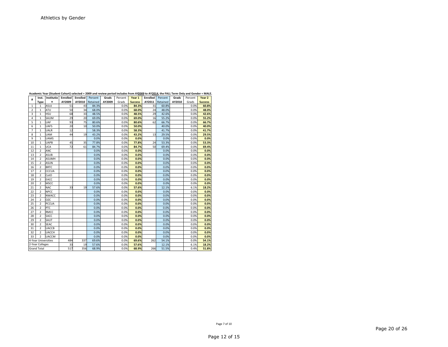|                |                     | Academic Year (Student Cohort) selected = 2009 and review period includes from AY2009 to AY2014, the FALL Term Only and Gender = MALE. |                |                 |          |        |         |                |                 |          |        |         |                |
|----------------|---------------------|----------------------------------------------------------------------------------------------------------------------------------------|----------------|-----------------|----------|--------|---------|----------------|-----------------|----------|--------|---------|----------------|
| #              | Inst.               | Institutio Enrolled                                                                                                                    |                | <b>Enrolled</b> | Percent  | Grads  | Percent | Year 1         | <b>Enrolled</b> | Percent  | Grads  | Percent | Year 2         |
|                | Type                | n                                                                                                                                      | AY2009         | AY2010          | Retained | AY2009 | Grads   | <b>Success</b> | AY2011          | Retained | AY2010 | Grads   | <b>Success</b> |
| $\mathbf{1}$   | $\mathbf{1}$        | ASUJ                                                                                                                                   | 51             | 43              | 84.3%    |        | 0.0%    | 84.3%          | 31              | 60.8%    |        | 0.0%    | 60.8%          |
| $\overline{2}$ | $\mathbf{1}$        | ATU                                                                                                                                    | 50             | 34              | 68.0%    |        | 0.0%    | 68.0%          | 24              | 48.0%    |        | 0.0%    | 48.0%          |
| 3              | $\mathbf{1}$        | <b>HSU</b>                                                                                                                             | 68             | 33              | 48.5%    |        | 0.0%    | 48.5%          | 29              | 42.6%    |        | 0.0%    | 42.6%          |
| 4              | $\mathbf{1}$        | SAUM                                                                                                                                   | 2 <sub>9</sub> | 20              | 69.0%    |        | 0.0%    | 69.0%          | 16              | 55.2%    |        | 0.0%    | 55.2%          |
| 5              | $\mathbf{1}$        | UAF                                                                                                                                    | 93             | 75              | 80.6%    |        | 0.0%    | 80.6%          | 62              | 66.7%    |        | 0.0%    | 66.7%          |
| 6              | $\mathbf{1}$        | <b>UAFS</b>                                                                                                                            | 20             | 10              | 50.0%    |        | 0.0%    | 50.0%          |                 | 40.0%    |        | 0.0%    | 40.0%          |
| 7              | 1                   | UALR                                                                                                                                   | 12             |                 | 58.3%    |        | 0.0%    | 58.3%          |                 | 41.7%    |        | 0.0%    | 41.7%          |
| 8              | $\mathbf{1}$        | <b>UAM</b>                                                                                                                             | 44             | 19              | 43.2%    |        | 0.0%    | 43.2%          | 13              | 29.5%    |        | 0.0%    | 29.5%          |
| 9              | $\mathbf{1}$        | <b>UAMS</b>                                                                                                                            |                |                 | 0.0%     |        | 0.0%    | 0.0%           |                 | 0.0%     |        | 0.0%    | 0.0%           |
| 10             | $\mathbf{1}$        | <b>UAPB</b>                                                                                                                            | 45             | 35              | 77.8%    |        | 0.0%    | 77.8%          | 24              | 53.3%    |        | 0.0%    | 53.3%          |
| 11             | $\mathbf{1}$        | <b>UCA</b>                                                                                                                             | 72             | 61              | 84.7%    |        | 0.0%    | 84.7%          | 50              | 69.4%    |        | 0.0%    | 69.4%          |
| 12             | $\overline{2}$      | ANC                                                                                                                                    |                |                 | 0.0%     |        | 0.0%    | 0.0%           |                 | 0.0%     |        | 0.0%    | 0.0%           |
| 13             | $\overline{2}$      | <b>ASUB</b>                                                                                                                            |                |                 | 0.0%     |        | 0.0%    | 0.0%           |                 | 0.0%     |        | 0.0%    | 0.0%           |
| 14             | $\overline{2}$      | <b>ASUMH</b>                                                                                                                           |                |                 | 0.0%     |        | 0.0%    | 0.0%           |                 | 0.0%     |        | 0.0%    | 0.0%           |
| 15             | $\overline{2}$      | <b>ASUN</b>                                                                                                                            |                |                 | 0.0%     |        | 0.0%    | 0.0%           |                 | 0.0%     |        | 0.0%    | 0.0%           |
| 16             | $\overline{2}$      | <b>BRTC</b>                                                                                                                            |                |                 | 0.0%     |        | 0.0%    | 0.0%           |                 | 0.0%     |        | 0.0%    | 0.0%           |
| 17             | $\overline{2}$      | <b>CCCUA</b>                                                                                                                           |                |                 | 0.0%     |        | 0.0%    | 0.0%           |                 | 0.0%     |        | 0.0%    | 0.0%           |
| 18             | $\overline{2}$      | CotO                                                                                                                                   |                |                 | 0.0%     |        | 0.0%    | 0.0%           |                 | 0.0%     |        | 0.0%    | 0.0%           |
| 19             | $\overline{2}$      | EACC                                                                                                                                   |                |                 | 0.0%     |        | 0.0%    | 0.0%           |                 | 0.0%     |        | 0.0%    | 0.0%           |
| 20             | $\overline{2}$      | <b>MSCC</b>                                                                                                                            |                |                 | 0.0%     |        | 0.0%    | 0.0%           |                 | 0.0%     |        | 0.0%    | 0.0%           |
| 21             | $\overline{2}$      | <b>NAC</b>                                                                                                                             | 33             | 19              | 57.6%    |        | 0.0%    | 57.6%          |                 | 12.1%    |        | 6.1%    | 18.2%          |
| 22             | $\overline{2}$      | <b>NPCC</b>                                                                                                                            |                |                 | 0.0%     |        | 0.0%    | 0.0%           |                 | 0.0%     |        | 0.0%    | 0.0%           |
| 23             | $\overline{2}$      | <b>NWACC</b>                                                                                                                           |                |                 | 0.0%     |        | 0.0%    | 0.0%           |                 | 0.0%     |        | 0.0%    | 0.0%           |
| 24             | $\overline{2}$      | OZC                                                                                                                                    |                |                 | 0.0%     |        | 0.0%    | 0.0%           |                 | 0.0%     |        | 0.0%    | 0.0%           |
| 25             | $\overline{2}$      | PCCUA                                                                                                                                  |                |                 | 0.0%     |        | 0.0%    | 0.0%           |                 | 0.0%     |        | 0.0%    | 0.0%           |
| 26             | $\overline{2}$      | PTC                                                                                                                                    |                |                 | 0.0%     |        | 0.0%    | 0.0%           |                 | 0.0%     |        | 0.0%    | 0.0%           |
| 27             | $\overline{2}$      | <b>RMCC</b>                                                                                                                            |                |                 | 0.0%     |        | 0.0%    | 0.0%           |                 | 0.0%     |        | 0.0%    | 0.0%           |
| 28             | $\overline{2}$      | <b>SACC</b>                                                                                                                            |                |                 | 0.0%     |        | 0.0%    | 0.0%           |                 | 0.0%     |        | 0.0%    | 0.0%           |
| 29             | $\overline{2}$      | SAUT                                                                                                                                   |                |                 | 0.0%     |        | 0.0%    | 0.0%           |                 | 0.0%     |        | 0.0%    | 0.0%           |
| 30             | $\overline{2}$      | <b>SEAC</b>                                                                                                                            |                |                 | 0.0%     |        | 0.0%    | 0.0%           |                 | 0.0%     |        | 0.0%    | 0.0%           |
| 31             | $\overline{2}$      | <b>UACCB</b>                                                                                                                           |                |                 | 0.0%     |        | 0.0%    | 0.0%           |                 | 0.0%     |        | 0.0%    | 0.0%           |
| 32             | $\overline{2}$      | <b>UACCH</b>                                                                                                                           |                |                 | 0.0%     |        | 0.0%    | 0.0%           |                 | 0.0%     |        | 0.0%    | 0.0%           |
| 33             | $\overline{2}$      | <b>UACCM</b>                                                                                                                           |                |                 | 0.0%     |        | 0.0%    | 0.0%           |                 | 0.0%     |        | 0.0%    | 0.0%           |
|                | 4-Year Universities |                                                                                                                                        | 484            | 337             | 69.6%    |        | 0.0%    | 69.6%          | 262             | 54.1%    |        | 0.0%    | 54.1%          |
|                | 2-Year Colleges     |                                                                                                                                        | 33             | 19              | 57.6%    |        | 0.0%    | 57.6%          |                 | 12.1%    |        | 6.1%    | 18.2%          |
|                | <b>Grand Total</b>  |                                                                                                                                        | 517            | 356             | 68.9%    |        | 0.0%    | 68.9%          | 266             | 51.5%    |        | 0.4%    | 51.8%          |

 356 68.9% ‐ 0.0% **68.9%266 51.5% 1 0.4% 51.8%** 

Page 7 of 10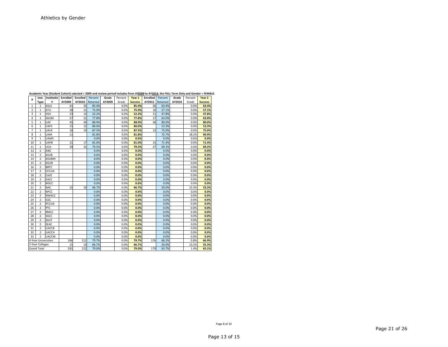|                |                     |              |          |                 |          |        |         |                |                 |          |        |         | Academic Year (Student Conort) selected = 2009 and review period includes from AY <u>2009</u> to AY <u>2014</u> , the FALL Term Only and Gender = FEMAL |
|----------------|---------------------|--------------|----------|-----------------|----------|--------|---------|----------------|-----------------|----------|--------|---------|---------------------------------------------------------------------------------------------------------------------------------------------------------|
| #              | Inst.               | Institutio   | Enrolled | <b>Enrolled</b> | Percent  | Grads  | Percent | Year 1         | <b>Enrolled</b> | Percent  | Grads  | Percent | Year 2                                                                                                                                                  |
|                | <b>Type</b>         | n            | AY2009   | AY2010          | Retained | AY2009 | Grads   | <b>Success</b> | AY2011          | Retained | AY2010 | Grads   | <b>Success</b>                                                                                                                                          |
| 1              | $\mathbf{1}$        | ASUJ         | 41       | 35              | 85.4%    |        | 0.0%    | 85.4%          | 26              | 63.4%    |        | 0.0%    | 63.4%                                                                                                                                                   |
| $\overline{2}$ | $\mathbf{1}$        | ATU          | 28       | 21              | 75.0%    |        | 0.0%    | 75.0%          | 16              | 57.1%    |        | 0.0%    | 57.1%                                                                                                                                                   |
| 3              | $\mathbf{1}$        | <b>HSU</b>   | 23       | 12              | 52.2%    |        | 0.0%    | 52.2%          | 11              | 47.8%    |        | 0.0%    | 47.8%                                                                                                                                                   |
| 4              | $\mathbf{1}$        | SAUM         | 27       | 21              | 77.8%    |        | 0.0%    | 77.8%          | 17              | 63.0%    |        | 0.0%    | 63.0%                                                                                                                                                   |
| 5              | $\mathbf{1}$        | UAF          | 45       | 40              | 88.9%    |        | 0.0%    | 88.9%          | 36              | 80.0%    |        | 0.0%    | 80.0%                                                                                                                                                   |
| 6              | $\mathbf{1}$        | <b>UAFS</b>  | 15       | 12              | 80.0%    |        | 0.0%    | 80.0%          |                 | 53.3%    |        | 0.0%    | 53.3%                                                                                                                                                   |
| $\overline{7}$ | $\mathbf{1}$        | <b>UALR</b>  | 16       | 14              | 87.5%    |        | 0.0%    | 87.5%          | 12              | 75.0%    |        | 0.0%    | 75.0%                                                                                                                                                   |
| 8              | 1                   | <b>UAM</b>   | 11       |                 | 81.8%    |        | 0.0%    | 81.8%          |                 | 72.7%    |        | 18.2%   | 90.9%                                                                                                                                                   |
| 9              | 1                   | <b>UAMS</b>  |          |                 | 0.0%     |        | 0.0%    | 0.0%           |                 | 0.0%     |        | 0.0%    | 0.0%                                                                                                                                                    |
| 10             | $\mathbf{1}$        | <b>UAPB</b>  | 21       | 17              | 81.0%    |        | 0.0%    | 81.0%          | 15              | 71.4%    |        | 0.0%    | 71.4%                                                                                                                                                   |
| 11             | 1                   | <b>UCA</b>   | 39       | 31              | 79.5%    |        | 0.0%    | 79.5%          | 27              | 69.2%    |        | 0.0%    | 69.2%                                                                                                                                                   |
| 12             | $\overline{2}$      | ANC          |          |                 | 0.0%     |        | 0.0%    | 0.0%           |                 | 0.0%     |        | 0.0%    | 0.0%                                                                                                                                                    |
| 13             | 2                   | <b>ASUB</b>  |          |                 | 0.0%     |        | 0.0%    | 0.0%           |                 | 0.0%     |        | 0.0%    | 0.0%                                                                                                                                                    |
| 14             | $\overline{2}$      | <b>ASUMH</b> |          |                 | 0.0%     |        | 0.0%    | 0.0%           |                 | 0.0%     |        | 0.0%    | 0.0%                                                                                                                                                    |
| 15             | $\overline{2}$      | <b>ASUN</b>  |          |                 | 0.0%     |        | 0.0%    | 0.0%           |                 | 0.0%     |        | 0.0%    | 0.0%                                                                                                                                                    |
| 16             | $\overline{2}$      | <b>BRTC</b>  |          |                 | 0.0%     |        | 0.0%    | 0.0%           |                 | 0.0%     |        | 0.0%    | 0.0%                                                                                                                                                    |
| 17             | $\overline{2}$      | CCCUA        |          |                 | 0.0%     |        | 0.0%    | 0.0%           |                 | 0.0%     |        | 0.0%    | 0.0%                                                                                                                                                    |
| 18             | $\overline{2}$      | CotO         |          |                 | 0.0%     |        | 0.0%    | 0.0%           |                 | 0.0%     |        | 0.0%    | 0.0%                                                                                                                                                    |
| 19             | $\overline{2}$      | EACC         |          |                 | 0.0%     |        | 0.0%    | 0.0%           |                 | 0.0%     |        | 0.0%    | 0.0%                                                                                                                                                    |
| 20             | $\overline{2}$      | <b>MSCC</b>  |          |                 | 0.0%     |        | 0.0%    | 0.0%           |                 | 0.0%     |        | 0.0%    | 0.0%                                                                                                                                                    |
| 21             | $\overline{2}$      | <b>NAC</b>   | 15       | 10              | 66.7%    |        | 0.0%    | 66.7%          |                 | 20.0%    |        | 13.3%   | 33.3%                                                                                                                                                   |
| 22             | $\overline{2}$      | <b>NPCC</b>  |          |                 | 0.0%     |        | 0.0%    | 0.0%           |                 | 0.0%     |        | 0.0%    | 0.0%                                                                                                                                                    |
| 23             | $\overline{2}$      | <b>NWACC</b> |          |                 | 0.0%     |        | 0.0%    | 0.0%           |                 | 0.0%     |        | 0.0%    | 0.0%                                                                                                                                                    |
| 24             | $\overline{2}$      | OZC          |          |                 | 0.0%     |        | 0.0%    | 0.0%           |                 | 0.0%     |        | 0.0%    | 0.0%                                                                                                                                                    |
| 25             | $\overline{2}$      | PCCUA        |          |                 | 0.0%     |        | 0.0%    | 0.0%           |                 | 0.0%     |        | 0.0%    | 0.0%                                                                                                                                                    |
| 26             | $\overline{2}$      | PTC          |          |                 | 0.0%     |        | 0.0%    | 0.0%           |                 | 0.0%     |        | 0.0%    | 0.0%                                                                                                                                                    |
| 27             | $\overline{2}$      | <b>RMCC</b>  |          |                 | 0.0%     |        | 0.0%    | 0.0%           |                 | 0.0%     |        | 0.0%    | 0.0%                                                                                                                                                    |
| 28             | $\overline{2}$      | SACC         |          |                 | 0.0%     |        | 0.0%    | 0.0%           |                 | 0.0%     |        | 0.0%    | 0.0%                                                                                                                                                    |
| 29             | $\overline{2}$      | SAUT         |          |                 | 0.0%     |        | 0.0%    | 0.0%           |                 | 0.0%     |        | 0.0%    | 0.0%                                                                                                                                                    |
| 30             | $\overline{2}$      | <b>SEAC</b>  |          |                 | 0.0%     |        | 0.0%    | 0.0%           |                 | 0.0%     |        | 0.0%    | 0.0%                                                                                                                                                    |
| 31             | $\overline{2}$      | <b>UACCB</b> |          |                 | 0.0%     |        | 0.0%    | 0.0%           |                 | 0.0%     |        | 0.0%    | 0.0%                                                                                                                                                    |
| 32             | $\overline{2}$      | <b>UACCH</b> |          |                 | 0.0%     |        | 0.0%    | 0.0%           |                 | 0.0%     |        | 0.0%    | 0.0%                                                                                                                                                    |
| 33             | $\overline{2}$      | <b>UACCM</b> |          |                 | 0.0%     |        | 0.0%    | 0.0%           |                 | 0.0%     |        | 0.0%    | 0.0%                                                                                                                                                    |
|                | 4-Year Universities |              | 266      | 212             | 79.7%    |        | 0.0%    | 79.7%          | 176             | 66.2%    |        | 0.8%    | 66.9%                                                                                                                                                   |
|                | 2-Year Colleges     |              | 15       | 10              | 66.7%    |        | 0.0%    | 66.7%          |                 | 20.0%    |        | 13.3%   | 33.3%                                                                                                                                                   |
|                | <b>Grand Total</b>  |              | 281      | 222             | 79.0%    |        | 0.0%    | 79.0%          | 179             | 63.7%    |        | 1.4%    | 65.1%                                                                                                                                                   |

Academic Year (Student Cohort) selected = 2009 and review period includes from AY<u>2009</u> to AY<u>2014</u>, the FALL Term Only and Gender = FEMALE.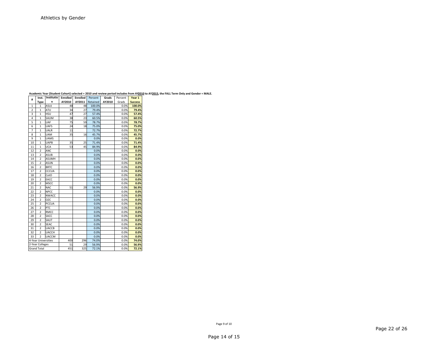|                |                         |              | -------- |                 |          |        |         |                |
|----------------|-------------------------|--------------|----------|-----------------|----------|--------|---------|----------------|
| #              | Inst.                   | Institutio   | Enrolled | <b>Enrolled</b> | Percent  | Grads  | Percent | Year 1         |
|                | <b>Type</b>             | n            | AY2010   | AY2011          | Retained | AY2010 | Grads   | <b>Success</b> |
| $\mathbf{1}$   | $\mathbf{1}$            | ASUJ         | 48       | 48              | 100.0%   |        | 0.0%    | 100.0%         |
| $\overline{2}$ | $\mathbf{1}$            | ATU          | 34       | 27              | 79.4%    |        | 0.0%    | 79.4%          |
| 3              | $\overline{1}$          | <b>HSU</b>   | 47       | 27              | 57.4%    |        | 0.0%    | 57.4%          |
| 4              | $\mathbf{1}$            | SAUM         | 38       | 23              | 60.5%    |        | 0.0%    | 60.5%          |
| 5              | $\mathbf{1}$            | UAF          | 75       | 59              | 78.7%    |        | 0.0%    | 78.7%          |
| 6              | $\mathbf{1}$            | <b>UAFS</b>  | 24       | 18              | 75.0%    |        | 0.0%    | 75.0%          |
| $\overline{7}$ | $\mathbf{1}$            | UALR         | 11       |                 | 72.7%    |        | 0.0%    | 72.7%          |
| 8              | $\mathbf 1$             | <b>UAM</b>   | 35       | 16              | 45.7%    |        | 0.0%    | 45.7%          |
| 9              | $\mathbf{1}$            | <b>UAMS</b>  |          |                 | 0.0%     |        | 0.0%    | 0.0%           |
| 10             | $\mathbf{1}$            | UAPB         | 35       | 25              | 71.4%    |        | 0.0%    | 71.4%          |
| 11             | $\overline{1}$          | <b>UCA</b>   | 53       | 45              | 84.9%    |        | 0.0%    | 84.9%          |
| 12             | $\overline{\mathbf{c}}$ | ANC          |          |                 | 0.0%     |        | 0.0%    | 0.0%           |
| 13             | $\overline{2}$          | ASUB         |          |                 | 0.0%     |        | 0.0%    | 0.0%           |
| 14             | $\overline{2}$          | ASUMH        |          |                 | 0.0%     |        | 0.0%    | 0.0%           |
| 15             | $\overline{2}$          | ASUN         |          |                 | 0.0%     |        | 0.0%    | 0.0%           |
| 16             | $\overline{2}$          | <b>BRTC</b>  |          |                 | 0.0%     |        | 0.0%    | 0.0%           |
| 17             | $\overline{2}$          | CCCUA        |          |                 | 0.0%     |        | 0.0%    | 0.0%           |
| 18             | $\overline{2}$          | CotO         |          |                 | 0.0%     |        | 0.0%    | 0.0%           |
| 19             | $\overline{2}$          | EACC         |          |                 | 0.0%     |        | 0.0%    | 0.0%           |
| 20             | $\overline{2}$          | MSCC         |          |                 | 0.0%     |        | 0.0%    | 0.0%           |
| 21             | $\overline{2}$          | <b>NAC</b>   | 51       | 29              | 56.9%    |        | 0.0%    | 56.9%          |
| 22             | $\overline{\mathbf{c}}$ | <b>NPCC</b>  |          |                 | 0.0%     |        | 0.0%    | 0.0%           |
| 23             | $\overline{2}$          | <b>NWACC</b> |          |                 | 0.0%     |        | 0.0%    | 0.0%           |
| 24             | $\overline{2}$          | OZC          |          |                 | 0.0%     |        | 0.0%    | 0.0%           |
| 25             | $\overline{2}$          | <b>PCCUA</b> |          |                 | 0.0%     |        | 0.0%    | 0.0%           |
| 26             | $\overline{2}$          | PTC          |          |                 | 0.0%     |        | 0.0%    | 0.0%           |
| 27             | $\overline{2}$          | RMCC         |          |                 | 0.0%     |        | 0.0%    | 0.0%           |
| 28             | $\overline{2}$          | SACC         |          |                 | 0.0%     |        | 0.0%    | 0.0%           |
| 29             | $\overline{2}$          | SAUT         |          |                 | 0.0%     |        | 0.0%    | 0.0%           |
| 30             | $\overline{2}$          | <b>SEAC</b>  |          |                 | 0.0%     |        | 0.0%    | 0.0%           |
| 31             | $\overline{2}$          | UACCB        |          |                 | 0.0%     |        | 0.0%    | 0.0%           |
| 32             | $\overline{2}$          | <b>UACCH</b> |          |                 | 0.0%     |        | 0.0%    | 0.0%           |
| 33             | $\overline{2}$          | <b>UACCM</b> |          |                 | 0.0%     |        | 0.0%    | 0.0%           |
|                | 4-Year Universities     |              | 400      | 296             | 74.0%    |        | 0.0%    | 74.0%          |
|                | 2-Year Colleges         |              | 51       | 29              | 56.9%    |        | 0.0%    | 56.9%          |
|                | <b>Grand Total</b>      |              | 451      | 325             | 72.1%    |        | 0.0%    | 72.1%          |

Academic Year (Student Cohort) selected = 2010 and review period includes from AY<u>2010</u> to AY<u>2015</u>, the FALL Term Only and Gender = MALE.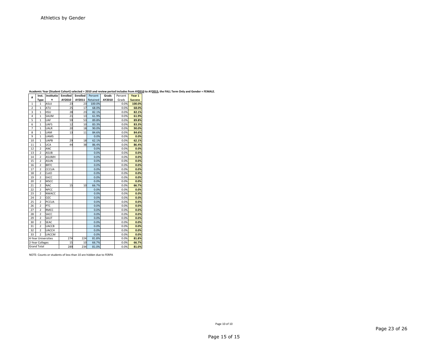|                | Inst.                   | <b>Institutio</b> | Enrolled | Enrolled | Percent  | Grads  | Percent | Year 1         |
|----------------|-------------------------|-------------------|----------|----------|----------|--------|---------|----------------|
| #              | <b>Type</b>             | n                 | AY2010   | AY2011   | Retained | AY2010 | Grads   | <b>Success</b> |
| $\overline{1}$ | $\mathbf{1}$            | ASUJ              | 23       | 23       | 100.0%   |        | 0.0%    | 100.0%         |
| $\overline{2}$ | $\overline{1}$          | ATU               | 25       | 17       | 68.0%    |        | 0.0%    | 68.0%          |
| 3              | $\overline{1}$          | <b>HSU</b>        | 28       | 23       | 82.1%    |        | 0.0%    | 82.1%          |
| 4              | $\overline{1}$          | SAUM              | 21       | 13       | 61.9%    |        | 0.0%    | 61.9%          |
| 5              | $\mathbf{1}$            | UAF               | 59       | 53       | 89.8%    |        | 0.0%    | 89.8%          |
| 6              | $\mathbf{1}$            | <b>UAFS</b>       | 12       | 10       | 83.3%    |        | 0.0%    | 83.3%          |
| 7              | $\mathbf{1}$            | <b>UALR</b>       | 20       | 18       | 90.0%    |        | 0.0%    | 90.0%          |
| 8              | $\overline{1}$          | <b>UAM</b>        | 13       | 11       | 84.6%    |        | 0.0%    | 84.6%          |
| 9              | $\mathbf{1}$            | <b>UAMS</b>       |          |          | 0.0%     |        | 0.0%    | 0.0%           |
| 10             | $\overline{1}$          | UAPB              | 29       | 18       | 62.1%    |        | 0.0%    | 62.1%          |
| 11             | $\mathbf{1}$            | <b>UCA</b>        | 44       | 38       | 86.4%    |        | 0.0%    | 86.4%          |
| 12             | $\overline{2}$          | ANC               |          |          | 0.0%     |        | 0.0%    | 0.0%           |
| 13             | $\overline{2}$          | ASUB              |          |          | 0.0%     |        | 0.0%    | 0.0%           |
| 14             | $\overline{2}$          | ASUMH             |          |          | 0.0%     |        | 0.0%    | 0.0%           |
| 15             | $\overline{2}$          | ASUN              |          |          | 0.0%     |        | 0.0%    | 0.0%           |
| 16             | $\overline{2}$          | <b>BRTC</b>       |          |          | 0.0%     |        | 0.0%    | 0.0%           |
| 17             | $\overline{2}$          | CCCUA             |          |          | 0.0%     |        | 0.0%    | 0.0%           |
| 18             | $\overline{2}$          | CotO              |          |          | 0.0%     |        | 0.0%    | 0.0%           |
| 19             | $\overline{2}$          | EACC              |          |          | 0.0%     |        | 0.0%    | 0.0%           |
| 20             | $\overline{2}$          | <b>MSCC</b>       |          |          | 0.0%     |        | 0.0%    | 0.0%           |
| 21             | $\overline{2}$          | <b>NAC</b>        | 15       | 10       | 66.7%    |        | 0.0%    | 66.7%          |
| 22             | $\overline{2}$          | <b>NPCC</b>       |          |          | 0.0%     |        | 0.0%    | 0.0%           |
| 23             | $\overline{2}$          | <b>NWACC</b>      |          |          | 0.0%     |        | 0.0%    | 0.0%           |
| 24             | $\overline{\mathbf{c}}$ | OZC               |          |          | 0.0%     |        | 0.0%    | 0.0%           |
| 25             | $\overline{\mathbf{c}}$ | <b>PCCUA</b>      |          |          | 0.0%     |        | 0.0%    | 0.0%           |
| 26             | $\overline{\mathbf{c}}$ | PTC               |          |          | 0.0%     |        | 0.0%    | 0.0%           |
| 27             | $\overline{\mathbf{c}}$ | RMCC              |          |          | 0.0%     |        | 0.0%    | 0.0%           |
| 28             | $\overline{2}$          | SACC              |          |          | 0.0%     |        | 0.0%    | 0.0%           |
| 29             | $\overline{2}$          | SAUT              |          |          | 0.0%     |        | 0.0%    | 0.0%           |
| 30             | $\overline{\mathbf{c}}$ | <b>SEAC</b>       |          |          | 0.0%     |        | 0.0%    | 0.0%           |
| 31             | $\overline{2}$          | <b>UACCB</b>      |          |          | 0.0%     |        | 0.0%    | 0.0%           |
| 32             | $\overline{2}$          | <b>UACCH</b>      |          |          | 0.0%     |        | 0.0%    | 0.0%           |
| 33             | $\overline{2}$          | <b>UACCM</b>      |          |          | 0.0%     |        | 0.0%    | 0.0%           |
|                | 4-Year Universities     |                   | 274      | 224      | 81.8%    |        | 0.0%    | 81.8%          |
|                | 2-Year Colleges         |                   | 15       | 10       | 66.7%    |        | 0.0%    | 66.7%          |
|                | <b>Grand Total</b>      |                   | 289      | 234      | 81.0%    |        | 0.0%    | 81.0%          |

Academic Year (Student Cohort) selected = 2010 and review period includes from AY<u>2010</u> to AY<u>2015</u>, the FALL Term Only and Gender = FEMALE.

NOTE: Counts or students of less than 10 are hidden due to FERPA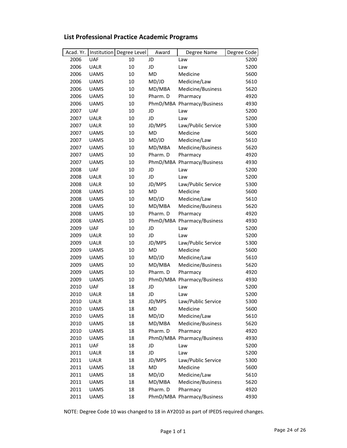| <b>UAF</b><br>JD<br>2006<br>5200<br>10<br>Law<br>2006<br><b>UALR</b><br>10<br>JD<br>5200<br>Law<br>2006<br><b>UAMS</b><br>10<br>MD<br>Medicine<br>5600<br><b>UAMS</b><br>10<br>MD/JD<br>Medicine/Law<br>5610<br>2006<br>2006<br><b>UAMS</b><br>MD/MBA<br>Medicine/Business<br>5620<br>10<br>2006<br><b>UAMS</b><br>10<br>Pharm. D<br>4920<br>Pharmacy<br>2006<br><b>UAMS</b><br>10<br>PhmD/MBA Pharmacy/Business<br>4930<br><b>UAF</b><br>2007<br>5200<br>10<br>JD<br>Law<br><b>UALR</b><br>2007<br>10<br>JD<br>5200<br>Law<br>2007<br><b>UALR</b><br>10<br>JD/MPS<br>Law/Public Service<br>5300<br>2007<br><b>UAMS</b><br><b>MD</b><br>5600<br>10<br>Medicine<br>MD/JD<br>2007<br><b>UAMS</b><br>Medicine/Law<br>5610<br>10<br>MD/MBA<br>2007<br><b>UAMS</b><br>10<br>Medicine/Business<br>5620<br>2007<br><b>UAMS</b><br>Pharm. D<br>10<br>Pharmacy<br>4920<br><b>UAMS</b><br>PhmD/MBA Pharmacy/Business<br>2007<br>10<br>4930<br>2008<br><b>UAF</b><br>10<br>JD<br>5200<br>Law<br>2008<br><b>UALR</b><br>10<br>JD<br>5200<br>Law<br>2008<br><b>UALR</b><br>10<br>JD/MPS<br>Law/Public Service<br>5300<br><b>MD</b><br>2008<br><b>UAMS</b><br>10<br>Medicine<br>5600<br><b>UAMS</b><br>MD/JD<br>Medicine/Law<br>5610<br>2008<br>10<br>2008<br><b>UAMS</b><br>MD/MBA<br>Medicine/Business<br>10<br>5620<br>2008<br><b>UAMS</b><br>10<br>Pharm. D<br>4920<br>Pharmacy<br>PhmD/MBA Pharmacy/Business<br>2008<br><b>UAMS</b><br>10<br>4930<br>2009<br><b>UAF</b><br>5200<br>10<br>JD<br>Law<br>2009<br><b>UALR</b><br>10<br>JD<br>5200<br>Law<br>2009<br><b>UALR</b><br>JD/MPS<br>Law/Public Service<br>10<br>5300<br><b>UAMS</b><br>MD<br>2009<br>10<br>Medicine<br>5600<br>2009<br><b>UAMS</b><br>10<br>MD/JD<br>Medicine/Law<br>5610<br>2009<br>10<br>MD/MBA<br>Medicine/Business<br><b>UAMS</b><br>5620<br>Pharm. D<br>2009<br><b>UAMS</b><br>10<br>Pharmacy<br>4920<br>2009<br><b>UAMS</b><br>10<br>PhmD/MBA Pharmacy/Business<br>4930<br>2010<br><b>UAF</b><br>JD<br>18<br>5200<br>Law<br><b>UALR</b><br>2010<br>18<br>JD<br>5200<br>Law<br>JD/MPS<br>2010<br>18<br>Law/Public Service<br>5300<br><b>UALR</b><br>18<br>MD<br>2010<br><b>UAMS</b><br>Medicine<br>5600<br>MD/JD<br>2010<br><b>UAMS</b><br>18<br>Medicine/Law<br>5610<br>2010<br>18<br>MD/MBA<br>Medicine/Business<br>5620<br><b>UAMS</b><br>Pharm. D<br>2010<br><b>UAMS</b><br>18<br>Pharmacy<br>4920<br><b>UAMS</b><br>PhmD/MBA Pharmacy/Business<br>2010<br>18<br>4930<br><b>UAF</b><br>18<br>2011<br>JD<br>Law<br>5200<br>2011<br>JD<br><b>UALR</b><br>18<br>Law<br>5200<br>2011<br><b>UALR</b><br>18<br>JD/MPS<br>Law/Public Service<br>5300<br>2011<br><b>UAMS</b><br>18<br>MD<br>Medicine<br>5600<br>MD/JD<br>2011<br><b>UAMS</b><br>18<br>Medicine/Law<br>5610<br>2011<br>MD/MBA<br>Medicine/Business<br><b>UAMS</b><br>18<br>5620<br><b>UAMS</b><br>18<br>Pharm. D<br>2011<br>Pharmacy<br>4920<br>PhmD/MBA Pharmacy/Business<br>2011<br><b>UAMS</b><br>18<br>4930 | Acad. Yr. | Institution | Degree Level | Award | Degree Name | Degree Code |
|---------------------------------------------------------------------------------------------------------------------------------------------------------------------------------------------------------------------------------------------------------------------------------------------------------------------------------------------------------------------------------------------------------------------------------------------------------------------------------------------------------------------------------------------------------------------------------------------------------------------------------------------------------------------------------------------------------------------------------------------------------------------------------------------------------------------------------------------------------------------------------------------------------------------------------------------------------------------------------------------------------------------------------------------------------------------------------------------------------------------------------------------------------------------------------------------------------------------------------------------------------------------------------------------------------------------------------------------------------------------------------------------------------------------------------------------------------------------------------------------------------------------------------------------------------------------------------------------------------------------------------------------------------------------------------------------------------------------------------------------------------------------------------------------------------------------------------------------------------------------------------------------------------------------------------------------------------------------------------------------------------------------------------------------------------------------------------------------------------------------------------------------------------------------------------------------------------------------------------------------------------------------------------------------------------------------------------------------------------------------------------------------------------------------------------------------------------------------------------------------------------------------------------------------------------------------------------------------------------------------------------------------------------------------------------------------------------------------------------------------------------------------------------------------------------------------------------------------------------------------------------------------------------------------------------------------|-----------|-------------|--------------|-------|-------------|-------------|
|                                                                                                                                                                                                                                                                                                                                                                                                                                                                                                                                                                                                                                                                                                                                                                                                                                                                                                                                                                                                                                                                                                                                                                                                                                                                                                                                                                                                                                                                                                                                                                                                                                                                                                                                                                                                                                                                                                                                                                                                                                                                                                                                                                                                                                                                                                                                                                                                                                                                                                                                                                                                                                                                                                                                                                                                                                                                                                                                             |           |             |              |       |             |             |
|                                                                                                                                                                                                                                                                                                                                                                                                                                                                                                                                                                                                                                                                                                                                                                                                                                                                                                                                                                                                                                                                                                                                                                                                                                                                                                                                                                                                                                                                                                                                                                                                                                                                                                                                                                                                                                                                                                                                                                                                                                                                                                                                                                                                                                                                                                                                                                                                                                                                                                                                                                                                                                                                                                                                                                                                                                                                                                                                             |           |             |              |       |             |             |
|                                                                                                                                                                                                                                                                                                                                                                                                                                                                                                                                                                                                                                                                                                                                                                                                                                                                                                                                                                                                                                                                                                                                                                                                                                                                                                                                                                                                                                                                                                                                                                                                                                                                                                                                                                                                                                                                                                                                                                                                                                                                                                                                                                                                                                                                                                                                                                                                                                                                                                                                                                                                                                                                                                                                                                                                                                                                                                                                             |           |             |              |       |             |             |
|                                                                                                                                                                                                                                                                                                                                                                                                                                                                                                                                                                                                                                                                                                                                                                                                                                                                                                                                                                                                                                                                                                                                                                                                                                                                                                                                                                                                                                                                                                                                                                                                                                                                                                                                                                                                                                                                                                                                                                                                                                                                                                                                                                                                                                                                                                                                                                                                                                                                                                                                                                                                                                                                                                                                                                                                                                                                                                                                             |           |             |              |       |             |             |
|                                                                                                                                                                                                                                                                                                                                                                                                                                                                                                                                                                                                                                                                                                                                                                                                                                                                                                                                                                                                                                                                                                                                                                                                                                                                                                                                                                                                                                                                                                                                                                                                                                                                                                                                                                                                                                                                                                                                                                                                                                                                                                                                                                                                                                                                                                                                                                                                                                                                                                                                                                                                                                                                                                                                                                                                                                                                                                                                             |           |             |              |       |             |             |
|                                                                                                                                                                                                                                                                                                                                                                                                                                                                                                                                                                                                                                                                                                                                                                                                                                                                                                                                                                                                                                                                                                                                                                                                                                                                                                                                                                                                                                                                                                                                                                                                                                                                                                                                                                                                                                                                                                                                                                                                                                                                                                                                                                                                                                                                                                                                                                                                                                                                                                                                                                                                                                                                                                                                                                                                                                                                                                                                             |           |             |              |       |             |             |
|                                                                                                                                                                                                                                                                                                                                                                                                                                                                                                                                                                                                                                                                                                                                                                                                                                                                                                                                                                                                                                                                                                                                                                                                                                                                                                                                                                                                                                                                                                                                                                                                                                                                                                                                                                                                                                                                                                                                                                                                                                                                                                                                                                                                                                                                                                                                                                                                                                                                                                                                                                                                                                                                                                                                                                                                                                                                                                                                             |           |             |              |       |             |             |
|                                                                                                                                                                                                                                                                                                                                                                                                                                                                                                                                                                                                                                                                                                                                                                                                                                                                                                                                                                                                                                                                                                                                                                                                                                                                                                                                                                                                                                                                                                                                                                                                                                                                                                                                                                                                                                                                                                                                                                                                                                                                                                                                                                                                                                                                                                                                                                                                                                                                                                                                                                                                                                                                                                                                                                                                                                                                                                                                             |           |             |              |       |             |             |
|                                                                                                                                                                                                                                                                                                                                                                                                                                                                                                                                                                                                                                                                                                                                                                                                                                                                                                                                                                                                                                                                                                                                                                                                                                                                                                                                                                                                                                                                                                                                                                                                                                                                                                                                                                                                                                                                                                                                                                                                                                                                                                                                                                                                                                                                                                                                                                                                                                                                                                                                                                                                                                                                                                                                                                                                                                                                                                                                             |           |             |              |       |             |             |
|                                                                                                                                                                                                                                                                                                                                                                                                                                                                                                                                                                                                                                                                                                                                                                                                                                                                                                                                                                                                                                                                                                                                                                                                                                                                                                                                                                                                                                                                                                                                                                                                                                                                                                                                                                                                                                                                                                                                                                                                                                                                                                                                                                                                                                                                                                                                                                                                                                                                                                                                                                                                                                                                                                                                                                                                                                                                                                                                             |           |             |              |       |             |             |
|                                                                                                                                                                                                                                                                                                                                                                                                                                                                                                                                                                                                                                                                                                                                                                                                                                                                                                                                                                                                                                                                                                                                                                                                                                                                                                                                                                                                                                                                                                                                                                                                                                                                                                                                                                                                                                                                                                                                                                                                                                                                                                                                                                                                                                                                                                                                                                                                                                                                                                                                                                                                                                                                                                                                                                                                                                                                                                                                             |           |             |              |       |             |             |
|                                                                                                                                                                                                                                                                                                                                                                                                                                                                                                                                                                                                                                                                                                                                                                                                                                                                                                                                                                                                                                                                                                                                                                                                                                                                                                                                                                                                                                                                                                                                                                                                                                                                                                                                                                                                                                                                                                                                                                                                                                                                                                                                                                                                                                                                                                                                                                                                                                                                                                                                                                                                                                                                                                                                                                                                                                                                                                                                             |           |             |              |       |             |             |
|                                                                                                                                                                                                                                                                                                                                                                                                                                                                                                                                                                                                                                                                                                                                                                                                                                                                                                                                                                                                                                                                                                                                                                                                                                                                                                                                                                                                                                                                                                                                                                                                                                                                                                                                                                                                                                                                                                                                                                                                                                                                                                                                                                                                                                                                                                                                                                                                                                                                                                                                                                                                                                                                                                                                                                                                                                                                                                                                             |           |             |              |       |             |             |
|                                                                                                                                                                                                                                                                                                                                                                                                                                                                                                                                                                                                                                                                                                                                                                                                                                                                                                                                                                                                                                                                                                                                                                                                                                                                                                                                                                                                                                                                                                                                                                                                                                                                                                                                                                                                                                                                                                                                                                                                                                                                                                                                                                                                                                                                                                                                                                                                                                                                                                                                                                                                                                                                                                                                                                                                                                                                                                                                             |           |             |              |       |             |             |
|                                                                                                                                                                                                                                                                                                                                                                                                                                                                                                                                                                                                                                                                                                                                                                                                                                                                                                                                                                                                                                                                                                                                                                                                                                                                                                                                                                                                                                                                                                                                                                                                                                                                                                                                                                                                                                                                                                                                                                                                                                                                                                                                                                                                                                                                                                                                                                                                                                                                                                                                                                                                                                                                                                                                                                                                                                                                                                                                             |           |             |              |       |             |             |
|                                                                                                                                                                                                                                                                                                                                                                                                                                                                                                                                                                                                                                                                                                                                                                                                                                                                                                                                                                                                                                                                                                                                                                                                                                                                                                                                                                                                                                                                                                                                                                                                                                                                                                                                                                                                                                                                                                                                                                                                                                                                                                                                                                                                                                                                                                                                                                                                                                                                                                                                                                                                                                                                                                                                                                                                                                                                                                                                             |           |             |              |       |             |             |
|                                                                                                                                                                                                                                                                                                                                                                                                                                                                                                                                                                                                                                                                                                                                                                                                                                                                                                                                                                                                                                                                                                                                                                                                                                                                                                                                                                                                                                                                                                                                                                                                                                                                                                                                                                                                                                                                                                                                                                                                                                                                                                                                                                                                                                                                                                                                                                                                                                                                                                                                                                                                                                                                                                                                                                                                                                                                                                                                             |           |             |              |       |             |             |
|                                                                                                                                                                                                                                                                                                                                                                                                                                                                                                                                                                                                                                                                                                                                                                                                                                                                                                                                                                                                                                                                                                                                                                                                                                                                                                                                                                                                                                                                                                                                                                                                                                                                                                                                                                                                                                                                                                                                                                                                                                                                                                                                                                                                                                                                                                                                                                                                                                                                                                                                                                                                                                                                                                                                                                                                                                                                                                                                             |           |             |              |       |             |             |
|                                                                                                                                                                                                                                                                                                                                                                                                                                                                                                                                                                                                                                                                                                                                                                                                                                                                                                                                                                                                                                                                                                                                                                                                                                                                                                                                                                                                                                                                                                                                                                                                                                                                                                                                                                                                                                                                                                                                                                                                                                                                                                                                                                                                                                                                                                                                                                                                                                                                                                                                                                                                                                                                                                                                                                                                                                                                                                                                             |           |             |              |       |             |             |
|                                                                                                                                                                                                                                                                                                                                                                                                                                                                                                                                                                                                                                                                                                                                                                                                                                                                                                                                                                                                                                                                                                                                                                                                                                                                                                                                                                                                                                                                                                                                                                                                                                                                                                                                                                                                                                                                                                                                                                                                                                                                                                                                                                                                                                                                                                                                                                                                                                                                                                                                                                                                                                                                                                                                                                                                                                                                                                                                             |           |             |              |       |             |             |
|                                                                                                                                                                                                                                                                                                                                                                                                                                                                                                                                                                                                                                                                                                                                                                                                                                                                                                                                                                                                                                                                                                                                                                                                                                                                                                                                                                                                                                                                                                                                                                                                                                                                                                                                                                                                                                                                                                                                                                                                                                                                                                                                                                                                                                                                                                                                                                                                                                                                                                                                                                                                                                                                                                                                                                                                                                                                                                                                             |           |             |              |       |             |             |
|                                                                                                                                                                                                                                                                                                                                                                                                                                                                                                                                                                                                                                                                                                                                                                                                                                                                                                                                                                                                                                                                                                                                                                                                                                                                                                                                                                                                                                                                                                                                                                                                                                                                                                                                                                                                                                                                                                                                                                                                                                                                                                                                                                                                                                                                                                                                                                                                                                                                                                                                                                                                                                                                                                                                                                                                                                                                                                                                             |           |             |              |       |             |             |
|                                                                                                                                                                                                                                                                                                                                                                                                                                                                                                                                                                                                                                                                                                                                                                                                                                                                                                                                                                                                                                                                                                                                                                                                                                                                                                                                                                                                                                                                                                                                                                                                                                                                                                                                                                                                                                                                                                                                                                                                                                                                                                                                                                                                                                                                                                                                                                                                                                                                                                                                                                                                                                                                                                                                                                                                                                                                                                                                             |           |             |              |       |             |             |
|                                                                                                                                                                                                                                                                                                                                                                                                                                                                                                                                                                                                                                                                                                                                                                                                                                                                                                                                                                                                                                                                                                                                                                                                                                                                                                                                                                                                                                                                                                                                                                                                                                                                                                                                                                                                                                                                                                                                                                                                                                                                                                                                                                                                                                                                                                                                                                                                                                                                                                                                                                                                                                                                                                                                                                                                                                                                                                                                             |           |             |              |       |             |             |
|                                                                                                                                                                                                                                                                                                                                                                                                                                                                                                                                                                                                                                                                                                                                                                                                                                                                                                                                                                                                                                                                                                                                                                                                                                                                                                                                                                                                                                                                                                                                                                                                                                                                                                                                                                                                                                                                                                                                                                                                                                                                                                                                                                                                                                                                                                                                                                                                                                                                                                                                                                                                                                                                                                                                                                                                                                                                                                                                             |           |             |              |       |             |             |
|                                                                                                                                                                                                                                                                                                                                                                                                                                                                                                                                                                                                                                                                                                                                                                                                                                                                                                                                                                                                                                                                                                                                                                                                                                                                                                                                                                                                                                                                                                                                                                                                                                                                                                                                                                                                                                                                                                                                                                                                                                                                                                                                                                                                                                                                                                                                                                                                                                                                                                                                                                                                                                                                                                                                                                                                                                                                                                                                             |           |             |              |       |             |             |
|                                                                                                                                                                                                                                                                                                                                                                                                                                                                                                                                                                                                                                                                                                                                                                                                                                                                                                                                                                                                                                                                                                                                                                                                                                                                                                                                                                                                                                                                                                                                                                                                                                                                                                                                                                                                                                                                                                                                                                                                                                                                                                                                                                                                                                                                                                                                                                                                                                                                                                                                                                                                                                                                                                                                                                                                                                                                                                                                             |           |             |              |       |             |             |
|                                                                                                                                                                                                                                                                                                                                                                                                                                                                                                                                                                                                                                                                                                                                                                                                                                                                                                                                                                                                                                                                                                                                                                                                                                                                                                                                                                                                                                                                                                                                                                                                                                                                                                                                                                                                                                                                                                                                                                                                                                                                                                                                                                                                                                                                                                                                                                                                                                                                                                                                                                                                                                                                                                                                                                                                                                                                                                                                             |           |             |              |       |             |             |
|                                                                                                                                                                                                                                                                                                                                                                                                                                                                                                                                                                                                                                                                                                                                                                                                                                                                                                                                                                                                                                                                                                                                                                                                                                                                                                                                                                                                                                                                                                                                                                                                                                                                                                                                                                                                                                                                                                                                                                                                                                                                                                                                                                                                                                                                                                                                                                                                                                                                                                                                                                                                                                                                                                                                                                                                                                                                                                                                             |           |             |              |       |             |             |
|                                                                                                                                                                                                                                                                                                                                                                                                                                                                                                                                                                                                                                                                                                                                                                                                                                                                                                                                                                                                                                                                                                                                                                                                                                                                                                                                                                                                                                                                                                                                                                                                                                                                                                                                                                                                                                                                                                                                                                                                                                                                                                                                                                                                                                                                                                                                                                                                                                                                                                                                                                                                                                                                                                                                                                                                                                                                                                                                             |           |             |              |       |             |             |
|                                                                                                                                                                                                                                                                                                                                                                                                                                                                                                                                                                                                                                                                                                                                                                                                                                                                                                                                                                                                                                                                                                                                                                                                                                                                                                                                                                                                                                                                                                                                                                                                                                                                                                                                                                                                                                                                                                                                                                                                                                                                                                                                                                                                                                                                                                                                                                                                                                                                                                                                                                                                                                                                                                                                                                                                                                                                                                                                             |           |             |              |       |             |             |
|                                                                                                                                                                                                                                                                                                                                                                                                                                                                                                                                                                                                                                                                                                                                                                                                                                                                                                                                                                                                                                                                                                                                                                                                                                                                                                                                                                                                                                                                                                                                                                                                                                                                                                                                                                                                                                                                                                                                                                                                                                                                                                                                                                                                                                                                                                                                                                                                                                                                                                                                                                                                                                                                                                                                                                                                                                                                                                                                             |           |             |              |       |             |             |
|                                                                                                                                                                                                                                                                                                                                                                                                                                                                                                                                                                                                                                                                                                                                                                                                                                                                                                                                                                                                                                                                                                                                                                                                                                                                                                                                                                                                                                                                                                                                                                                                                                                                                                                                                                                                                                                                                                                                                                                                                                                                                                                                                                                                                                                                                                                                                                                                                                                                                                                                                                                                                                                                                                                                                                                                                                                                                                                                             |           |             |              |       |             |             |
|                                                                                                                                                                                                                                                                                                                                                                                                                                                                                                                                                                                                                                                                                                                                                                                                                                                                                                                                                                                                                                                                                                                                                                                                                                                                                                                                                                                                                                                                                                                                                                                                                                                                                                                                                                                                                                                                                                                                                                                                                                                                                                                                                                                                                                                                                                                                                                                                                                                                                                                                                                                                                                                                                                                                                                                                                                                                                                                                             |           |             |              |       |             |             |
|                                                                                                                                                                                                                                                                                                                                                                                                                                                                                                                                                                                                                                                                                                                                                                                                                                                                                                                                                                                                                                                                                                                                                                                                                                                                                                                                                                                                                                                                                                                                                                                                                                                                                                                                                                                                                                                                                                                                                                                                                                                                                                                                                                                                                                                                                                                                                                                                                                                                                                                                                                                                                                                                                                                                                                                                                                                                                                                                             |           |             |              |       |             |             |
|                                                                                                                                                                                                                                                                                                                                                                                                                                                                                                                                                                                                                                                                                                                                                                                                                                                                                                                                                                                                                                                                                                                                                                                                                                                                                                                                                                                                                                                                                                                                                                                                                                                                                                                                                                                                                                                                                                                                                                                                                                                                                                                                                                                                                                                                                                                                                                                                                                                                                                                                                                                                                                                                                                                                                                                                                                                                                                                                             |           |             |              |       |             |             |
|                                                                                                                                                                                                                                                                                                                                                                                                                                                                                                                                                                                                                                                                                                                                                                                                                                                                                                                                                                                                                                                                                                                                                                                                                                                                                                                                                                                                                                                                                                                                                                                                                                                                                                                                                                                                                                                                                                                                                                                                                                                                                                                                                                                                                                                                                                                                                                                                                                                                                                                                                                                                                                                                                                                                                                                                                                                                                                                                             |           |             |              |       |             |             |
|                                                                                                                                                                                                                                                                                                                                                                                                                                                                                                                                                                                                                                                                                                                                                                                                                                                                                                                                                                                                                                                                                                                                                                                                                                                                                                                                                                                                                                                                                                                                                                                                                                                                                                                                                                                                                                                                                                                                                                                                                                                                                                                                                                                                                                                                                                                                                                                                                                                                                                                                                                                                                                                                                                                                                                                                                                                                                                                                             |           |             |              |       |             |             |
|                                                                                                                                                                                                                                                                                                                                                                                                                                                                                                                                                                                                                                                                                                                                                                                                                                                                                                                                                                                                                                                                                                                                                                                                                                                                                                                                                                                                                                                                                                                                                                                                                                                                                                                                                                                                                                                                                                                                                                                                                                                                                                                                                                                                                                                                                                                                                                                                                                                                                                                                                                                                                                                                                                                                                                                                                                                                                                                                             |           |             |              |       |             |             |
|                                                                                                                                                                                                                                                                                                                                                                                                                                                                                                                                                                                                                                                                                                                                                                                                                                                                                                                                                                                                                                                                                                                                                                                                                                                                                                                                                                                                                                                                                                                                                                                                                                                                                                                                                                                                                                                                                                                                                                                                                                                                                                                                                                                                                                                                                                                                                                                                                                                                                                                                                                                                                                                                                                                                                                                                                                                                                                                                             |           |             |              |       |             |             |
|                                                                                                                                                                                                                                                                                                                                                                                                                                                                                                                                                                                                                                                                                                                                                                                                                                                                                                                                                                                                                                                                                                                                                                                                                                                                                                                                                                                                                                                                                                                                                                                                                                                                                                                                                                                                                                                                                                                                                                                                                                                                                                                                                                                                                                                                                                                                                                                                                                                                                                                                                                                                                                                                                                                                                                                                                                                                                                                                             |           |             |              |       |             |             |
|                                                                                                                                                                                                                                                                                                                                                                                                                                                                                                                                                                                                                                                                                                                                                                                                                                                                                                                                                                                                                                                                                                                                                                                                                                                                                                                                                                                                                                                                                                                                                                                                                                                                                                                                                                                                                                                                                                                                                                                                                                                                                                                                                                                                                                                                                                                                                                                                                                                                                                                                                                                                                                                                                                                                                                                                                                                                                                                                             |           |             |              |       |             |             |
|                                                                                                                                                                                                                                                                                                                                                                                                                                                                                                                                                                                                                                                                                                                                                                                                                                                                                                                                                                                                                                                                                                                                                                                                                                                                                                                                                                                                                                                                                                                                                                                                                                                                                                                                                                                                                                                                                                                                                                                                                                                                                                                                                                                                                                                                                                                                                                                                                                                                                                                                                                                                                                                                                                                                                                                                                                                                                                                                             |           |             |              |       |             |             |
|                                                                                                                                                                                                                                                                                                                                                                                                                                                                                                                                                                                                                                                                                                                                                                                                                                                                                                                                                                                                                                                                                                                                                                                                                                                                                                                                                                                                                                                                                                                                                                                                                                                                                                                                                                                                                                                                                                                                                                                                                                                                                                                                                                                                                                                                                                                                                                                                                                                                                                                                                                                                                                                                                                                                                                                                                                                                                                                                             |           |             |              |       |             |             |
|                                                                                                                                                                                                                                                                                                                                                                                                                                                                                                                                                                                                                                                                                                                                                                                                                                                                                                                                                                                                                                                                                                                                                                                                                                                                                                                                                                                                                                                                                                                                                                                                                                                                                                                                                                                                                                                                                                                                                                                                                                                                                                                                                                                                                                                                                                                                                                                                                                                                                                                                                                                                                                                                                                                                                                                                                                                                                                                                             |           |             |              |       |             |             |
|                                                                                                                                                                                                                                                                                                                                                                                                                                                                                                                                                                                                                                                                                                                                                                                                                                                                                                                                                                                                                                                                                                                                                                                                                                                                                                                                                                                                                                                                                                                                                                                                                                                                                                                                                                                                                                                                                                                                                                                                                                                                                                                                                                                                                                                                                                                                                                                                                                                                                                                                                                                                                                                                                                                                                                                                                                                                                                                                             |           |             |              |       |             |             |
|                                                                                                                                                                                                                                                                                                                                                                                                                                                                                                                                                                                                                                                                                                                                                                                                                                                                                                                                                                                                                                                                                                                                                                                                                                                                                                                                                                                                                                                                                                                                                                                                                                                                                                                                                                                                                                                                                                                                                                                                                                                                                                                                                                                                                                                                                                                                                                                                                                                                                                                                                                                                                                                                                                                                                                                                                                                                                                                                             |           |             |              |       |             |             |

### **List Professional Practice Academic Programs**

NOTE: Degree Code 10 was changed to 18 in AY2010 as part of IPEDS required changes.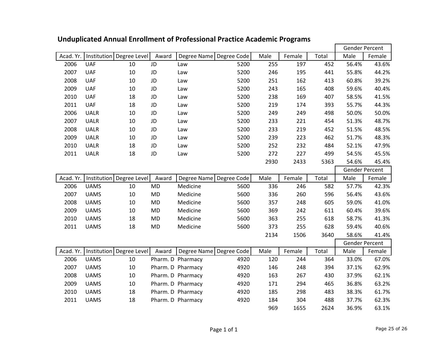|           |             |                            |           |                           |      |      |        |       | <b>Gender Percent</b> |        |
|-----------|-------------|----------------------------|-----------|---------------------------|------|------|--------|-------|-----------------------|--------|
| Acad. Yr. |             | Institution Degree Level   | Award     | Degree Name Degree Code   |      | Male | Female | Total | Male                  | Female |
| 2006      | <b>UAF</b>  | 10                         | JD        | Law                       | 5200 | 255  | 197    | 452   | 56.4%                 | 43.6%  |
| 2007      | <b>UAF</b>  | 10                         | JD        | Law                       | 5200 | 246  | 195    | 441   | 55.8%                 | 44.2%  |
| 2008      | <b>UAF</b>  | 10                         | JD        | Law                       | 5200 | 251  | 162    | 413   | 60.8%                 | 39.2%  |
| 2009      | <b>UAF</b>  | 10                         | JD        | Law                       | 5200 | 243  | 165    | 408   | 59.6%                 | 40.4%  |
| 2010      | <b>UAF</b>  | 18                         | JD        | Law                       | 5200 | 238  | 169    | 407   | 58.5%                 | 41.5%  |
| 2011      | <b>UAF</b>  | 18                         | JD        | Law                       | 5200 | 219  | 174    | 393   | 55.7%                 | 44.3%  |
| 2006      | <b>UALR</b> | 10                         | JD        | Law                       | 5200 | 249  | 249    | 498   | 50.0%                 | 50.0%  |
| 2007      | <b>UALR</b> | 10                         | JD        | Law                       | 5200 | 233  | 221    | 454   | 51.3%                 | 48.7%  |
| 2008      | <b>UALR</b> | 10                         | JD        | Law                       | 5200 | 233  | 219    | 452   | 51.5%                 | 48.5%  |
| 2009      | <b>UALR</b> | 10                         | JD        | Law                       | 5200 | 239  | 223    | 462   | 51.7%                 | 48.3%  |
| 2010      | <b>UALR</b> | 18                         | JD        | Law                       | 5200 | 252  | 232    | 484   | 52.1%                 | 47.9%  |
| 2011      | <b>UALR</b> | 18                         | JD        | Law                       | 5200 | 272  | 227    | 499   | 54.5%                 | 45.5%  |
|           |             |                            |           |                           |      | 2930 | 2433   | 5363  | 54.6%                 | 45.4%  |
|           |             |                            |           |                           |      |      |        |       | <b>Gender Percent</b> |        |
| Acad. Yr. |             | Institution   Degree Level | Award     | Degree Name Degree Code   |      | Male | Female | Total | Male                  | Female |
| 2006      | <b>UAMS</b> | 10                         | <b>MD</b> | Medicine                  | 5600 | 336  | 246    | 582   | 57.7%                 | 42.3%  |
| 2007      | <b>UAMS</b> | 10                         | MD        | Medicine                  | 5600 | 336  | 260    | 596   | 56.4%                 | 43.6%  |
| 2008      | <b>UAMS</b> | 10                         | <b>MD</b> | Medicine                  | 5600 | 357  | 248    | 605   | 59.0%                 | 41.0%  |
| 2009      | <b>UAMS</b> | 10                         | <b>MD</b> | Medicine                  | 5600 | 369  | 242    | 611   | 60.4%                 | 39.6%  |
| 2010      | <b>UAMS</b> | 18                         | MD        | Medicine                  | 5600 | 363  | 255    | 618   | 58.7%                 | 41.3%  |
| 2011      | <b>UAMS</b> | 18                         | MD        | Medicine                  | 5600 | 373  | 255    | 628   | 59.4%                 | 40.6%  |
|           |             |                            |           |                           |      | 2134 | 1506   | 3640  | 58.6%                 | 41.4%  |
|           |             |                            |           |                           |      |      |        |       | Gender Percent        |        |
| Acad. Yr. |             | Institution   Degree Level | Award     | Degree Name   Degree Code |      | Male | Female | Total | Male                  | Female |
| 2006      | <b>UAMS</b> | 10                         |           | Pharm. D Pharmacy         | 4920 | 120  | 244    | 364   | 33.0%                 | 67.0%  |
| 2007      | <b>UAMS</b> | 10                         |           | Pharm. D Pharmacy         | 4920 | 146  | 248    | 394   | 37.1%                 | 62.9%  |
| 2008      | <b>UAMS</b> | 10                         |           | Pharm. D Pharmacy         | 4920 | 163  | 267    | 430   | 37.9%                 | 62.1%  |
| 2009      | <b>UAMS</b> | 10                         |           | Pharm. D Pharmacy         | 4920 | 171  | 294    | 465   | 36.8%                 | 63.2%  |
| 2010      | <b>UAMS</b> | 18                         |           | Pharm. D Pharmacy         | 4920 | 185  | 298    | 483   | 38.3%                 | 61.7%  |
| 2011      | <b>UAMS</b> | 18                         |           | Pharm. D Pharmacy         | 4920 | 184  | 304    | 488   | 37.7%                 | 62.3%  |
|           |             |                            |           |                           |      | 969  | 1655   | 2624  | 36.9%                 | 63.1%  |

## **Unduplicated Annual Enrollment of Professional Practice Academic Programs**